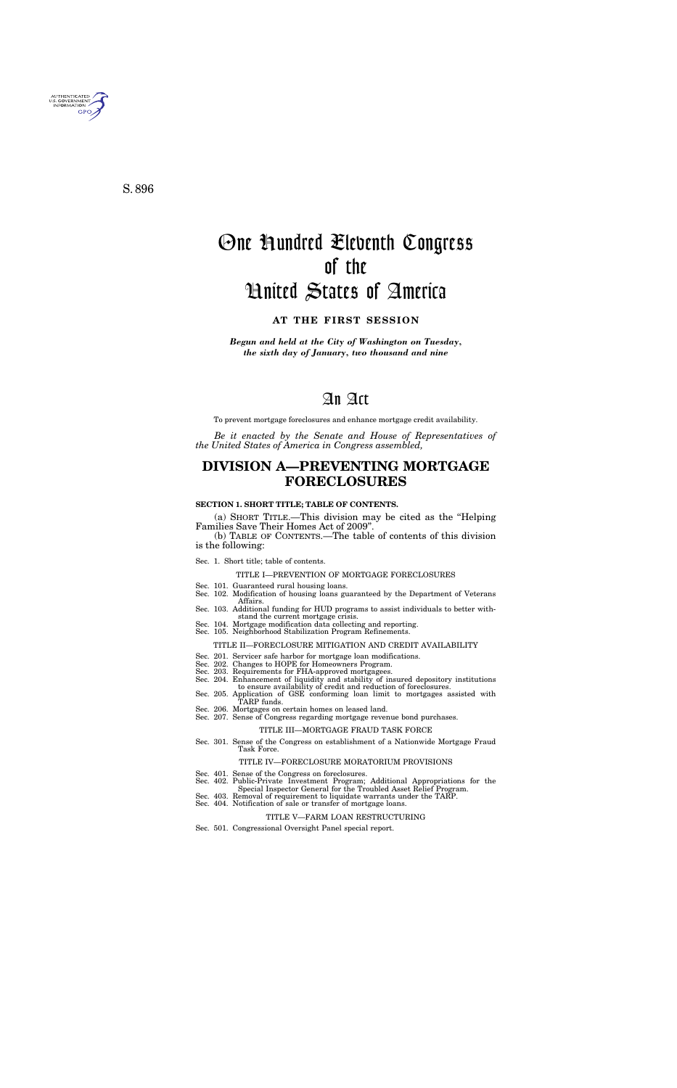*Begun and held at the City of Washington on Tuesday, the sixth day of January, two thousand and nine* 

# An Act

To prevent mortgage foreclosures and enhance mortgage credit availability.

*Be it enacted by the Senate and House of Representatives of the United States of America in Congress assembled,* 

# **DIVISION A—PREVENTING MORTGAGE FORECLOSURES**

#### **SECTION 1. SHORT TITLE; TABLE OF CONTENTS.**

(a) SHORT TITLE.—This division may be cited as the ''Helping Families Save Their Homes Act of 2009''.

(b) TABLE OF CONTENTS.—The table of contents of this division is the following:

Sec. 1. Short title; table of contents.

#### TITLE I—PREVENTION OF MORTGAGE FORECLOSURES

- Sec. 101. Guaranteed rural housing loans.
- Sec. 102. Modification of housing loans guaranteed by the Department of Veterans Affairs.
- Sec. 103. Additional funding for HUD programs to assist individuals to better withstand the current mortgage crisis.
- Sec. 104. Mortgage modification data collecting and reporting.
- Sec. 105. Neighborhood Stabilization Program Refinements.

#### TITLE II—FORECLOSURE MITIGATION AND CREDIT AVAILABILITY

- Sec. 201. Servicer safe harbor for mortgage loan modifications.
- Sec. 202. Changes to HOPE for Homeowners Program.
- Sec. 203. Requirements for FHA-approved mortgagees.
- Sec. 204. Enhancement of liquidity and stability of insured depository institutions to ensure availability of credit and reduction of foreclosures.
- Sec. 205. Application of GSE conforming loan limit to mortgages assisted with TARP funds.
- Sec. 206. Mortgages on certain homes on leased land.
- Sec. 207. Sense of Congress regarding mortgage revenue bond purchases.

#### TITLE III—MORTGAGE FRAUD TASK FORCE

Sec. 301. Sense of the Congress on establishment of a Nationwide Mortgage Fraud Task Force.

#### TITLE IV—FORECLOSURE MORATORIUM PROVISIONS

- Sec. 401. Sense of the Congress on foreclosures.
- Sec. 402. Public-Private Investment Program; Additional Appropriations for the Special Inspector General for the Troubled Asset Relief Program.
- Sec. 403. Removal of requirement to liquidate warrants under the TARP.
- Sec. 404. Notification of sale or transfer of mortgage loans.

#### TITLE V—FARM LOAN RESTRUCTURING

Sec. 501. Congressional Oversight Panel special report.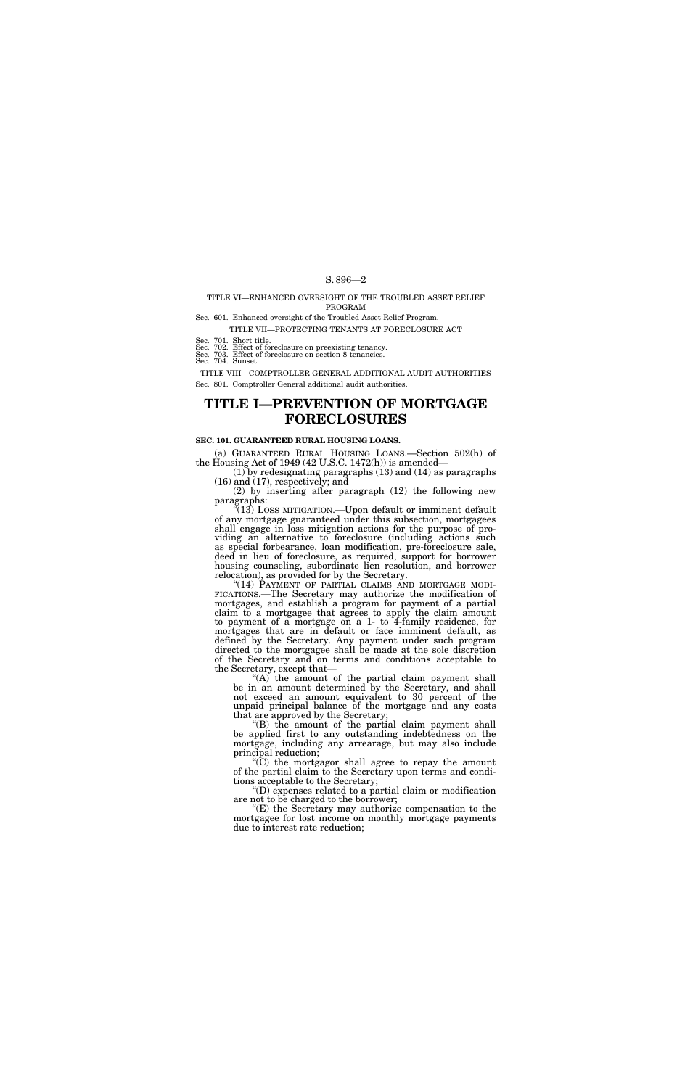#### TITLE VI—ENHANCED OVERSIGHT OF THE TROUBLED ASSET RELIEF PROGRAM

Sec. 601. Enhanced oversight of the Troubled Asset Relief Program.

TITLE VII—PROTECTING TENANTS AT FORECLOSURE ACT

Sec. 701. Short title. Sec. 702. Effect of foreclosure on preexisting tenancy. Sec. 703. Effect of foreclosure on section 8 tenancies.

Sec. 704. Sunset.

TITLE VIII—COMPTROLLER GENERAL ADDITIONAL AUDIT AUTHORITIES Sec. 801. Comptroller General additional audit authorities.

## **TITLE I—PREVENTION OF MORTGAGE FORECLOSURES**

#### **SEC. 101. GUARANTEED RURAL HOUSING LOANS.**

(a) GUARANTEED RURAL HOUSING LOANS.—Section 502(h) of the Housing Act of 1949 (42 U.S.C. 1472(h)) is amended—

 $\sqrt{2(13)}$  LOSS MITIGATION.—Upon default or imminent default of any mortgage guaranteed under this subsection, mortgagees shall engage in loss mitigation actions for the purpose of providing an alternative to foreclosure (including actions such as special forbearance, loan modification, pre-foreclosure sale, deed in lieu of foreclosure, as required, support for borrower housing counseling, subordinate lien resolution, and borrower relocation), as provided for by the Secretary.

(1) by redesignating paragraphs (13) and (14) as paragraphs (16) and (17), respectively; and

(2) by inserting after paragraph (12) the following new paragraphs:

''(14) PAYMENT OF PARTIAL CLAIMS AND MORTGAGE MODI- FICATIONS.—The Secretary may authorize the modification of mortgages, and establish a program for payment of a partial claim to a mortgagee that agrees to apply the claim amount to payment of a mortgage on a 1- to 4-family residence, for mortgages that are in default or face imminent default, as defined by the Secretary. Any payment under such program directed to the mortgagee shall be made at the sole discretion of the Secretary and on terms and conditions acceptable to the Secretary, except that—

''(A) the amount of the partial claim payment shall be in an amount determined by the Secretary, and shall not exceed an amount equivalent to 30 percent of the unpaid principal balance of the mortgage and any costs that are approved by the Secretary;

''(B) the amount of the partial claim payment shall be applied first to any outstanding indebtedness on the mortgage, including any arrearage, but may also include principal reduction;

''(C) the mortgagor shall agree to repay the amount of the partial claim to the Secretary upon terms and conditions acceptable to the Secretary;

''(D) expenses related to a partial claim or modification are not to be charged to the borrower;

''(E) the Secretary may authorize compensation to the mortgagee for lost income on monthly mortgage payments due to interest rate reduction;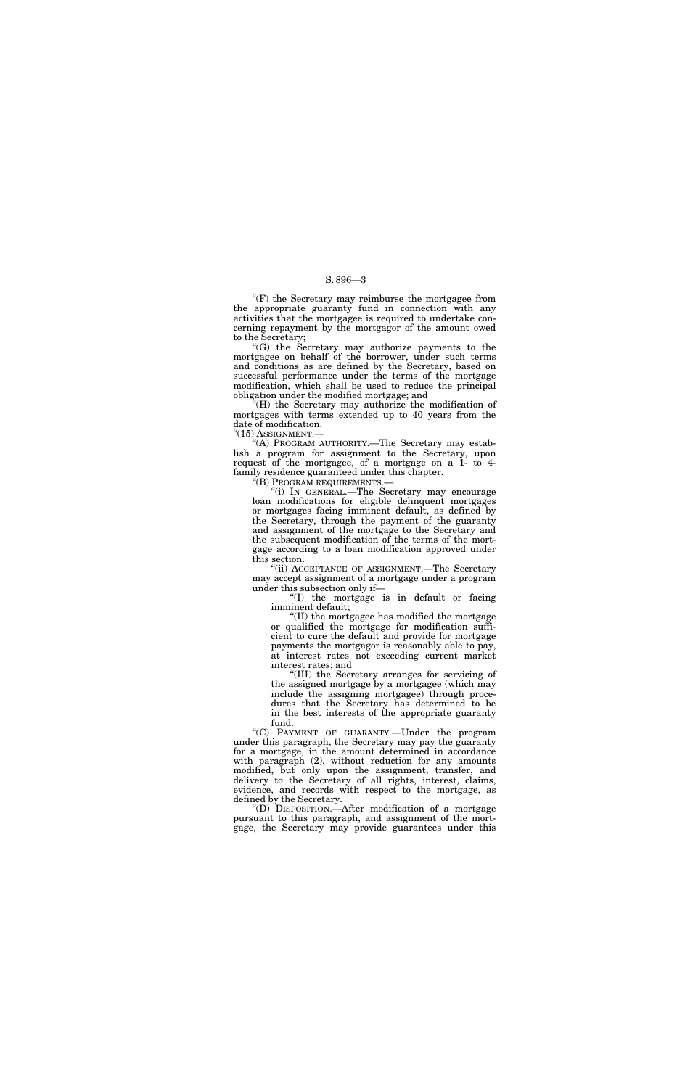''(F) the Secretary may reimburse the mortgagee from the appropriate guaranty fund in connection with any activities that the mortgagee is required to undertake concerning repayment by the mortgagor of the amount owed to the Secretary;

''(G) the Secretary may authorize payments to the mortgagee on behalf of the borrower, under such terms and conditions as are defined by the Secretary, based on successful performance under the terms of the mortgage modification, which shall be used to reduce the principal obligation under the modified mortgage; and

''(H) the Secretary may authorize the modification of mortgages with terms extended up to 40 years from the date of modification.

"(15) ASSIGNMENT.-

''(A) PROGRAM AUTHORITY.—The Secretary may establish a program for assignment to the Secretary, upon request of the mortgagee, of a mortgage on a 1- to 4 family residence guaranteed under this chapter.

''(B) PROGRAM REQUIREMENTS.—

''(i) IN GENERAL.—The Secretary may encourage loan modifications for eligible delinquent mortgages or mortgages facing imminent default, as defined by the Secretary, through the payment of the guaranty and assignment of the mortgage to the Secretary and the subsequent modification of the terms of the mortgage according to a loan modification approved under this section.

''(ii) ACCEPTANCE OF ASSIGNMENT.—The Secretary may accept assignment of a mortgage under a program under this subsection only if—

''(I) the mortgage is in default or facing imminent default;

''(II) the mortgagee has modified the mortgage or qualified the mortgage for modification sufficient to cure the default and provide for mortgage payments the mortgagor is reasonably able to pay, at interest rates not exceeding current market interest rates; and

''(III) the Secretary arranges for servicing of the assigned mortgage by a mortgagee (which may include the assigning mortgagee) through procedures that the Secretary has determined to be in the best interests of the appropriate guaranty fund.

''(C) PAYMENT OF GUARANTY.—Under the program under this paragraph, the Secretary may pay the guaranty for a mortgage, in the amount determined in accordance with paragraph  $(2)$ , without reduction for any amounts modified, but only upon the assignment, transfer, and delivery to the Secretary of all rights, interest, claims, evidence, and records with respect to the mortgage, as defined by the Secretary.

''(D) DISPOSITION.—After modification of a mortgage pursuant to this paragraph, and assignment of the mortgage, the Secretary may provide guarantees under this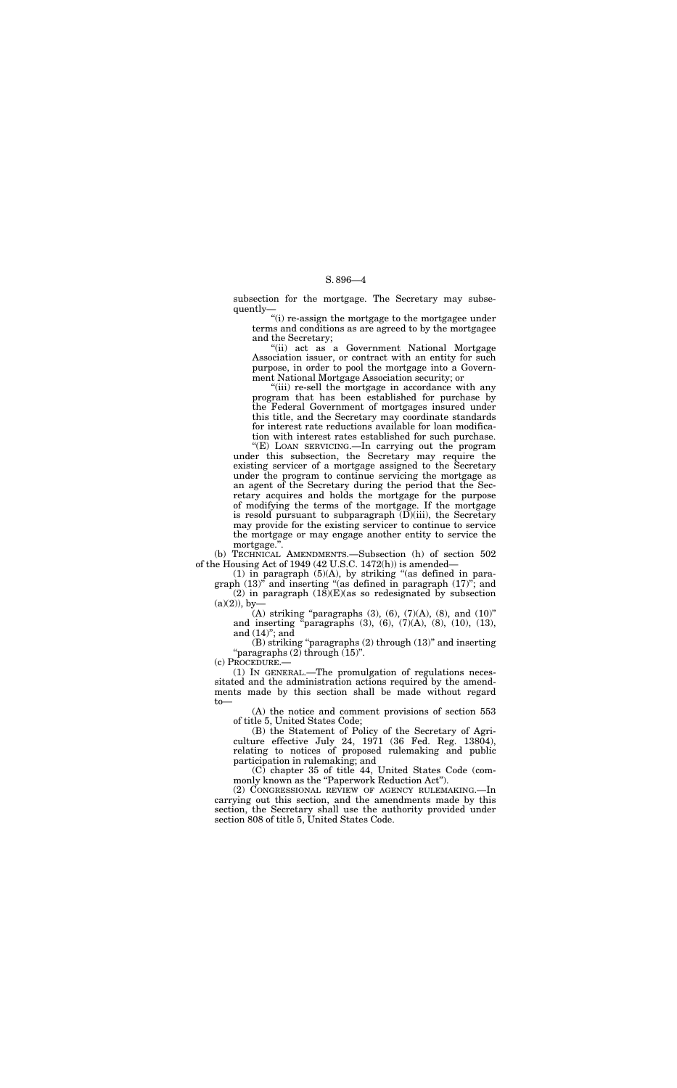subsection for the mortgage. The Secretary may subsequently—

''(i) re-assign the mortgage to the mortgagee under terms and conditions as are agreed to by the mortgagee and the Secretary;

''(ii) act as a Government National Mortgage Association issuer, or contract with an entity for such purpose, in order to pool the mortgage into a Government National Mortgage Association security; or

"(iii) re-sell the mortgage in accordance with any program that has been established for purchase by the Federal Government of mortgages insured under this title, and the Secretary may coordinate standards for interest rate reductions available for loan modification with interest rates established for such purchase.

"(E) LOAN SERVICING.—In carrying out the program under this subsection, the Secretary may require the existing servicer of a mortgage assigned to the Secretary under the program to continue servicing the mortgage as an agent of the Secretary during the period that the Secretary acquires and holds the mortgage for the purpose of modifying the terms of the mortgage. If the mortgage is resold pursuant to subparagraph (D)(iii), the Secretary may provide for the existing servicer to continue to service the mortgage or may engage another entity to service the mortgage.''.

(B) striking ''paragraphs (2) through (13)'' and inserting "paragraphs  $(2)$  through  $(15)$ ".

(C) chapter 35 of title 44, United States Code (commonly known as the "Paperwork Reduction Act").

(b) TECHNICAL AMENDMENTS.—Subsection (h) of section 502 of the Housing Act of 1949 (42 U.S.C. 1472(h)) is amended—

(1) in paragraph  $(5)(A)$ , by striking "(as defined in paragraph  $(13)$ <sup>"</sup> and inserting "(as defined in paragraph  $(17)$ "; and

(2) in paragraph  $(18)(E)$ (as so redesignated by subsection  $(a)(2)$ , by-

(A) striking "paragraphs (3), (6), (7)(A), (8), and (10)" and inserting "paragraphs (3), (6), (7)(A), (8), (10), (13), "paragraphs  $(3)$ ,  $(6)$ ,  $(7)(A)$ ,  $(8)$ ,  $(10)$ ,  $(13)$ , and  $(14)$ "; and

(c) PROCEDURE.—

(1) IN GENERAL.—The promulgation of regulations necessitated and the administration actions required by the amendments made by this section shall be made without regard to—

(A) the notice and comment provisions of section 553 of title 5, United States Code;

(B) the Statement of Policy of the Secretary of Agriculture effective July 24, 1971 (36 Fed. Reg. 13804), relating to notices of proposed rulemaking and public participation in rulemaking; and

(2) CONGRESSIONAL REVIEW OF AGENCY RULEMAKING.—In carrying out this section, and the amendments made by this section, the Secretary shall use the authority provided under section 808 of title 5, United States Code.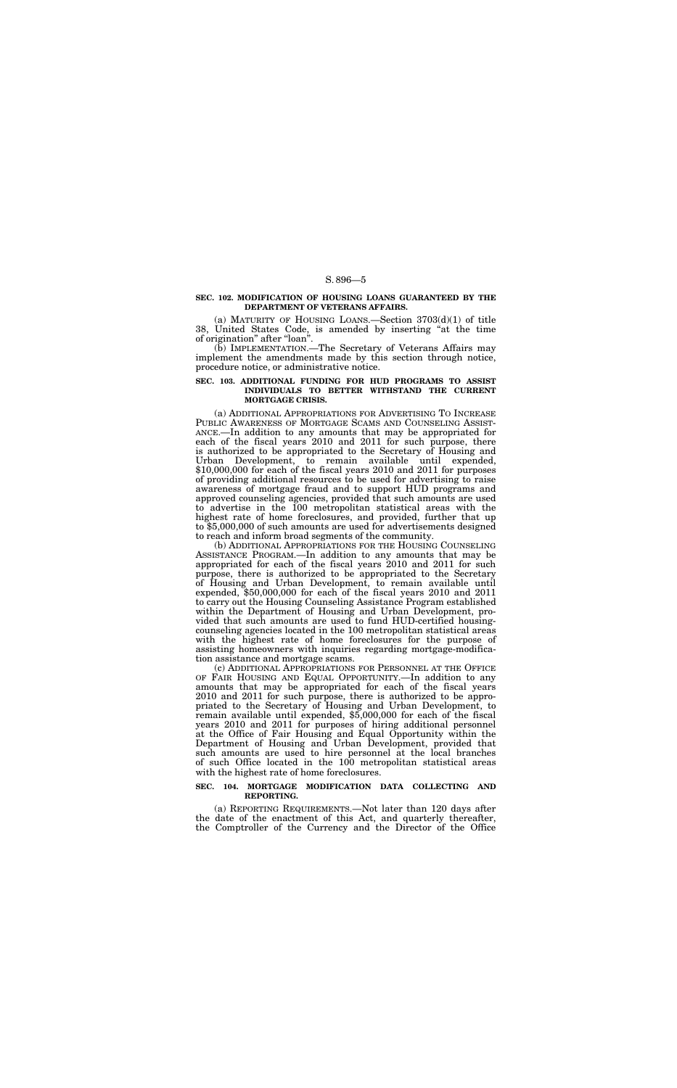(a) MATURITY OF HOUSING LOANS.—Section 3703(d)(1) of title 38, United States Code, is amended by inserting ''at the time of origination" after "loan".

#### **SEC. 102. MODIFICATION OF HOUSING LOANS GUARANTEED BY THE DEPARTMENT OF VETERANS AFFAIRS.**

(b) IMPLEMENTATION.—The Secretary of Veterans Affairs may implement the amendments made by this section through notice, procedure notice, or administrative notice.

#### **SEC. 103. ADDITIONAL FUNDING FOR HUD PROGRAMS TO ASSIST INDIVIDUALS TO BETTER WITHSTAND THE CURRENT MORTGAGE CRISIS.**

(a) ADDITIONAL APPROPRIATIONS FOR ADVERTISING TO INCREASE PUBLIC AWARENESS OF MORTGAGE SCAMS AND COUNSELING ASSIST-ANCE.—In addition to any amounts that may be appropriated for each of the fiscal years 2010 and 2011 for such purpose, there is authorized to be appropriated to the Secretary of Housing and Urban Development, to remain available until expended, \$10,000,000 for each of the fiscal years 2010 and 2011 for purposes of providing additional resources to be used for advertising to raise awareness of mortgage fraud and to support HUD programs and approved counseling agencies, provided that such amounts are used to advertise in the 100 metropolitan statistical areas with the highest rate of home foreclosures, and provided, further that up to \$5,000,000 of such amounts are used for advertisements designed to reach and inform broad segments of the community.

(b) ADDITIONAL APPROPRIATIONS FOR THE HOUSING COUNSELING ASSISTANCE PROGRAM.—In addition to any amounts that may be appropriated for each of the fiscal years 2010 and 2011 for such purpose, there is authorized to be appropriated to the Secretary of Housing and Urban Development, to remain available until expended, \$50,000,000 for each of the fiscal years 2010 and 2011 to carry out the Housing Counseling Assistance Program established within the Department of Housing and Urban Development, provided that such amounts are used to fund HUD-certified housingcounseling agencies located in the 100 metropolitan statistical areas with the highest rate of home foreclosures for the purpose of assisting homeowners with inquiries regarding mortgage-modification assistance and mortgage scams.

(c) ADDITIONAL APPROPRIATIONS FOR PERSONNEL AT THE OFFICE OF FAIR HOUSING AND EQUAL OPPORTUNITY.—In addition to any amounts that may be appropriated for each of the fiscal years 2010 and 2011 for such purpose, there is authorized to be appropriated to the Secretary of Housing and Urban Development, to remain available until expended, \$5,000,000 for each of the fiscal years 2010 and 2011 for purposes of hiring additional personnel at the Office of Fair Housing and Equal Opportunity within the Department of Housing and Urban Development, provided that such amounts are used to hire personnel at the local branches of such Office located in the 100 metropolitan statistical areas with the highest rate of home foreclosures.

#### **SEC. 104. MORTGAGE MODIFICATION DATA COLLECTING AND REPORTING.**

(a) REPORTING REQUIREMENTS.—Not later than 120 days after the date of the enactment of this Act, and quarterly thereafter, the Comptroller of the Currency and the Director of the Office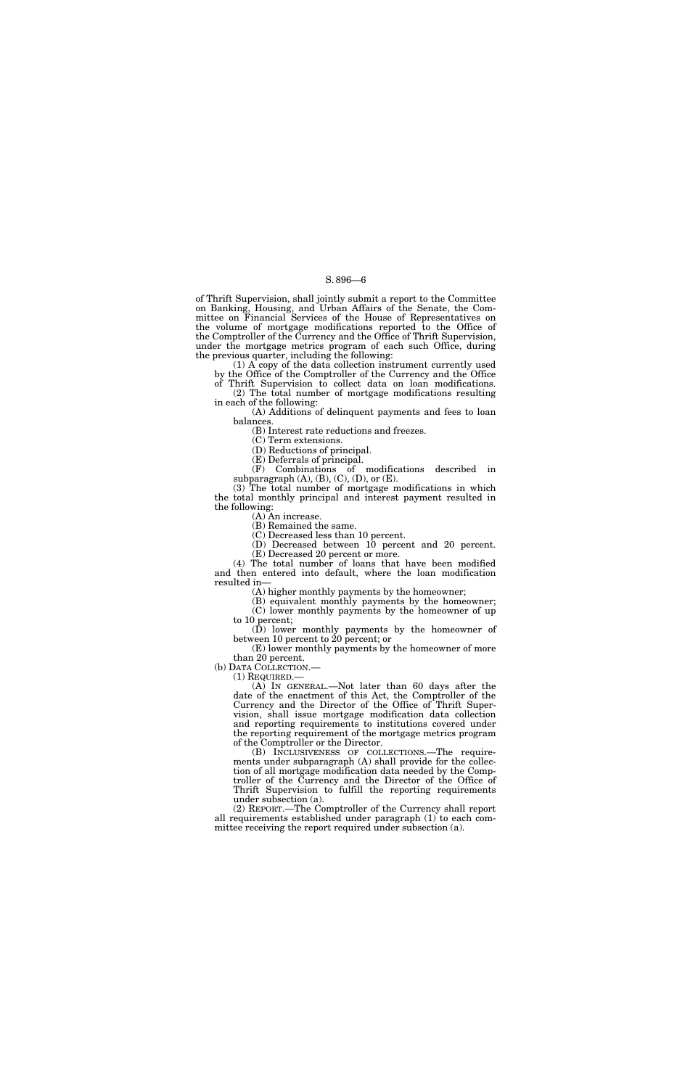of Thrift Supervision, shall jointly submit a report to the Committee on Banking, Housing, and Urban Affairs of the Senate, the Committee on Financial Services of the House of Representatives on the volume of mortgage modifications reported to the Office of the Comptroller of the Currency and the Office of Thrift Supervision, under the mortgage metrics program of each such Office, during the previous quarter, including the following:

> (F) Combinations of modifications described in subparagraph  $(A)$ ,  $(B)$ ,  $(C)$ ,  $(D)$ , or  $(E)$ .

(1) A copy of the data collection instrument currently used by the Office of the Comptroller of the Currency and the Office of Thrift Supervision to collect data on loan modifications.

(2) The total number of mortgage modifications resulting in each of the following:

(A) Additions of delinquent payments and fees to loan balances.

(B) Interest rate reductions and freezes.

(C) Term extensions.

(D) Reductions of principal.

(E) Deferrals of principal.

(3) The total number of mortgage modifications in which the total monthly principal and interest payment resulted in the following:

(A) An increase.

(B) Remained the same.

(C) Decreased less than 10 percent.

(D) Decreased between 10 percent and 20 percent. (E) Decreased 20 percent or more.

(4) The total number of loans that have been modified and then entered into default, where the loan modification resulted in—

(A) higher monthly payments by the homeowner;

(B) equivalent monthly payments by the homeowner; (C) lower monthly payments by the homeowner of up

to 10 percent; (D) lower monthly payments by the homeowner of

between 10 percent to 20 percent; or (E) lower monthly payments by the homeowner of more

than 20 percent.

(b) DATA COLLECTION.—

(1) REQUIRED.—

(A) IN GENERAL.—Not later than 60 days after the date of the enactment of this Act, the Comptroller of the Currency and the Director of the Office of Thrift Supervision, shall issue mortgage modification data collection and reporting requirements to institutions covered under the reporting requirement of the mortgage metrics program of the Comptroller or the Director.

(B) INCLUSIVENESS OF COLLECTIONS.—The requirements under subparagraph (A) shall provide for the collection of all mortgage modification data needed by the Comptroller of the Currency and the Director of the Office of Thrift Supervision to fulfill the reporting requirements under subsection (a).

(2) REPORT.—The Comptroller of the Currency shall report all requirements established under paragraph (1) to each committee receiving the report required under subsection (a).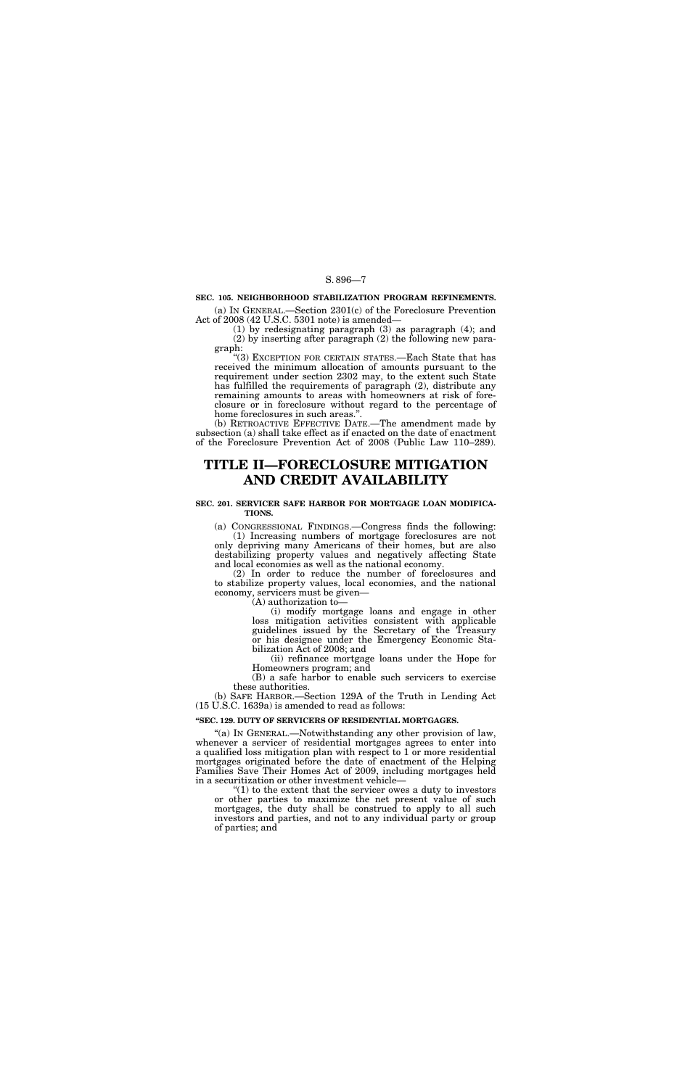## **SEC. 105. NEIGHBORHOOD STABILIZATION PROGRAM REFINEMENTS.**

(a) IN GENERAL.—Section 2301(c) of the Foreclosure Prevention Act of 2008 (42 U.S.C. 5301 note) is amended—

(1) by redesignating paragraph (3) as paragraph (4); and (2) by inserting after paragraph (2) the following new paragraph:

''(3) EXCEPTION FOR CERTAIN STATES.—Each State that has received the minimum allocation of amounts pursuant to the requirement under section 2302 may, to the extent such State has fulfilled the requirements of paragraph (2), distribute any remaining amounts to areas with homeowners at risk of foreclosure or in foreclosure without regard to the percentage of home foreclosures in such areas.''.

(b) RETROACTIVE EFFECTIVE DATE.—The amendment made by subsection (a) shall take effect as if enacted on the date of enactment of the Foreclosure Prevention Act of 2008 (Public Law 110–289).

## **TITLE II—FORECLOSURE MITIGATION AND CREDIT AVAILABILITY**

#### **SEC. 201. SERVICER SAFE HARBOR FOR MORTGAGE LOAN MODIFICA-TIONS.**

(a) CONGRESSIONAL FINDINGS.—Congress finds the following:

(1) Increasing numbers of mortgage foreclosures are not only depriving many Americans of their homes, but are also destabilizing property values and negatively affecting State and local economies as well as the national economy.

 $''(1)$  to the extent that the servicer owes a duty to investors or other parties to maximize the net present value of such mortgages, the duty shall be construed to apply to all such investors and parties, and not to any individual party or group of parties; and

(2) In order to reduce the number of foreclosures and to stabilize property values, local economies, and the national economy, servicers must be given—

(A) authorization to—

(i) modify mortgage loans and engage in other loss mitigation activities consistent with applicable guidelines issued by the Secretary of the Treasury or his designee under the Emergency Economic Stabilization Act of 2008; and

(ii) refinance mortgage loans under the Hope for Homeowners program; and

(B) a safe harbor to enable such servicers to exercise these authorities.

(b) SAFE HARBOR.—Section 129A of the Truth in Lending Act (15 U.S.C. 1639a) is amended to read as follows:

#### **''SEC. 129. DUTY OF SERVICERS OF RESIDENTIAL MORTGAGES.**

''(a) IN GENERAL.—Notwithstanding any other provision of law, whenever a servicer of residential mortgages agrees to enter into a qualified loss mitigation plan with respect to 1 or more residential mortgages originated before the date of enactment of the Helping Families Save Their Homes Act of 2009, including mortgages held in a securitization or other investment vehicle—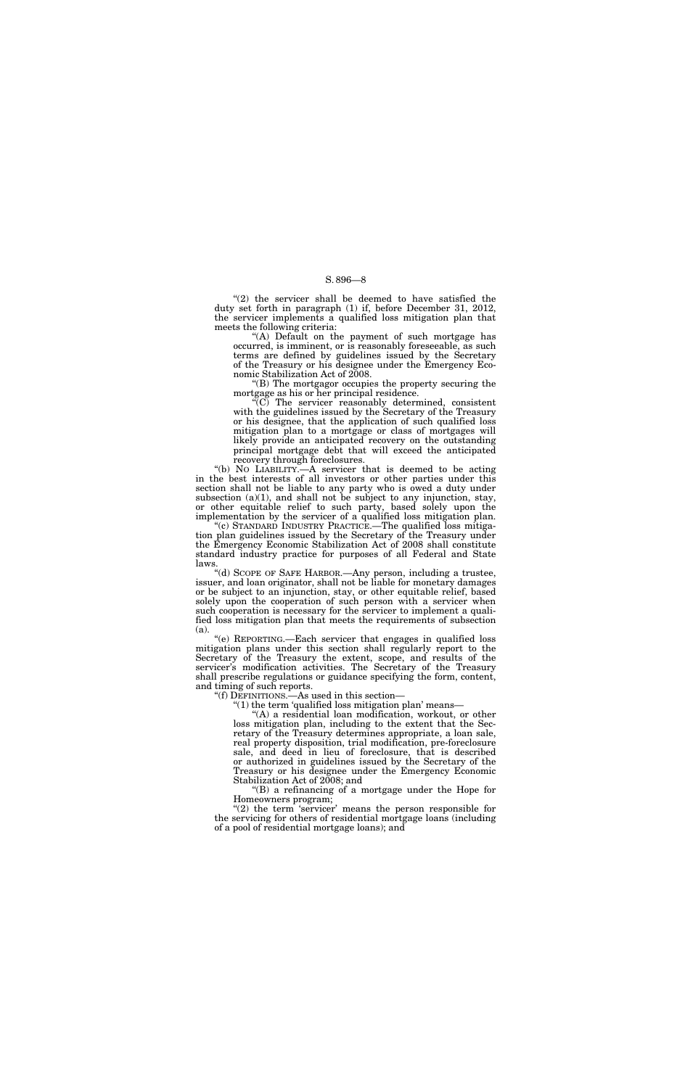" $(2)$  the servicer shall be deemed to have satisfied the duty set forth in paragraph (1) if, before December 31, 2012, the servicer implements a qualified loss mitigation plan that meets the following criteria:

"(A) Default on the payment of such mortgage has occurred, is imminent, or is reasonably foreseeable, as such terms are defined by guidelines issued by the Secretary of the Treasury or his designee under the Emergency Economic Stabilization Act of 2008.

 $\overline{C}(\overline{C})$  The servicer reasonably determined, consistent with the guidelines issued by the Secretary of the Treasury or his designee, that the application of such qualified loss mitigation plan to a mortgage or class of mortgages will likely provide an anticipated recovery on the outstanding principal mortgage debt that will exceed the anticipated recovery through foreclosures.

''(B) The mortgagor occupies the property securing the mortgage as his or her principal residence.

''(b) NO LIABILITY.—A servicer that is deemed to be acting in the best interests of all investors or other parties under this section shall not be liable to any party who is owed a duty under subsection  $(a)(1)$ , and shall not be subject to any injunction, stay, or other equitable relief to such party, based solely upon the implementation by the servicer of a qualified loss mitigation plan.

''(c) STANDARD INDUSTRY PRACTICE.—The qualified loss mitigation plan guidelines issued by the Secretary of the Treasury under the Emergency Economic Stabilization Act of 2008 shall constitute standard industry practice for purposes of all Federal and State laws.

" $(2)$  the term 'servicer' means the person responsible for the servicing for others of residential mortgage loans (including of a pool of residential mortgage loans); and

''(d) SCOPE OF SAFE HARBOR.—Any person, including a trustee, issuer, and loan originator, shall not be liable for monetary damages or be subject to an injunction, stay, or other equitable relief, based solely upon the cooperation of such person with a servicer when such cooperation is necessary for the servicer to implement a qualified loss mitigation plan that meets the requirements of subsection (a).

''(e) REPORTING.—Each servicer that engages in qualified loss mitigation plans under this section shall regularly report to the Secretary of the Treasury the extent, scope, and results of the servicer's modification activities. The Secretary of the Treasury shall prescribe regulations or guidance specifying the form, content, and timing of such reports.

''(f) DEFINITIONS.—As used in this section—

" $(1)$  the term 'qualified loss mitigation plan' means—

''(A) a residential loan modification, workout, or other loss mitigation plan, including to the extent that the Secretary of the Treasury determines appropriate, a loan sale, real property disposition, trial modification, pre-foreclosure sale, and deed in lieu of foreclosure, that is described or authorized in guidelines issued by the Secretary of the Treasury or his designee under the Emergency Economic Stabilization Act of 2008; and

''(B) a refinancing of a mortgage under the Hope for Homeowners program;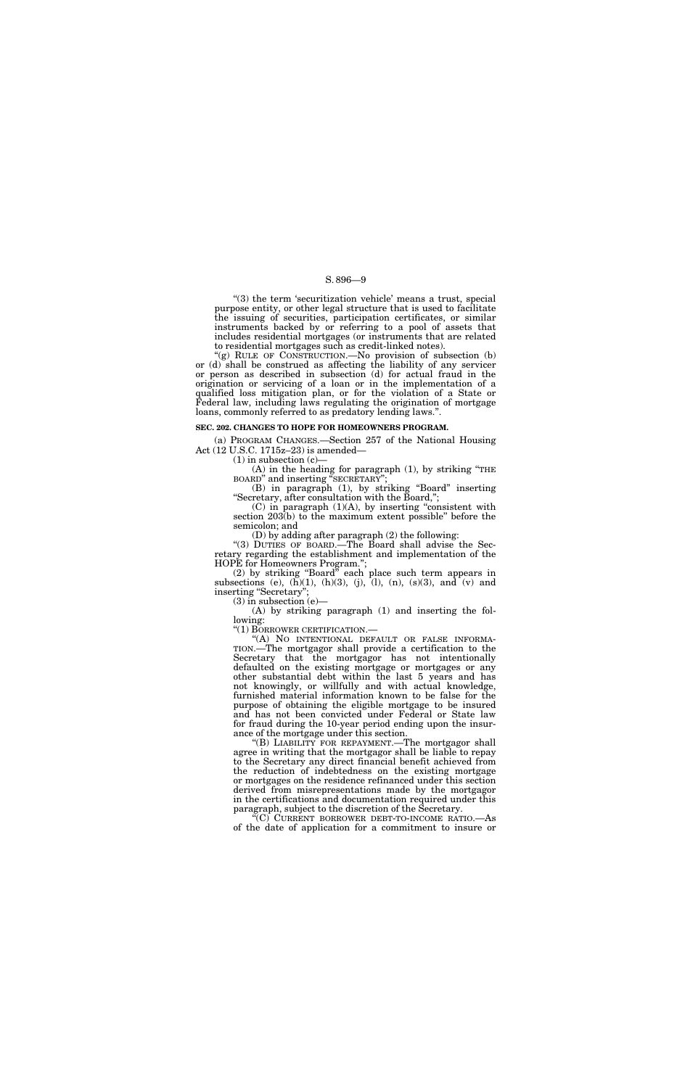"(3) the term 'securitization vehicle' means a trust, special purpose entity, or other legal structure that is used to facilitate the issuing of securities, participation certificates, or similar instruments backed by or referring to a pool of assets that includes residential mortgages (or instruments that are related to residential mortgages such as credit-linked notes).

"(g) RULE OF CONSTRUCTION.—No provision of subsection (b) or (d) shall be construed as affecting the liability of any servicer or person as described in subsection (d) for actual fraud in the origination or servicing of a loan or in the implementation of a qualified loss mitigation plan, or for the violation of a State or Federal law, including laws regulating the origination of mortgage loans, commonly referred to as predatory lending laws.''.

(2) by striking ''Board'' each place such term appears in subsections (e),  $(h)(1)$ ,  $(h)(3)$ ,  $(j)$ ,  $(l)$ ,  $(n)$ ,  $(s)(3)$ , and  $(v)$  and inserting "Secretary"

(3) in subsection  $(e)$ —

#### **SEC. 202. CHANGES TO HOPE FOR HOMEOWNERS PROGRAM.**

(a) PROGRAM CHANGES.—Section 257 of the National Housing Act (12 U.S.C. 1715z–23) is amended—

 $(1)$  in subsection  $(c)$ -

(A) in the heading for paragraph (1), by striking ''THE BOARD'' and inserting ''SECRETARY'';

(B) in paragraph (1), by striking ''Board'' inserting ''Secretary, after consultation with the Board,'';

(C) in paragraph (1)(A), by inserting ''consistent with section 203(b) to the maximum extent possible'' before the semicolon; and

(D) by adding after paragraph (2) the following:

"(B) LIABILITY FOR REPAYMENT.—The mortgagor shall agree in writing that the mortgagor shall be liable to repay to the Secretary any direct financial benefit achieved from the reduction of indebtedness on the existing mortgage or mortgages on the residence refinanced under this section derived from misrepresentations made by the mortgagor in the certifications and documentation required under this paragraph, subject to the discretion of the Secretary.

''(3) DUTIES OF BOARD.—The Board shall advise the Secretary regarding the establishment and implementation of the HOPE for Homeowners Program.'';

(A) by striking paragraph (1) and inserting the following:

''(1) BORROWER CERTIFICATION.—

''(A) NO INTENTIONAL DEFAULT OR FALSE INFORMA-TION.—The mortgagor shall provide a certification to the Secretary that the mortgagor has not intentionally defaulted on the existing mortgage or mortgages or any other substantial debt within the last 5 years and has not knowingly, or willfully and with actual knowledge, furnished material information known to be false for the purpose of obtaining the eligible mortgage to be insured and has not been convicted under Federal or State law for fraud during the 10-year period ending upon the insurance of the mortgage under this section.

''(C) CURRENT BORROWER DEBT-TO-INCOME RATIO.—As of the date of application for a commitment to insure or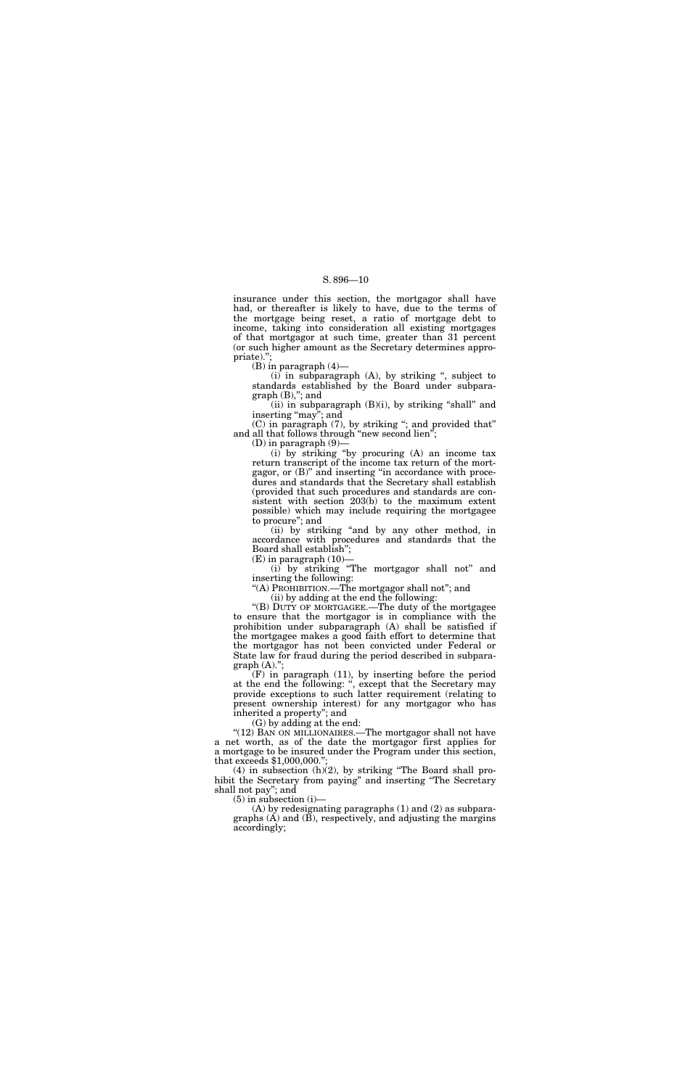insurance under this section, the mortgagor shall have had, or thereafter is likely to have, due to the terms of the mortgage being reset, a ratio of mortgage debt to income, taking into consideration all existing mortgages of that mortgagor at such time, greater than 31 percent (or such higher amount as the Secretary determines appropriate).

 $(E)$  in paragraph  $(4)$ —

 $(i)$  in subparagraph  $(A)$ , by striking ", subject to standards established by the Board under subpara $graph(B,"; and$ 

 $(iii)$  in subparagraph  $(B)(i)$ , by striking "shall" and inserting "may"; and

(C) in paragraph (7), by striking ''; and provided that'' and all that follows through "new second lien";

(D) in paragraph (9)—

(i) by striking ''by procuring (A) an income tax return transcript of the income tax return of the mortgagor, or (B)'' and inserting ''in accordance with procedures and standards that the Secretary shall establish (provided that such procedures and standards are consistent with section 203(b) to the maximum extent possible) which may include requiring the mortgagee to procure''; and

(ii) by striking ''and by any other method, in accordance with procedures and standards that the Board shall establish'';

 $(E)$  in paragraph  $(10)$ –

(i) by striking ''The mortgagor shall not'' and inserting the following:

''(A) PROHIBITION.—The mortgagor shall not''; and

(ii) by adding at the end the following:

"(B) DUTY OF MORTGAGEE.—The duty of the mortgagee to ensure that the mortgagor is in compliance with the prohibition under subparagraph (A) shall be satisfied if the mortgagee makes a good faith effort to determine that the mortgagor has not been convicted under Federal or State law for fraud during the period described in subpara $graph (A).$ ";

(F) in paragraph (11), by inserting before the period at the end the following: '', except that the Secretary may provide exceptions to such latter requirement (relating to present ownership interest) for any mortgagor who has inherited a property''; and

(G) by adding at the end:

"(12) BAN ON MILLIONAIRES.—The mortgagor shall not have a net worth, as of the date the mortgagor first applies for a mortgage to be insured under the Program under this section, that exceeds \$1,000,000."

(4) in subsection (h)(2), by striking ''The Board shall prohibit the Secretary from paying" and inserting "The Secretary shall not pay''; and

(5) in subsection (i)—

(A) by redesignating paragraphs (1) and (2) as subparagraphs  $(A)$  and  $(B)$ , respectively, and adjusting the margins accordingly;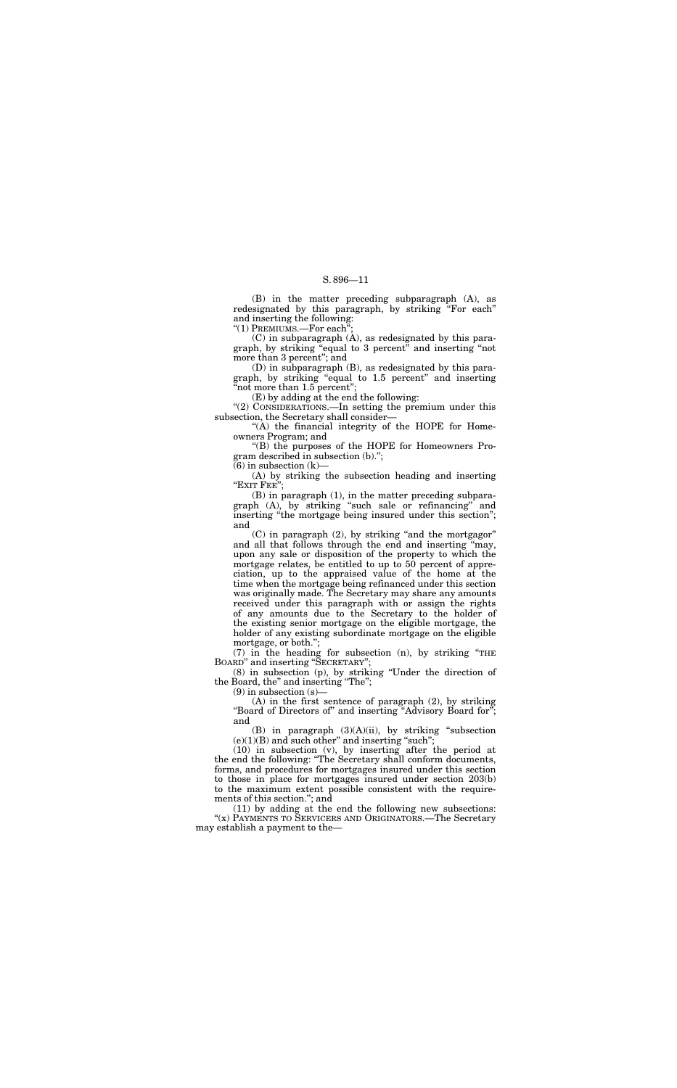(B) in the matter preceding subparagraph (A), as redesignated by this paragraph, by striking ''For each'' and inserting the following:

"(1) PREMIUMS.—For each"

 $(C)$  in subparagraph  $(A)$ , as redesignated by this paragraph, by striking "equal to 3 percent" and inserting "not more than 3 percent''; and

(D) in subparagraph (B), as redesignated by this paragraph, by striking ''equal to 1.5 percent'' and inserting "not more than  $1.5$  percent";

"(2) CONSIDERATIONS.—In setting the premium under this subsection, the Secretary shall consider—

"(A) the financial integrity of the HOPE for Homeowners Program; and

(A) by striking the subsection heading and inserting "EXIT FEE";

(E) by adding at the end the following:

''(B) the purposes of the HOPE for Homeowners Program described in subsection (b).'';

 $(6)$  in subsection  $(k)$ —

(7) in the heading for subsection (n), by striking ''THE BOARD" and inserting "SECRETARY"

(B) in paragraph (1), in the matter preceding subparagraph (A), by striking "such sale or refinancing" and inserting "the mortgage being insured under this section"; and

(B) in paragraph (3)(A)(ii), by striking ''subsection  $(e)(1)(B)$  and such other" and inserting "such";

(C) in paragraph (2), by striking ''and the mortgagor'' and all that follows through the end and inserting ''may, upon any sale or disposition of the property to which the mortgage relates, be entitled to up to 50 percent of appreciation, up to the appraised value of the home at the time when the mortgage being refinanced under this section was originally made. The Secretary may share any amounts received under this paragraph with or assign the rights of any amounts due to the Secretary to the holder of the existing senior mortgage on the eligible mortgage, the holder of any existing subordinate mortgage on the eligible mortgage, or both.'';

(8) in subsection (p), by striking ''Under the direction of the Board, the'' and inserting ''The'';

(9) in subsection (s)—

(A) in the first sentence of paragraph (2), by striking "Board of Directors of" and inserting "Advisory Board for"; and

(10) in subsection (v), by inserting after the period at the end the following: ''The Secretary shall conform documents, forms, and procedures for mortgages insured under this section to those in place for mortgages insured under section 203(b) to the maximum extent possible consistent with the requirements of this section.''; and

(11) by adding at the end the following new subsections: "(x) PAYMENTS TO SERVICERS AND ORIGINATORS.—The Secretary may establish a payment to the—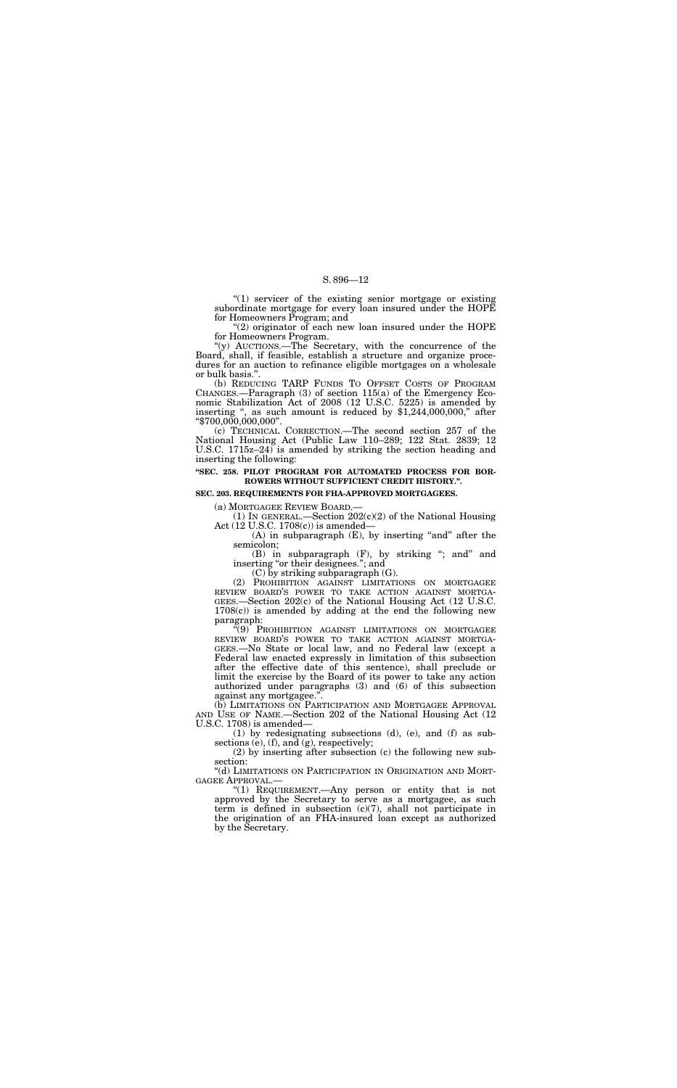''(1) servicer of the existing senior mortgage or existing subordinate mortgage for every loan insured under the HOPE for Homeowners Program; and

"(2) originator of each new loan insured under the HOPE for Homeowners Program.

(b) REDUCING TARP FUNDS TO OFFSET COSTS OF PROGRAM CHANGES.—Paragraph (3) of section 115(a) of the Emergency Economic Stabilization Act of 2008 (12 U.S.C. 5225) is amended by inserting ", as such amount is reduced by \$1,244,000,000," after  $\frac{1}{2}700,000,000,000$ 

''(y) AUCTIONS.—The Secretary, with the concurrence of the Board, shall, if feasible, establish a structure and organize procedures for an auction to refinance eligible mortgages on a wholesale or bulk basis.''.

(1) IN GENERAL.—Section  $202(c)(2)$  of the National Housing Act (12 U.S.C. 1708(c)) is amended—

 $(A)$  in subparagraph  $(E)$ , by inserting "and" after the semicolon;

(B) in subparagraph (F), by striking "; and" and inserting "or their designees."; and

''(9) PROHIBITION AGAINST LIMITATIONS ON MORTGAGEE REVIEW BOARD'S POWER TO TAKE ACTION AGAINST MORTGA-GEES.—No State or local law, and no Federal law (except a Federal law enacted expressly in limitation of this subsection after the effective date of this sentence), shall preclude or limit the exercise by the Board of its power to take any action authorized under paragraphs (3) and (6) of this subsection against any mortgagee."

(c) TECHNICAL CORRECTION.—The second section 257 of the National Housing Act (Public Law 110–289; 122 Stat. 2839; 12 U.S.C. 1715z–24) is amended by striking the section heading and inserting the following:

## **''SEC. 258. PILOT PROGRAM FOR AUTOMATED PROCESS FOR BOR-ROWERS WITHOUT SUFFICIENT CREDIT HISTORY.''.**

#### **SEC. 203. REQUIREMENTS FOR FHA-APPROVED MORTGAGEES.**

(a) MORTGAGEE REVIEW BOARD.—

"(1) REQUIREMENT.—Any person or entity that is not approved by the Secretary to serve as a mortgagee, as such term is defined in subsection (c)(7), shall not participate in the origination of an FHA-insured loan except as authorized by the Secretary.

(C) by striking subparagraph (G).

(2) PROHIBITION AGAINST LIMITATIONS ON MORTGAGEE REVIEW BOARD'S POWER TO TAKE ACTION AGAINST MORTGA-GEES.—Section 202(c) of the National Housing Act (12 U.S.C. 1708(c)) is amended by adding at the end the following new paragraph:

(b) LIMITATIONS ON PARTICIPATION AND MORTGAGEE APPROVAL AND USE OF NAME.—Section 202 of the National Housing Act (12 U.S.C. 1708) is amended—

(1) by redesignating subsections (d), (e), and (f) as subsections (e), (f), and (g), respectively;

(2) by inserting after subsection (c) the following new subsection:

 $\mbox{``(d)}$  LIMITATIONS ON PARTICIPATION IN ORIGINATION AND MORT-GAGEE APPROVAL.—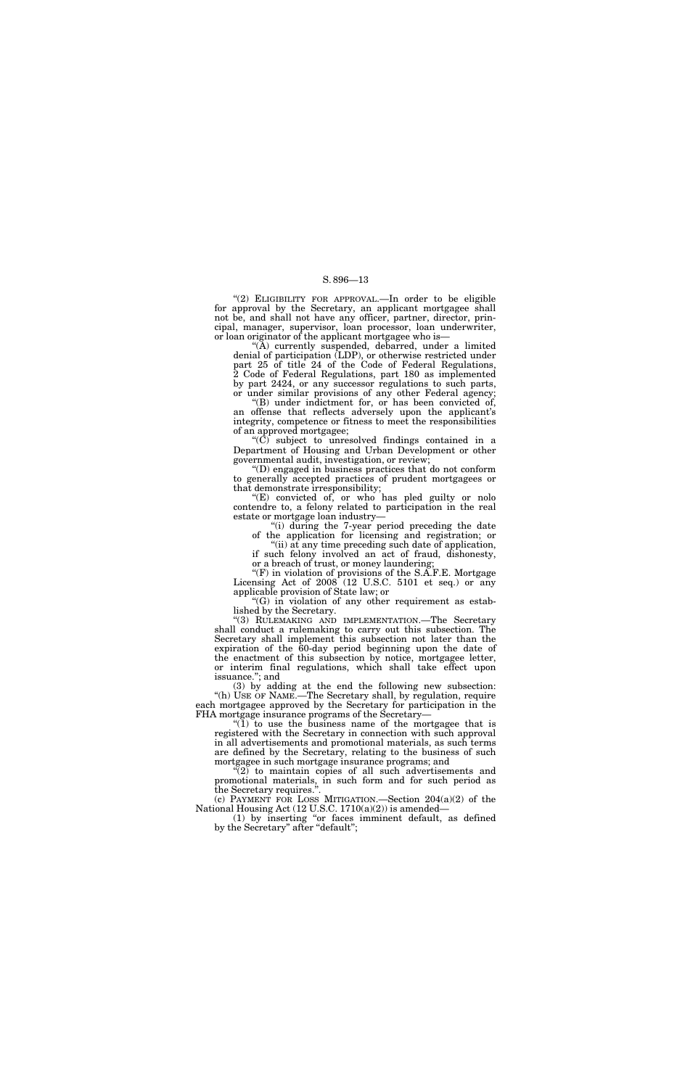"(2) ELIGIBILITY FOR APPROVAL.—In order to be eligible for approval by the Secretary, an applicant mortgagee shall not be, and shall not have any officer, partner, director, principal, manager, supervisor, loan processor, loan underwriter, or loan originator of the applicant mortgagee who is—

''(A) currently suspended, debarred, under a limited denial of participation (LDP), or otherwise restricted under part 25 of title 24 of the Code of Federal Regulations, 2 Code of Federal Regulations, part 180 as implemented by part 2424, or any successor regulations to such parts, or under similar provisions of any other Federal agency;

 $(C)$  subject to unresolved findings contained in a Department of Housing and Urban Development or other governmental audit, investigation, or review;

"(E) convicted of, or who has pled guilty or nolo contendre to, a felony related to participation in the real estate or mortgage loan industry—

"(i) during the 7-year period preceding the date" of the application for licensing and registration; or

''(B) under indictment for, or has been convicted of, an offense that reflects adversely upon the applicant's integrity, competence or fitness to meet the responsibilities of an approved mortgagee;

"(ii) at any time preceding such date of application, if such felony involved an act of fraud, dishonesty, or a breach of trust, or money laundering;

"(F) in violation of provisions of the S.A.F.E. Mortgage Licensing Act of 2008 (12 U.S.C. 5101 et seq.) or any applicable provision of State law; or

 $(G)$  in violation of any other requirement as established by the Secretary.

''(D) engaged in business practices that do not conform to generally accepted practices of prudent mortgagees or that demonstrate irresponsibility;

" $(1)$  to use the business name of the mortgagee that is registered with the Secretary in connection with such approval in all advertisements and promotional materials, as such terms are defined by the Secretary, relating to the business of such mortgagee in such mortgage insurance programs; and

 $\sqrt{2}$  to maintain copies of all such advertisements and promotional materials, in such form and for such period as the Secretary requires.''.

(1) by inserting ''or faces imminent default, as defined by the Secretary" after "default";

''(3) RULEMAKING AND IMPLEMENTATION.—The Secretary shall conduct a rulemaking to carry out this subsection. The Secretary shall implement this subsection not later than the expiration of the 60-day period beginning upon the date of the enactment of this subsection by notice, mortgagee letter, or interim final regulations, which shall take effect upon issuance.''; and

(3) by adding at the end the following new subsection: "(h) USE OF NAME.—The Secretary shall, by regulation, require each mortgagee approved by the Secretary for participation in the FHA mortgage insurance programs of the Secretary—

(c) PAYMENT FOR LOSS MITIGATION.—Section 204(a)(2) of the National Housing Act (12 U.S.C. 1710(a)(2)) is amended—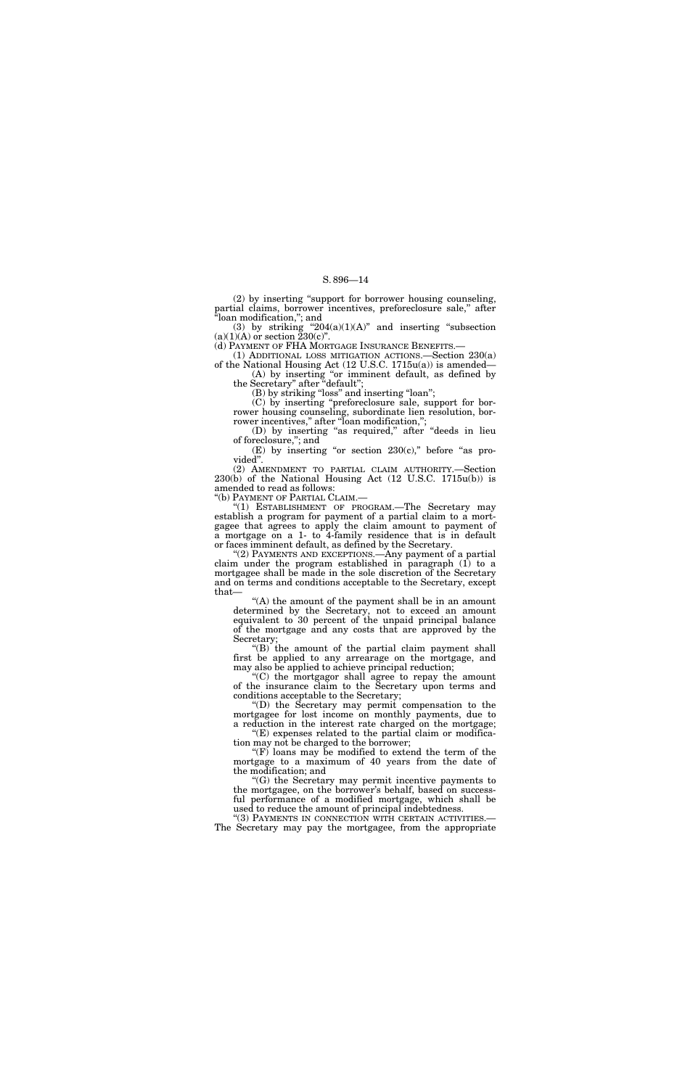(2) by inserting ''support for borrower housing counseling, partial claims, borrower incentives, preforeclosure sale," after 'loan modification,"; and

(3) by striking " $204(a)(1)(A)$ " and inserting "subsection"  $(a)(1)(A)$  or section 230 $(c)$ ".

(C) by inserting ''preforeclosure sale, support for borrower housing counseling, subordinate lien resolution, borrower incentives," after "loan modification,";

(d) PAYMENT OF FHA MORTGAGE INSURANCE BENEFITS.—

(1) ADDITIONAL LOSS MITIGATION ACTIONS.—Section 230(a) of the National Housing Act (12 U.S.C. 1715u(a)) is amended—

(D) by inserting "as required," after "deeds in lieu of foreclosure,''; and

(E) by inserting "or section  $230(c)$ ," before "as provided''.

(A) by inserting ''or imminent default, as defined by the Secretary'' after ''default'';

(B) by striking ''loss'' and inserting ''loan'';

"(1) ESTABLISHMENT OF PROGRAM.—The Secretary may establish a program for payment of a partial claim to a mortgagee that agrees to apply the claim amount to payment of a mortgage on a 1- to 4-family residence that is in default or faces imminent default, as defined by the Secretary.

"(2) PAYMENTS AND EXCEPTIONS.—Any payment of a partial claim under the program established in paragraph (1) to a mortgagee shall be made in the sole discretion of the Secretary and on terms and conditions acceptable to the Secretary, except that—

(2) AMENDMENT TO PARTIAL CLAIM AUTHORITY.—Section 230(b) of the National Housing Act (12 U.S.C. 1715u(b)) is amended to read as follows:

"(B) the amount of the partial claim payment shall first be applied to any arrearage on the mortgage, and may also be applied to achieve principal reduction;

''(b) PAYMENT OF PARTIAL CLAIM.—

 $E(E)$  expenses related to the partial claim or modification may not be charged to the borrower;

" $(F)$  loans may be modified to extend the term of the mortgage to a maximum of 40 years from the date of the modification; and

"(3) PAYMENTS IN CONNECTION WITH CERTAIN ACTIVITIES.-The Secretary may pay the mortgagee, from the appropriate

''(A) the amount of the payment shall be in an amount determined by the Secretary, not to exceed an amount equivalent to 30 percent of the unpaid principal balance of the mortgage and any costs that are approved by the Secretary;

''(C) the mortgagor shall agree to repay the amount of the insurance claim to the Secretary upon terms and conditions acceptable to the Secretary;

''(D) the Secretary may permit compensation to the mortgagee for lost income on monthly payments, due to a reduction in the interest rate charged on the mortgage;

''(G) the Secretary may permit incentive payments to the mortgagee, on the borrower's behalf, based on successful performance of a modified mortgage, which shall be used to reduce the amount of principal indebtedness.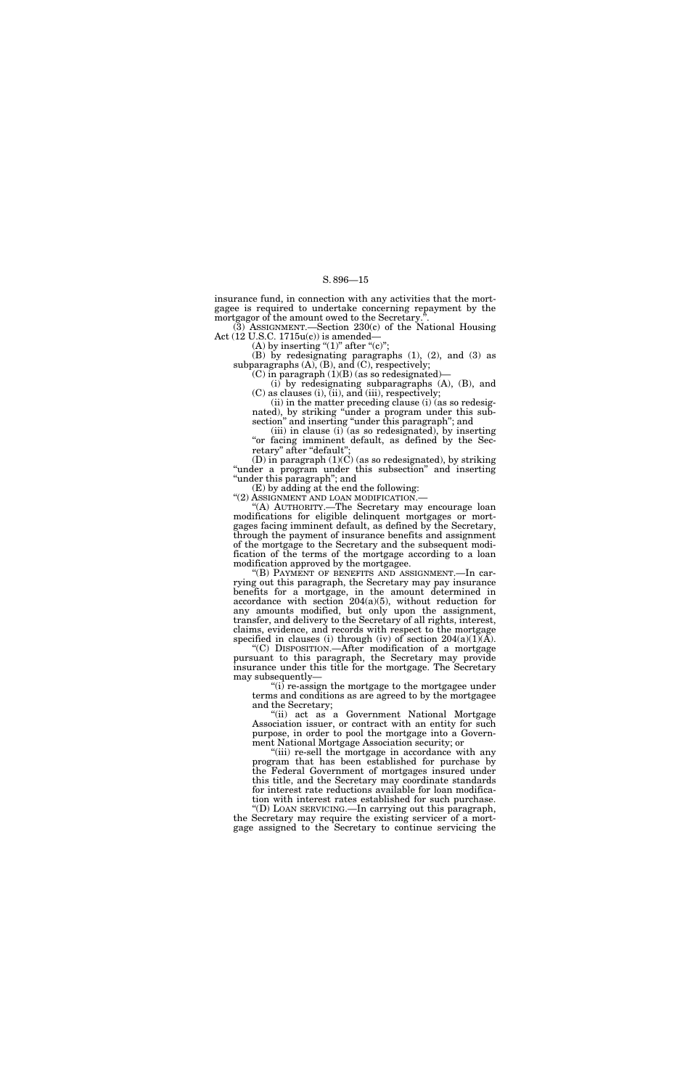insurance fund, in connection with any activities that the mortgagee is required to undertake concerning repayment by the mortgagor of the amount owed to the Secretary.

(3) ASSIGNMENT.—Section 230(c) of the National Housing Act (12 U.S.C. 1715u(c)) is amended—

(A) by inserting " $(1)$ " after " $(c)$ ";

(iii) in clause (i) (as so redesignated), by inserting ''or facing imminent default, as defined by the Secretary" after "default"

(B) by redesignating paragraphs (1), (2), and (3) as subparagraphs (A), (B), and (C), respectively;

 $(C)$  in paragraph  $(1)(B)$  (as so redesignated)-

(D) in paragraph  $(1)(C)$  (as so redesignated), by striking "under a program under this subsection" and inserting ''under this paragraph''; and

(i) by redesignating subparagraphs (A), (B), and (C) as clauses (i), (ii), and (iii), respectively;

(ii) in the matter preceding clause (i) (as so redesignated), by striking ''under a program under this subsection'' and inserting ''under this paragraph''; and

''(B) PAYMENT OF BENEFITS AND ASSIGNMENT.—In carrying out this paragraph, the Secretary may pay insurance benefits for a mortgage, in the amount determined in accordance with section 204(a)(5), without reduction for any amounts modified, but only upon the assignment, transfer, and delivery to the Secretary of all rights, interest, claims, evidence, and records with respect to the mortgage specified in clauses (i) through (iv) of section  $204(a)(1)(\tilde{A})$ .

(E) by adding at the end the following:

''(2) ASSIGNMENT AND LOAN MODIFICATION.—

" $(i)$  re-assign the mortgage to the mortgagee under terms and conditions as are agreed to by the mortgagee and the Secretary;

"(ii) act as a Government National Mortgage Association issuer, or contract with an entity for such purpose, in order to pool the mortgage into a Government National Mortgage Association security; or

''(A) AUTHORITY.—The Secretary may encourage loan modifications for eligible delinquent mortgages or mortgages facing imminent default, as defined by the Secretary, through the payment of insurance benefits and assignment of the mortgage to the Secretary and the subsequent modification of the terms of the mortgage according to a loan modification approved by the mortgagee.

"(iii) re-sell the mortgage in accordance with any program that has been established for purchase by the Federal Government of mortgages insured under this title, and the Secretary may coordinate standards for interest rate reductions available for loan modification with interest rates established for such purchase.

''(C) DISPOSITION.—After modification of a mortgage pursuant to this paragraph, the Secretary may provide insurance under this title for the mortgage. The Secretary may subsequently—

''(D) LOAN SERVICING.—In carrying out this paragraph, the Secretary may require the existing servicer of a mortgage assigned to the Secretary to continue servicing the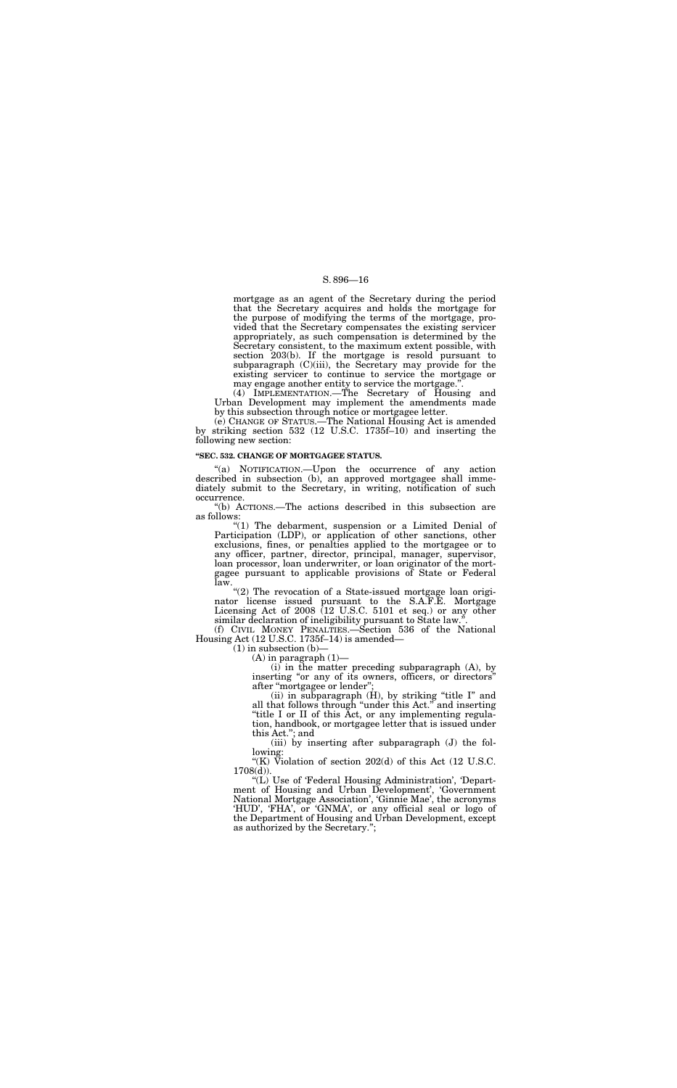mortgage as an agent of the Secretary during the period that the Secretary acquires and holds the mortgage for the purpose of modifying the terms of the mortgage, provided that the Secretary compensates the existing servicer appropriately, as such compensation is determined by the Secretary consistent, to the maximum extent possible, with section 203(b). If the mortgage is resold pursuant to subparagraph (C)(iii), the Secretary may provide for the existing servicer to continue to service the mortgage or may engage another entity to service the mortgage.''.

"(a) NOTIFICATION.—Upon the occurrence of any action described in subsection (b), an approved mortgagee shall immediately submit to the Secretary, in writing, notification of such occurrence.

(4) IMPLEMENTATION.—The Secretary of Housing and Urban Development may implement the amendments made by this subsection through notice or mortgagee letter.

"(1) The debarment, suspension or a Limited Denial of Participation (LDP), or application of other sanctions, other exclusions, fines, or penalties applied to the mortgagee or to any officer, partner, director, principal, manager, supervisor, loan processor, loan underwriter, or loan originator of the mortgagee pursuant to applicable provisions of State or Federal law.

(e) CHANGE OF STATUS.—The National Housing Act is amended by striking section 532 (12 U.S.C. 1735f–10) and inserting the following new section:

"(2) The revocation of a State-issued mortgage loan originator license issued pursuant to the S.A.F.E. Mortgage Licensing Act of 2008 (12 U.S.C. 5101 et seq.) or any other similar declaration of ineligibility pursuant to State law.''.

#### **''SEC. 532. CHANGE OF MORTGAGEE STATUS.**

(i) in the matter preceding subparagraph (A), by inserting "or any of its owners, officers, or directors' after "mortgagee or lender"

''(b) ACTIONS.—The actions described in this subsection are as follows:

> (ii) in subparagraph  $(H)$ , by striking "title I" and all that follows through ''under this Act.'' and inserting ''title I or II of this Act, or any implementing regulation, handbook, or mortgagee letter that is issued under this Act.''; and

"(K) Violation of section  $202(d)$  of this Act (12 U.S.C.) 1708(d)).

(f) CIVIL MONEY PENALTIES.—Section 536 of the National Housing Act (12 U.S.C. 1735f–14) is amended—

 $(1)$  in subsection  $(b)$ –

 $(A)$  in paragraph  $(1)$ —

(iii) by inserting after subparagraph (J) the following:

''(L) Use of 'Federal Housing Administration', 'Department of Housing and Urban Development', 'Government National Mortgage Association', 'Ginnie Mae', the acronyms 'HUD', 'FHA', or 'GNMA', or any official seal or logo of the Department of Housing and Urban Development, except as authorized by the Secretary.'';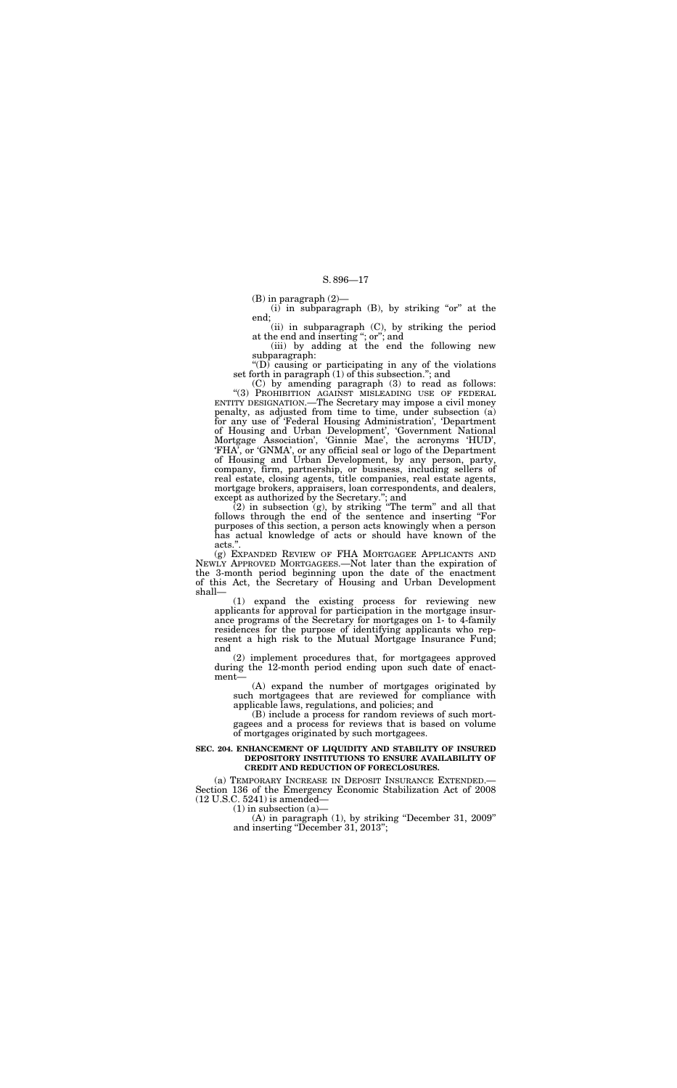(B) in paragraph (2)—

 $(i)$  in subparagraph  $(B)$ , by striking "or" at the end;

(ii) in subparagraph (C), by striking the period at the end and inserting ''; or''; and

 $\mathrm{``(D)}$  causing or participating in any of the violations set forth in paragraph (1) of this subsection.''; and

(iii) by adding at the end the following new subparagraph:

(C) by amending paragraph (3) to read as follows: ''(3) PROHIBITION AGAINST MISLEADING USE OF FEDERAL ENTITY DESIGNATION.—The Secretary may impose a civil money penalty, as adjusted from time to time, under subsection (a) for any use of 'Federal Housing Administration', 'Department of Housing and Urban Development', 'Government National Mortgage Association', 'Ginnie Mae', the acronyms 'HUD', 'FHA', or 'GNMA', or any official seal or logo of the Department of Housing and Urban Development, by any person, party, company, firm, partnership, or business, including sellers of real estate, closing agents, title companies, real estate agents, mortgage brokers, appraisers, loan correspondents, and dealers, except as authorized by the Secretary.''; and

(2) in subsection (g), by striking ''The term'' and all that follows through the end of the sentence and inserting ''For purposes of this section, a person acts knowingly when a person has actual knowledge of acts or should have known of the acts.''.

(g) EXPANDED REVIEW OF FHA MORTGAGEE APPLICANTS AND NEWLY APPROVED MORTGAGEES.—Not later than the expiration of the 3-month period beginning upon the date of the enactment of this Act, the Secretary of Housing and Urban Development shall—

(1) expand the existing process for reviewing new applicants for approval for participation in the mortgage insurance programs of the Secretary for mortgages on 1- to 4-family residences for the purpose of identifying applicants who represent a high risk to the Mutual Mortgage Insurance Fund; and

(2) implement procedures that, for mortgagees approved during the 12-month period ending upon such date of enactment—

(A) expand the number of mortgages originated by such mortgagees that are reviewed for compliance with applicable laws, regulations, and policies; and

(B) include a process for random reviews of such mortgagees and a process for reviews that is based on volume of mortgages originated by such mortgagees.

#### **SEC. 204. ENHANCEMENT OF LIQUIDITY AND STABILITY OF INSURED DEPOSITORY INSTITUTIONS TO ENSURE AVAILABILITY OF CREDIT AND REDUCTION OF FORECLOSURES.**

(a) TEMPORARY INCREASE IN DEPOSIT INSURANCE EXTENDED.— Section 136 of the Emergency Economic Stabilization Act of 2008 (12 U.S.C. 5241) is amended—

 $(1)$  in subsection  $(a)$ 

(A) in paragraph (1), by striking ''December 31, 2009'' and inserting ''December 31, 2013'';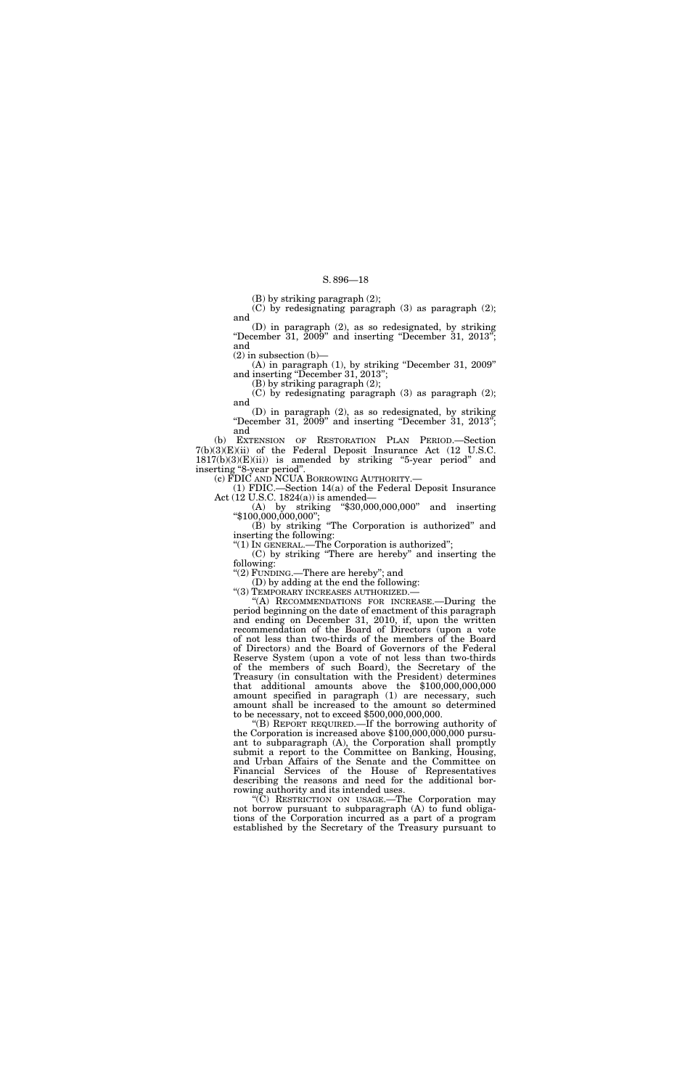(B) by striking paragraph (2);

(C) by redesignating paragraph (3) as paragraph (2); and

(D) in paragraph (2), as so redesignated, by striking ''December 31, 2009'' and inserting ''December 31, 2013''; and

 $(2)$  in subsection  $(b)$ —

(A) in paragraph (1), by striking ''December 31, 2009'' and inserting ''December 31, 2013'';

(B) by striking paragraph (2);

(C) by redesignating paragraph (3) as paragraph (2); and

(D) in paragraph (2), as so redesignated, by striking ''December 31, 2009'' and inserting ''December 31, 2013''; and

''(A) RECOMMENDATIONS FOR INCREASE.—During the period beginning on the date of enactment of this paragraph and ending on December 31, 2010, if, upon the written recommendation of the Board of Directors (upon a vote of not less than two-thirds of the members of the Board of Directors) and the Board of Governors of the Federal Reserve System (upon a vote of not less than two-thirds of the members of such Board), the Secretary of the Treasury (in consultation with the President) determines that additional amounts above the \$100,000,000,000 amount specified in paragraph (1) are necessary, such amount shall be increased to the amount so determined to be necessary, not to exceed \$500,000,000,000.<br>"(B) REPORT REQUIRED.—If the borrowing authority of

(b) EXTENSION OF RESTORATION PLAN PERIOD.—Section  $7(b)(3)(E)(ii)$  of the Federal Deposit Insurance Act (12 U.S.C.  $1817(b)(3)(E)(ii)$  is amended by striking "5-year period" and inserting ''8-year period''.

(c) FDIC AND NCUA BORROWING AUTHORITY.—

(1) FDIC.—Section 14(a) of the Federal Deposit Insurance Act (12 U.S.C. 1824(a)) is amended—

(A) by striking ''\$30,000,000,000'' and inserting ''\$100,000,000,000'';

(B) by striking ''The Corporation is authorized'' and inserting the following:

''(1) IN GENERAL.—The Corporation is authorized'';

(C) by striking ''There are hereby'' and inserting the following:

''(2) FUNDING.—There are hereby''; and

the Corporation is increased above  $$100,000,000,000$  pursuant to subparagraph (A), the Corporation shall promptly submit a report to the Committee on Banking, Housing, and Urban Affairs of the Senate and the Committee on Financial Services of the House of Representatives describing the reasons and need for the additional borrowing authority and its intended uses.

(D) by adding at the end the following:

''(3) TEMPORARY INCREASES AUTHORIZED.—

''(C) RESTRICTION ON USAGE.—The Corporation may not borrow pursuant to subparagraph (A) to fund obligations of the Corporation incurred as a part of a program established by the Secretary of the Treasury pursuant to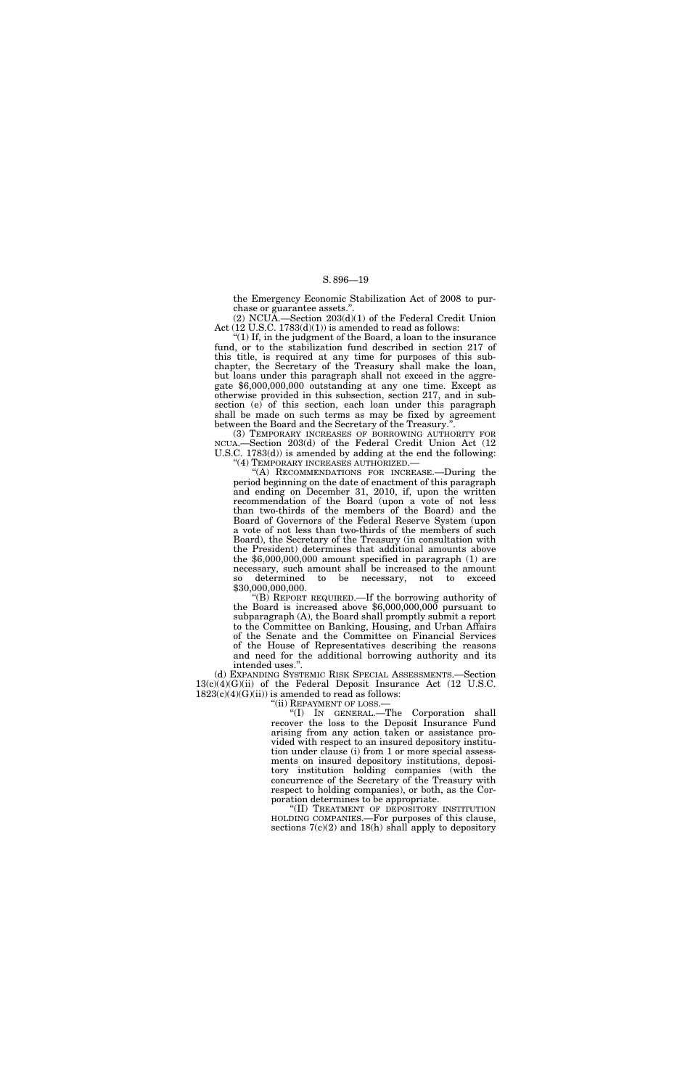the Emergency Economic Stabilization Act of 2008 to purchase or guarantee assets."

(2) NCUA.—Section 203(d)(1) of the Federal Credit Union Act  $(12 \text{ U.S.C. } 1783(d)(1))$  is amended to read as follows:

''(1) If, in the judgment of the Board, a loan to the insurance fund, or to the stabilization fund described in section 217 of this title, is required at any time for purposes of this subchapter, the Secretary of the Treasury shall make the loan, but loans under this paragraph shall not exceed in the aggregate \$6,000,000,000 outstanding at any one time. Except as otherwise provided in this subsection, section 217, and in subsection (e) of this section, each loan under this paragraph shall be made on such terms as may be fixed by agreement between the Board and the Secretary of the Treasury.

(3) TEMPORARY INCREASES OF BORROWING AUTHORITY FOR NCUA.—Section 203(d) of the Federal Credit Union Act (12 U.S.C. 1783(d)) is amended by adding at the end the following: ''(4) TEMPORARY INCREASES AUTHORIZED.—

(d) EXPANDING SYSTEMIC RISK SPECIAL ASSESSMENTS.—Section  $13(c)(4)(G)(ii)$  of the Federal Deposit Insurance Act (12 U.S.C.  $1823(c)(4)(G)(ii)$  is amended to read as follows:

"(ii) REPAYMENT OF LOSS.—

''(A) RECOMMENDATIONS FOR INCREASE.—During the period beginning on the date of enactment of this paragraph and ending on December 31, 2010, if, upon the written recommendation of the Board (upon a vote of not less than two-thirds of the members of the Board) and the Board of Governors of the Federal Reserve System (upon a vote of not less than two-thirds of the members of such Board), the Secretary of the Treasury (in consultation with the President) determines that additional amounts above the \$6,000,000,000 amount specified in paragraph (1) are necessary, such amount shall be increased to the amount so determined to be necessary, not to exceed \$30,000,000,000.

> ''(II) TREATMENT OF DEPOSITORY INSTITUTION HOLDING COMPANIES.—For purposes of this clause, sections  $7(c)(2)$  and  $18(h)$  shall apply to depository

''(B) REPORT REQUIRED.—If the borrowing authority of the Board is increased above \$6,000,000,000 pursuant to subparagraph (A), the Board shall promptly submit a report to the Committee on Banking, Housing, and Urban Affairs of the Senate and the Committee on Financial Services of the House of Representatives describing the reasons and need for the additional borrowing authority and its intended uses.''.

> ''(I) IN GENERAL.—The Corporation shall recover the loss to the Deposit Insurance Fund arising from any action taken or assistance provided with respect to an insured depository institution under clause (i) from 1 or more special assessments on insured depository institutions, depository institution holding companies (with the concurrence of the Secretary of the Treasury with respect to holding companies), or both, as the Corporation determines to be appropriate.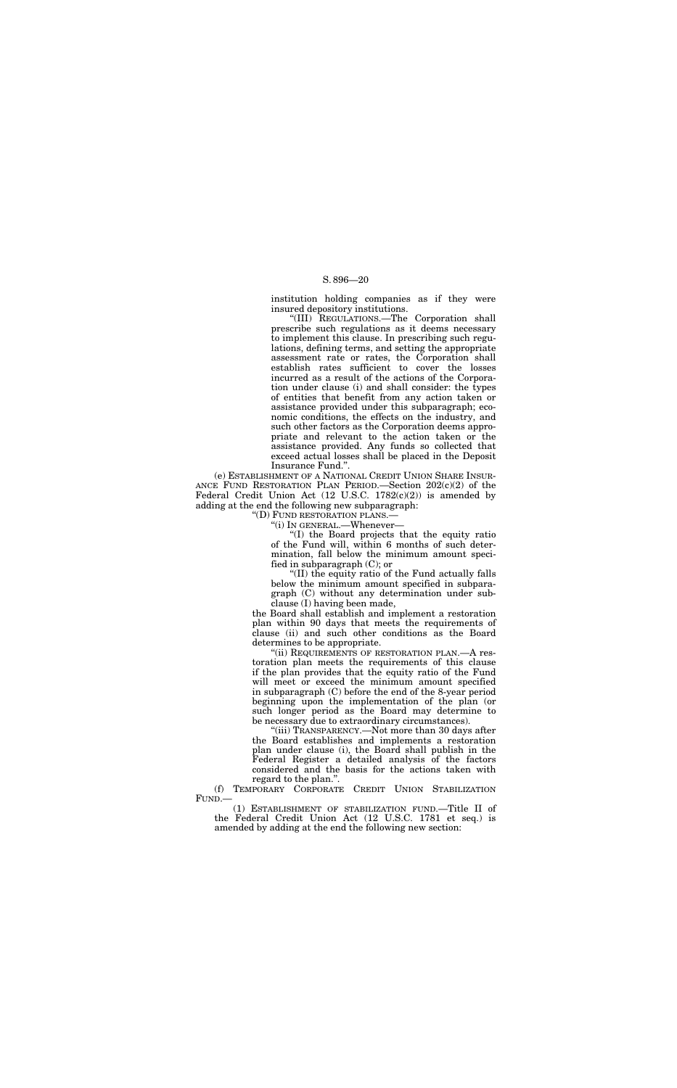institution holding companies as if they were insured depository institutions.

''(III) REGULATIONS.—The Corporation shall prescribe such regulations as it deems necessary to implement this clause. In prescribing such regulations, defining terms, and setting the appropriate assessment rate or rates, the Corporation shall establish rates sufficient to cover the losses incurred as a result of the actions of the Corporation under clause (i) and shall consider: the types of entities that benefit from any action taken or assistance provided under this subparagraph; economic conditions, the effects on the industry, and such other factors as the Corporation deems appropriate and relevant to the action taken or the assistance provided. Any funds so collected that exceed actual losses shall be placed in the Deposit Insurance Fund.''.

(e) ESTABLISHMENT OF A NATIONAL CREDIT UNION SHARE INSUR-ANCE FUND RESTORATION PLAN PERIOD.—Section 202(c)(2) of the Federal Credit Union Act  $(12 \text{ U.S.C. } 1782(c)(2))$  is amended by adding at the end the following new subparagraph:

> "(ii) REQUIREMENTS OF RESTORATION PLAN.—A restoration plan meets the requirements of this clause if the plan provides that the equity ratio of the Fund will meet or exceed the minimum amount specified in subparagraph (C) before the end of the 8-year period beginning upon the implementation of the plan (or such longer period as the Board may determine to be necessary due to extraordinary circumstances).

''(D) FUND RESTORATION PLANS.—

''(i) IN GENERAL.—Whenever—

"(iii) TRANSPARENCY.—Not more than 30 days after the Board establishes and implements a restoration plan under clause (i), the Board shall publish in the Federal Register a detailed analysis of the factors considered and the basis for the actions taken with regard to the plan.''.

''(I) the Board projects that the equity ratio of the Fund will, within 6 months of such determination, fall below the minimum amount specified in subparagraph (C); or

''(II) the equity ratio of the Fund actually falls below the minimum amount specified in subparagraph (C) without any determination under subclause (I) having been made,

the Board shall establish and implement a restoration plan within 90 days that meets the requirements of clause (ii) and such other conditions as the Board determines to be appropriate.

(f) TEMPORARY CORPORATE CREDIT UNION STABILIZATION FUND.—

(1) ESTABLISHMENT OF STABILIZATION FUND.—Title II of the Federal Credit Union Act (12 U.S.C. 1781 et seq.) is amended by adding at the end the following new section: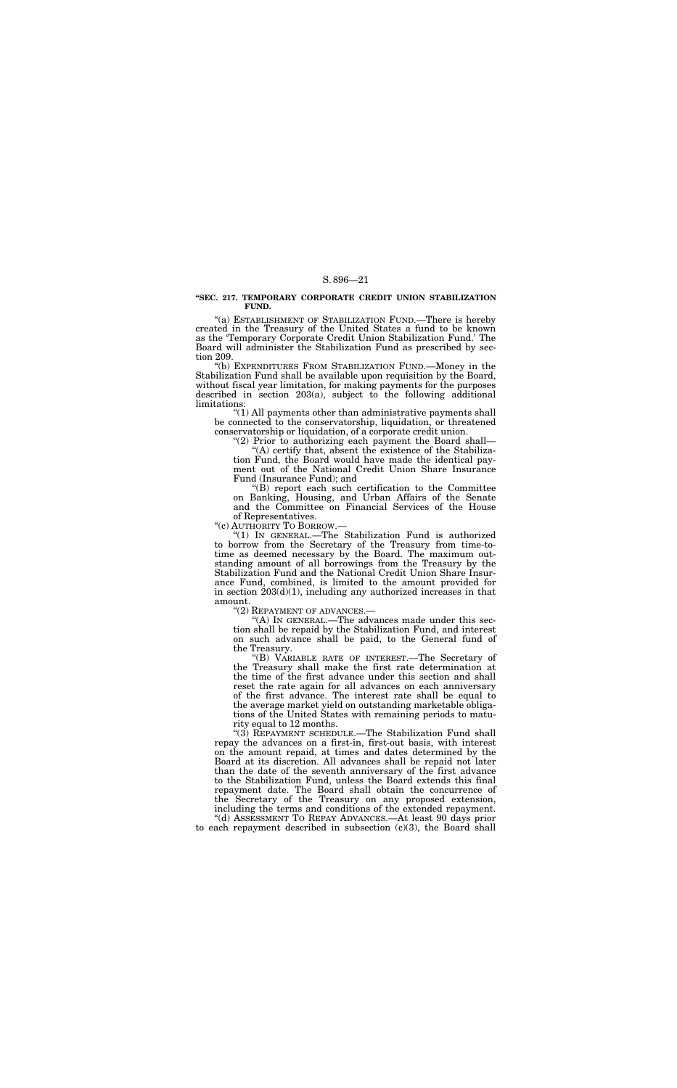#### **''SEC. 217. TEMPORARY CORPORATE CREDIT UNION STABILIZATION FUND.**

"(a) ESTABLISHMENT OF STABILIZATION FUND.—There is hereby created in the Treasury of the United States a fund to be known as the 'Temporary Corporate Credit Union Stabilization Fund.' The Board will administer the Stabilization Fund as prescribed by section 209.

"(1) All payments other than administrative payments shall be connected to the conservatorship, liquidation, or threatened conservatorship or liquidation, of a corporate credit union.

"(2) Prior to authorizing each payment the Board shall-

''(b) EXPENDITURES FROM STABILIZATION FUND.—Money in the Stabilization Fund shall be available upon requisition by the Board, without fiscal year limitation, for making payments for the purposes described in section 203(a), subject to the following additional limitations:

> "(A) certify that, absent the existence of the Stabilization Fund, the Board would have made the identical payment out of the National Credit Union Share Insurance Fund (Insurance Fund); and

> "(A) IN GENERAL.—The advances made under this section shall be repaid by the Stabilization Fund, and interest on such advance shall be paid, to the General fund of the Treasury.

> ''(B) report each such certification to the Committee on Banking, Housing, and Urban Affairs of the Senate and the Committee on Financial Services of the House of Representatives.

''(c) AUTHORITY TO BORROW.—

"(3) REPAYMENT SCHEDULE.—The Stabilization Fund shall repay the advances on a first-in, first-out basis, with interest on the amount repaid, at times and dates determined by the Board at its discretion. All advances shall be repaid not later than the date of the seventh anniversary of the first advance to the Stabilization Fund, unless the Board extends this final repayment date. The Board shall obtain the concurrence of the Secretary of the Treasury on any proposed extension, including the terms and conditions of the extended repayment. ''(d) ASSESSMENT TO REPAY ADVANCES.—At least 90 days prior

to each repayment described in subsection  $(c)(3)$ , the Board shall

''(1) IN GENERAL.—The Stabilization Fund is authorized to borrow from the Secretary of the Treasury from time-totime as deemed necessary by the Board. The maximum outstanding amount of all borrowings from the Treasury by the Stabilization Fund and the National Credit Union Share Insurance Fund, combined, is limited to the amount provided for in section 203(d)(1), including any authorized increases in that amount.

''(2) REPAYMENT OF ADVANCES.—

''(B) VARIABLE RATE OF INTEREST.—The Secretary of the Treasury shall make the first rate determination at the time of the first advance under this section and shall reset the rate again for all advances on each anniversary of the first advance. The interest rate shall be equal to the average market yield on outstanding marketable obligations of the United States with remaining periods to maturity equal to 12 months.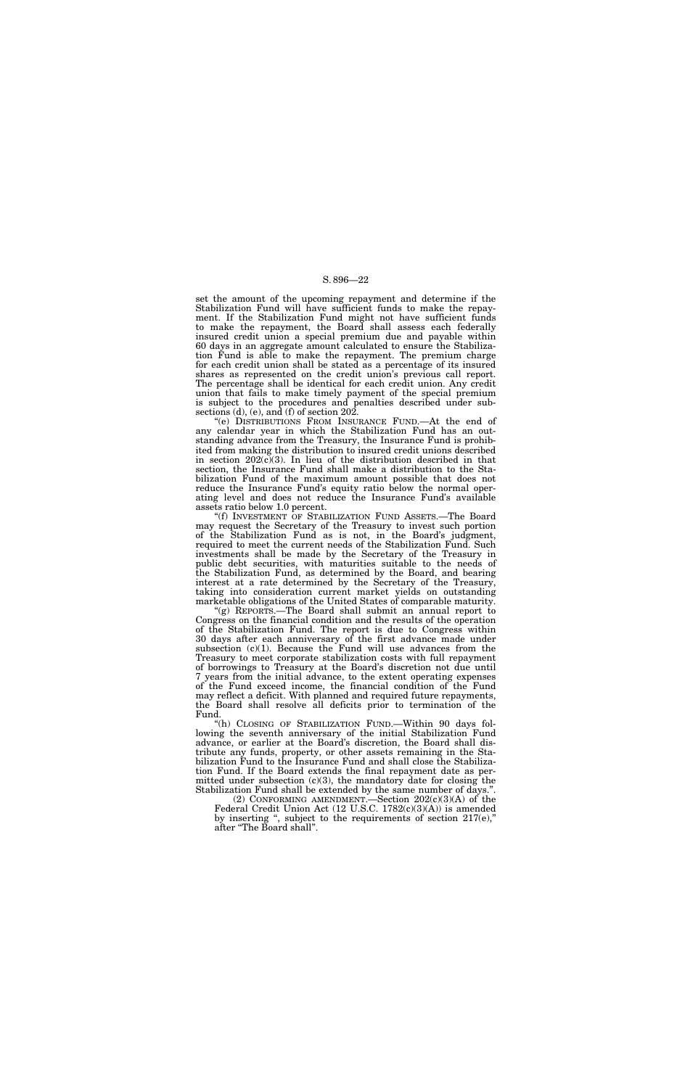set the amount of the upcoming repayment and determine if the Stabilization Fund will have sufficient funds to make the repayment. If the Stabilization Fund might not have sufficient funds to make the repayment, the Board shall assess each federally insured credit union a special premium due and payable within 60 days in an aggregate amount calculated to ensure the Stabilization Fund is able to make the repayment. The premium charge for each credit union shall be stated as a percentage of its insured shares as represented on the credit union's previous call report. The percentage shall be identical for each credit union. Any credit union that fails to make timely payment of the special premium is subject to the procedures and penalties described under subsections (d), (e), and (f) of section 202.

''(e) DISTRIBUTIONS FROM INSURANCE FUND.—At the end of any calendar year in which the Stabilization Fund has an outstanding advance from the Treasury, the Insurance Fund is prohibited from making the distribution to insured credit unions described in section 202(c)(3). In lieu of the distribution described in that section, the Insurance Fund shall make a distribution to the Stabilization Fund of the maximum amount possible that does not reduce the Insurance Fund's equity ratio below the normal operating level and does not reduce the Insurance Fund's available assets ratio below 1.0 percent.

"(g) REPORTS.—The Board shall submit an annual report to Congress on the financial condition and the results of the operation of the Stabilization Fund. The report is due to Congress within 30 days after each anniversary of the first advance made under subsection (c)(1). Because the Fund will use advances from the Treasury to meet corporate stabilization costs with full repayment of borrowings to Treasury at the Board's discretion not due until 7 years from the initial advance, to the extent operating expenses of the Fund exceed income, the financial condition of the Fund may reflect a deficit. With planned and required future repayments, the Board shall resolve all deficits prior to termination of the Fund.

''(f) INVESTMENT OF STABILIZATION FUND ASSETS.—The Board may request the Secretary of the Treasury to invest such portion of the Stabilization Fund as is not, in the Board's judgment, required to meet the current needs of the Stabilization Fund. Such investments shall be made by the Secretary of the Treasury in public debt securities, with maturities suitable to the needs of the Stabilization Fund, as determined by the Board, and bearing interest at a rate determined by the Secretary of the Treasury, taking into consideration current market yields on outstanding marketable obligations of the United States of comparable maturity.

(2) CONFORMING AMENDMENT.—Section  $202(c)(3)(A)$  of the Federal Credit Union Act (12 U.S.C. 1782(c)(3)(A)) is amended by inserting ", subject to the requirements of section  $217(e)$ , after ''The Board shall''.

''(h) CLOSING OF STABILIZATION FUND.—Within 90 days following the seventh anniversary of the initial Stabilization Fund advance, or earlier at the Board's discretion, the Board shall distribute any funds, property, or other assets remaining in the Stabilization Fund to the Insurance Fund and shall close the Stabilization Fund. If the Board extends the final repayment date as permitted under subsection  $(c)(3)$ , the mandatory date for closing the Stabilization Fund shall be extended by the same number of days.''.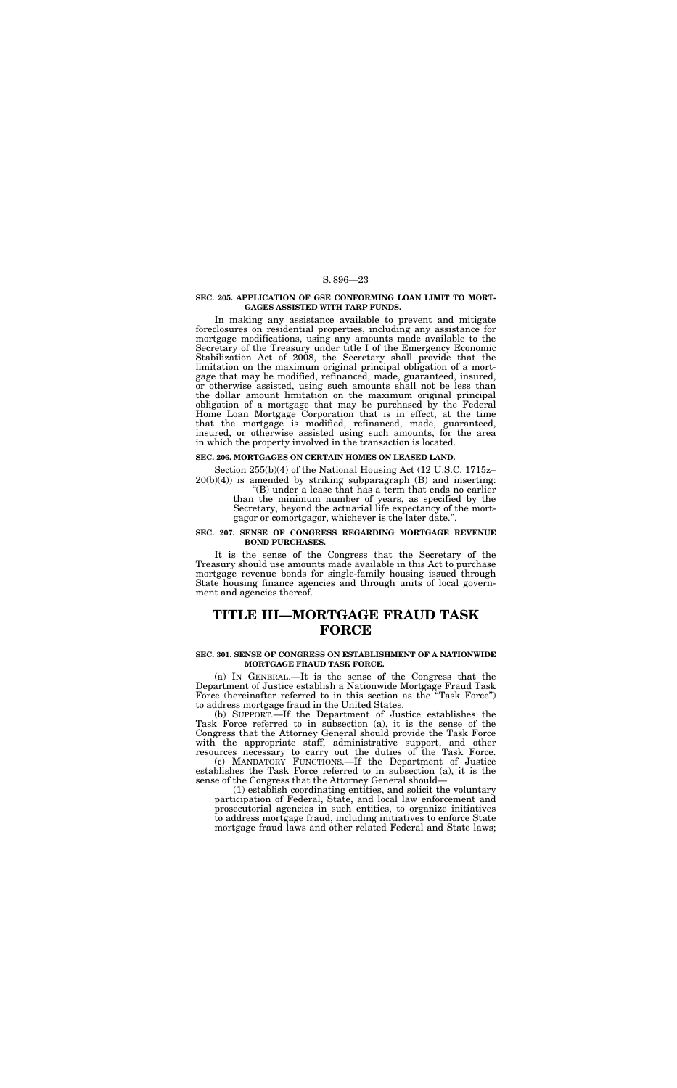In making any assistance available to prevent and mitigate foreclosures on residential properties, including any assistance for mortgage modifications, using any amounts made available to the Secretary of the Treasury under title I of the Emergency Economic Stabilization Act of 2008, the Secretary shall provide that the limitation on the maximum original principal obligation of a mortgage that may be modified, refinanced, made, guaranteed, insured, or otherwise assisted, using such amounts shall not be less than the dollar amount limitation on the maximum original principal obligation of a mortgage that may be purchased by the Federal Home Loan Mortgage Corporation that is in effect, at the time that the mortgage is modified, refinanced, made, guaranteed, insured, or otherwise assisted using such amounts, for the area in which the property involved in the transaction is located.

#### **SEC. 205. APPLICATION OF GSE CONFORMING LOAN LIMIT TO MORT-GAGES ASSISTED WITH TARP FUNDS.**

Section 255(b)(4) of the National Housing Act (12 U.S.C. 1715z–  $20(b)(4)$  is amended by striking subparagraph (B) and inserting:

#### **SEC. 206. MORTGAGES ON CERTAIN HOMES ON LEASED LAND.**

''(B) under a lease that has a term that ends no earlier than the minimum number of years, as specified by the Secretary, beyond the actuarial life expectancy of the mortgagor or comortgagor, whichever is the later date.''.

#### **SEC. 207. SENSE OF CONGRESS REGARDING MORTGAGE REVENUE BOND PURCHASES.**

It is the sense of the Congress that the Secretary of the Treasury should use amounts made available in this Act to purchase mortgage revenue bonds for single-family housing issued through State housing finance agencies and through units of local government and agencies thereof.

## **TITLE III—MORTGAGE FRAUD TASK FORCE**

#### **SEC. 301. SENSE OF CONGRESS ON ESTABLISHMENT OF A NATIONWIDE MORTGAGE FRAUD TASK FORCE.**

(a) IN GENERAL.—It is the sense of the Congress that the Department of Justice establish a Nationwide Mortgage Fraud Task Force (hereinafter referred to in this section as the ''Task Force'') to address mortgage fraud in the United States.

(b) SUPPORT.—If the Department of Justice establishes the Task Force referred to in subsection (a), it is the sense of the Congress that the Attorney General should provide the Task Force with the appropriate staff, administrative support, and other resources necessary to carry out the duties of the Task Force.

(c) MANDATORY FUNCTIONS.—If the Department of Justice establishes the Task Force referred to in subsection (a), it is the sense of the Congress that the Attorney General should—

(1) establish coordinating entities, and solicit the voluntary participation of Federal, State, and local law enforcement and prosecutorial agencies in such entities, to organize initiatives to address mortgage fraud, including initiatives to enforce State mortgage fraud laws and other related Federal and State laws;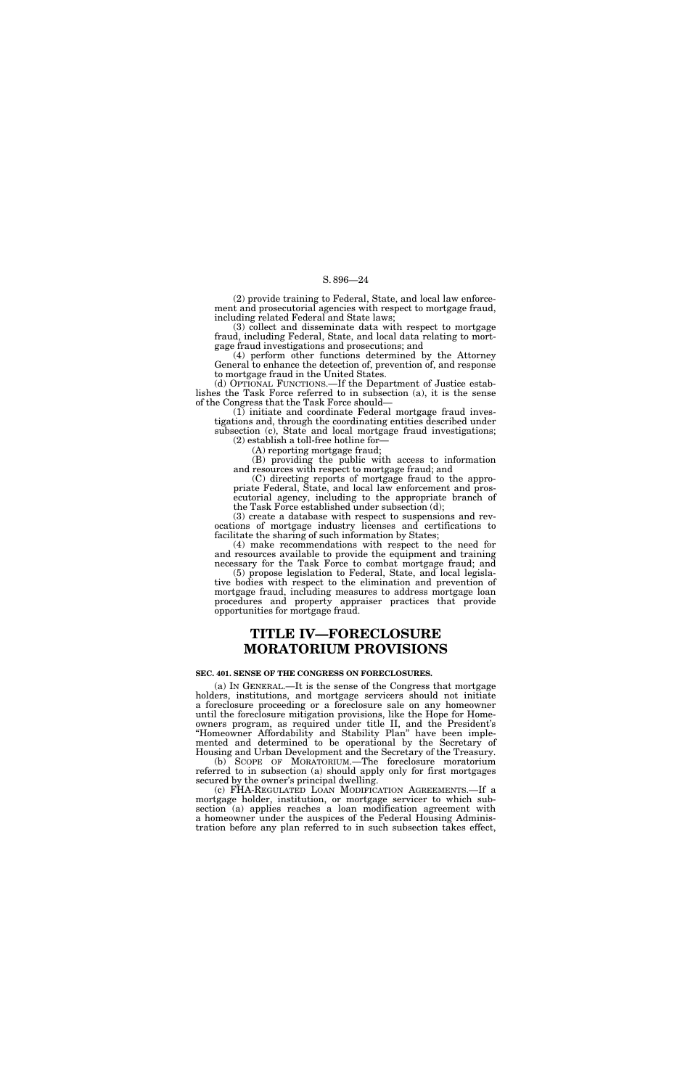(2) provide training to Federal, State, and local law enforcement and prosecutorial agencies with respect to mortgage fraud, including related Federal and State laws;

(3) collect and disseminate data with respect to mortgage fraud, including Federal, State, and local data relating to mortgage fraud investigations and prosecutions; and

(1) initiate and coordinate Federal mortgage fraud investigations and, through the coordinating entities described under subsection (c), State and local mortgage fraud investigations;

(4) perform other functions determined by the Attorney General to enhance the detection of, prevention of, and response to mortgage fraud in the United States.

(d) OPTIONAL FUNCTIONS.—If the Department of Justice establishes the Task Force referred to in subsection (a), it is the sense of the Congress that the Task Force should—

> (2) establish a toll-free hotline for— (A) reporting mortgage fraud;

(B) providing the public with access to information

and resources with respect to mortgage fraud; and

(C) directing reports of mortgage fraud to the appropriate Federal, State, and local law enforcement and prosecutorial agency, including to the appropriate branch of the Task Force established under subsection (d);

(3) create a database with respect to suspensions and revocations of mortgage industry licenses and certifications to facilitate the sharing of such information by States;

(4) make recommendations with respect to the need for and resources available to provide the equipment and training necessary for the Task Force to combat mortgage fraud; and

(5) propose legislation to Federal, State, and local legislative bodies with respect to the elimination and prevention of mortgage fraud, including measures to address mortgage loan procedures and property appraiser practices that provide opportunities for mortgage fraud.

## **TITLE IV—FORECLOSURE MORATORIUM PROVISIONS**

#### **SEC. 401. SENSE OF THE CONGRESS ON FORECLOSURES.**

(a) IN GENERAL.—It is the sense of the Congress that mortgage holders, institutions, and mortgage servicers should not initiate a foreclosure proceeding or a foreclosure sale on any homeowner until the foreclosure mitigation provisions, like the Hope for Homeowners program, as required under title II, and the President's ''Homeowner Affordability and Stability Plan'' have been implemented and determined to be operational by the Secretary of Housing and Urban Development and the Secretary of the Treasury.

(b) SCOPE OF MORATORIUM.—The foreclosure moratorium referred to in subsection (a) should apply only for first mortgages secured by the owner's principal dwelling.

(c) FHA-REGULATED LOAN MODIFICATION AGREEMENTS.—If a mortgage holder, institution, or mortgage servicer to which subsection (a) applies reaches a loan modification agreement with a homeowner under the auspices of the Federal Housing Administration before any plan referred to in such subsection takes effect,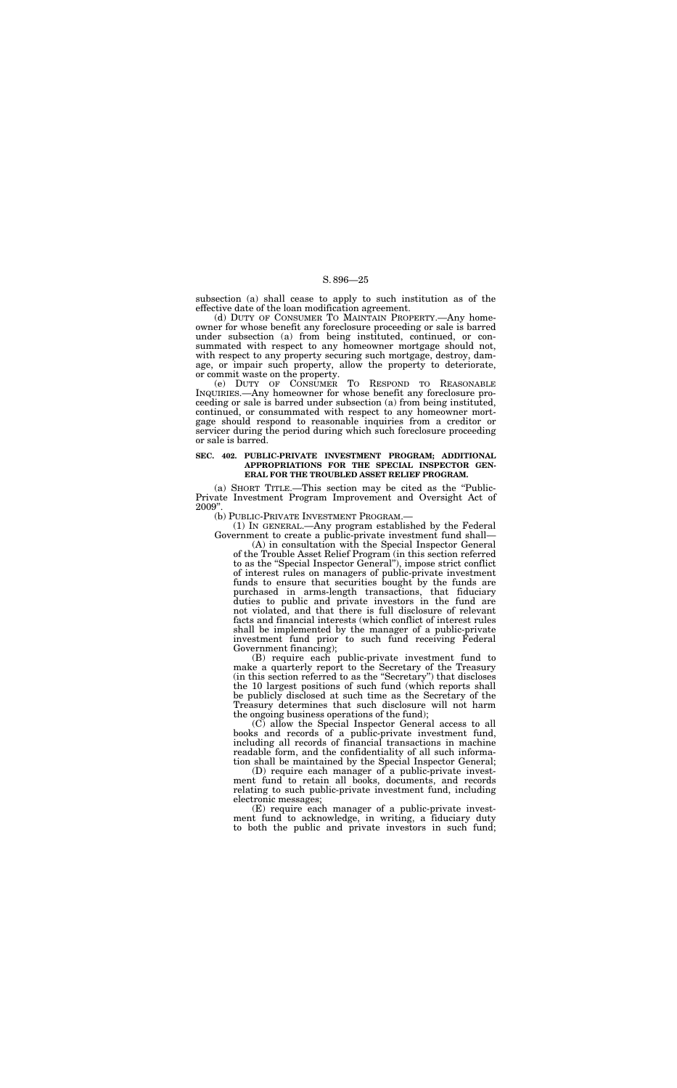subsection (a) shall cease to apply to such institution as of the effective date of the loan modification agreement.

(d) DUTY OF CONSUMER TO MAINTAIN PROPERTY.—Any homeowner for whose benefit any foreclosure proceeding or sale is barred under subsection (a) from being instituted, continued, or consummated with respect to any homeowner mortgage should not, with respect to any property securing such mortgage, destroy, damage, or impair such property, allow the property to deteriorate, or commit waste on the property.

(e) DUTY OF CONSUMER TO RESPOND TO REASONABLE INQUIRIES.—Any homeowner for whose benefit any foreclosure proceeding or sale is barred under subsection (a) from being instituted, continued, or consummated with respect to any homeowner mortgage should respond to reasonable inquiries from a creditor or servicer during the period during which such foreclosure proceeding or sale is barred.

#### **SEC. 402. PUBLIC-PRIVATE INVESTMENT PROGRAM; ADDITIONAL APPROPRIATIONS FOR THE SPECIAL INSPECTOR GEN-ERAL FOR THE TROUBLED ASSET RELIEF PROGRAM.**

(a) SHORT TITLE.—This section may be cited as the ''Public-Private Investment Program Improvement and Oversight Act of 2009''.

(b) PUBLIC-PRIVATE INVESTMENT PROGRAM.—

(1) IN GENERAL.—Any program established by the Federal Government to create a public-private investment fund shall—

(A) in consultation with the Special Inspector General of the Trouble Asset Relief Program (in this section referred to as the ''Special Inspector General''), impose strict conflict of interest rules on managers of public-private investment funds to ensure that securities bought by the funds are purchased in arms-length transactions, that fiduciary duties to public and private investors in the fund are not violated, and that there is full disclosure of relevant facts and financial interests (which conflict of interest rules shall be implemented by the manager of a public-private investment fund prior to such fund receiving Federal Government financing);

(B) require each public-private investment fund to make a quarterly report to the Secretary of the Treasury (in this section referred to as the ''Secretary'') that discloses the 10 largest positions of such fund (which reports shall be publicly disclosed at such time as the Secretary of the Treasury determines that such disclosure will not harm the ongoing business operations of the fund);

(C) allow the Special Inspector General access to all books and records of a public-private investment fund, including all records of financial transactions in machine readable form, and the confidentiality of all such information shall be maintained by the Special Inspector General;

(D) require each manager of a public-private investment fund to retain all books, documents, and records relating to such public-private investment fund, including electronic messages;

(E) require each manager of a public-private investment fund to acknowledge, in writing, a fiduciary duty to both the public and private investors in such fund;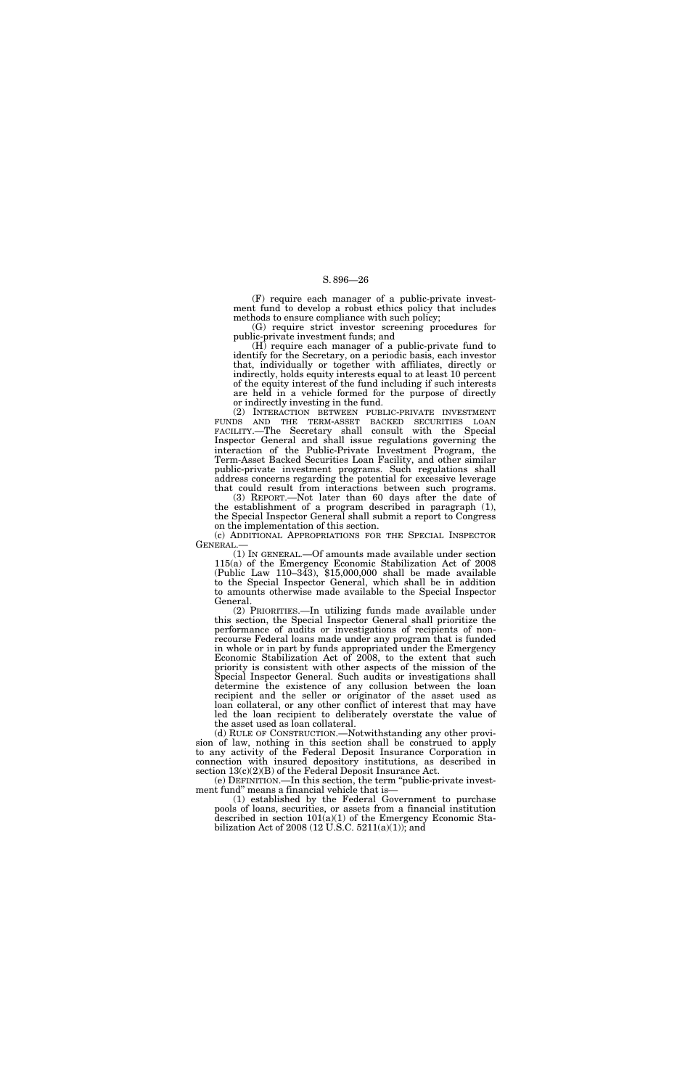(F) require each manager of a public-private investment fund to develop a robust ethics policy that includes methods to ensure compliance with such policy;

(G) require strict investor screening procedures for public-private investment funds; and

(H) require each manager of a public-private fund to identify for the Secretary, on a periodic basis, each investor that, individually or together with affiliates, directly or indirectly, holds equity interests equal to at least 10 percent of the equity interest of the fund including if such interests are held in a vehicle formed for the purpose of directly or indirectly investing in the fund.

(2) INTERACTION BETWEEN PUBLIC-PRIVATE INVESTMENT FUNDS AND THE TERM-ASSET BACKED SECURITIES LOAN FACILITY.—The Secretary shall consult with the Special Inspector General and shall issue regulations governing the interaction of the Public-Private Investment Program, the Term-Asset Backed Securities Loan Facility, and other similar public-private investment programs. Such regulations shall address concerns regarding the potential for excessive leverage that could result from interactions between such programs.

(3) REPORT.—Not later than 60 days after the date of the establishment of a program described in paragraph (1), the Special Inspector General shall submit a report to Congress on the implementation of this section.

(c) ADDITIONAL APPROPRIATIONS FOR THE SPECIAL INSPECTOR GENERAL.—

(1) established by the Federal Government to purchase pools of loans, securities, or assets from a financial institution described in section 101(a)(1) of the Emergency Economic Stabilization Act of 2008 (12 U.S.C.  $5211(a)(1)$ ); and

(1) IN GENERAL.—Of amounts made available under section 115(a) of the Emergency Economic Stabilization Act of 2008 (Public Law 110–343), \$15,000,000 shall be made available to the Special Inspector General, which shall be in addition to amounts otherwise made available to the Special Inspector General.

(2) PRIORITIES.—In utilizing funds made available under this section, the Special Inspector General shall prioritize the performance of audits or investigations of recipients of nonrecourse Federal loans made under any program that is funded in whole or in part by funds appropriated under the Emergency Economic Stabilization Act of 2008, to the extent that such priority is consistent with other aspects of the mission of the Special Inspector General. Such audits or investigations shall determine the existence of any collusion between the loan recipient and the seller or originator of the asset used as loan collateral, or any other conflict of interest that may have led the loan recipient to deliberately overstate the value of the asset used as loan collateral.

(d) RULE OF CONSTRUCTION.—Notwithstanding any other provision of law, nothing in this section shall be construed to apply to any activity of the Federal Deposit Insurance Corporation in connection with insured depository institutions, as described in section 13(c)(2)(B) of the Federal Deposit Insurance Act.

(e) DEFINITION.—In this section, the term ''public-private investment fund'' means a financial vehicle that is—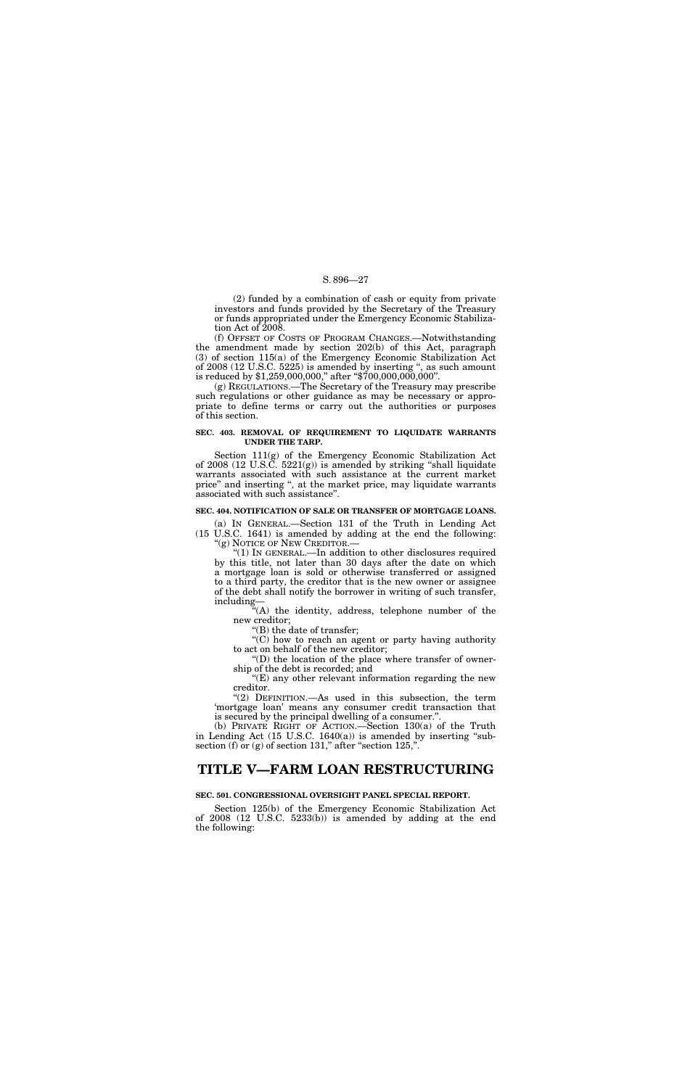(2) funded by a combination of cash or equity from private investors and funds provided by the Secretary of the Treasury or funds appropriated under the Emergency Economic Stabilization Act of 2008.

(f) OFFSET OF COSTS OF PROGRAM CHANGES.—Notwithstanding the amendment made by section 202(b) of this Act, paragraph (3) of section 115(a) of the Emergency Economic Stabilization Act of 2008 (12 U.S.C. 5225) is amended by inserting ", as such amount is reduced by \$1,259,000,000,'' after ''\$700,000,000,000''.

(g) REGULATIONS.—The Secretary of the Treasury may prescribe such regulations or other guidance as may be necessary or appropriate to define terms or carry out the authorities or purposes of this section.

#### **SEC. 403. REMOVAL OF REQUIREMENT TO LIQUIDATE WARRANTS UNDER THE TARP.**

 $\sqrt[2a]{(A)}$  the identity, address, telephone number of the new creditor;

Section 111(g) of the Emergency Economic Stabilization Act of  $2008$  (12 U.S.C.  $5221(g)$ ) is amended by striking "shall liquidate warrants associated with such assistance at the current market price" and inserting ", at the market price, may liquidate warrants associated with such assistance''.

"(2) DEFINITION.—As used in this subsection, the term 'mortgage loan' means any consumer credit transaction that is secured by the principal dwelling of a consumer.''.

(b) PRIVATE RIGHT OF ACTION.—Section 130(a) of the Truth in Lending Act (15 U.S.C. 1640(a)) is amended by inserting ''subsection (f) or  $(g)$  of section 131," after "section 125,".

## **SEC. 404. NOTIFICATION OF SALE OR TRANSFER OF MORTGAGE LOANS.**

(a) IN GENERAL.—Section 131 of the Truth in Lending Act (15 U.S.C. 1641) is amended by adding at the end the following: ''(g) NOTICE OF NEW CREDITOR.—

''(1) IN GENERAL.—In addition to other disclosures required by this title, not later than 30 days after the date on which a mortgage loan is sold or otherwise transferred or assigned to a third party, the creditor that is the new owner or assignee of the debt shall notify the borrower in writing of such transfer, including—

''(B) the date of transfer;

''(C) how to reach an agent or party having authority to act on behalf of the new creditor;

''(D) the location of the place where transfer of ownership of the debt is recorded; and

''(E) any other relevant information regarding the new creditor.

## **TITLE V—FARM LOAN RESTRUCTURING**

#### **SEC. 501. CONGRESSIONAL OVERSIGHT PANEL SPECIAL REPORT.**

Section 125(b) of the Emergency Economic Stabilization Act of 2008 (12 U.S.C. 5233(b)) is amended by adding at the end the following: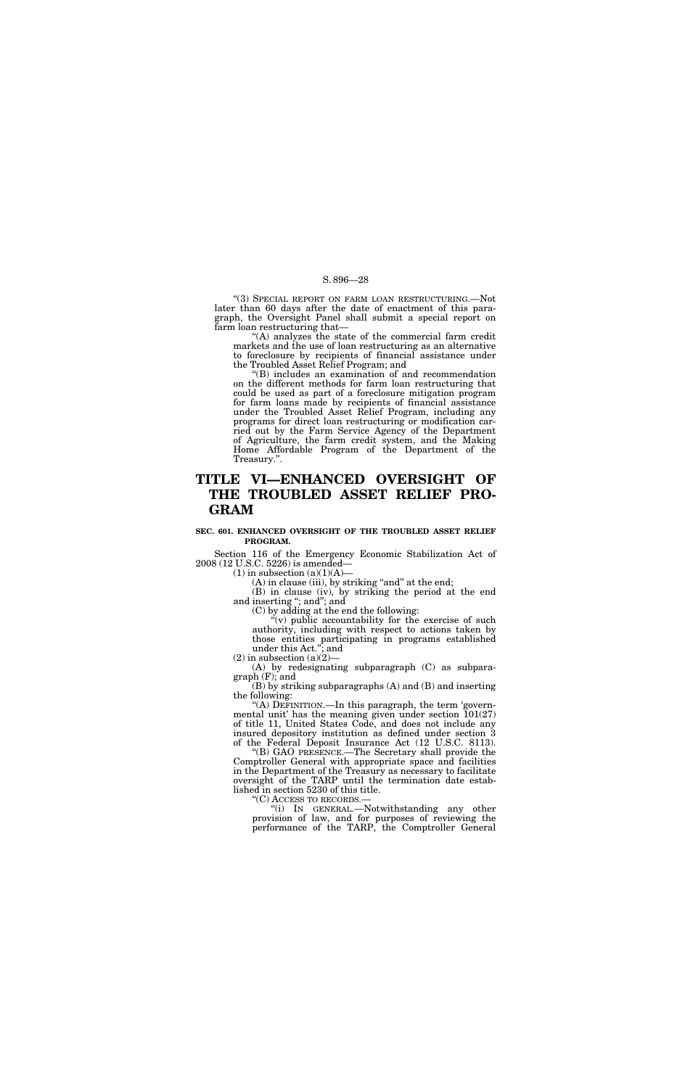''(3) SPECIAL REPORT ON FARM LOAN RESTRUCTURING.—Not later than 60 days after the date of enactment of this paragraph, the Oversight Panel shall submit a special report on farm loan restructuring that—

"(A) analyzes the state of the commercial farm credit markets and the use of loan restructuring as an alternative to foreclosure by recipients of financial assistance under the Troubled Asset Relief Program; and

(B) in clause (iv), by striking the period at the end and inserting "; and"; and

''(B) includes an examination of and recommendation on the different methods for farm loan restructuring that could be used as part of a foreclosure mitigation program for farm loans made by recipients of financial assistance under the Troubled Asset Relief Program, including any programs for direct loan restructuring or modification carried out by the Farm Service Agency of the Department of Agriculture, the farm credit system, and the Making Home Affordable Program of the Department of the Treasury.''.

" $(v)$  public accountability for the exercise of such authority, including with respect to actions taken by those entities participating in programs established under this Act.''; and

 $(2)$  in subsection  $(a)(2)$ –

## **TITLE VI—ENHANCED OVERSIGHT OF THE TROUBLED ASSET RELIEF PRO-GRAM**

''(B) GAO PRESENCE.—The Secretary shall provide the Comptroller General with appropriate space and facilities in the Department of the Treasury as necessary to facilitate oversight of the TARP until the termination date established in section 5230 of this title.<br>"(C) ACCESS TO RECORDS.—

#### **SEC. 601. ENHANCED OVERSIGHT OF THE TROUBLED ASSET RELIEF PROGRAM.**

Section 116 of the Emergency Economic Stabilization Act of 2008 (12 U.S.C. 5226) is amended—

 $(1)$  in subsection  $(a)(1)(A)$ –

(A) in clause (iii), by striking "and" at the end;

"(i) IN GENERAL.—Notwithstanding any other provision of law, and for purposes of reviewing the performance of the TARP, the Comptroller General

(C) by adding at the end the following:

(A) by redesignating subparagraph (C) as subparagraph (F); and

(B) by striking subparagraphs (A) and (B) and inserting the following:

''(A) DEFINITION.—In this paragraph, the term 'governmental unit' has the meaning given under section 101(27) of title 11, United States Code, and does not include any insured depository institution as defined under section 3 of the Federal Deposit Insurance Act (12 U.S.C. 8113).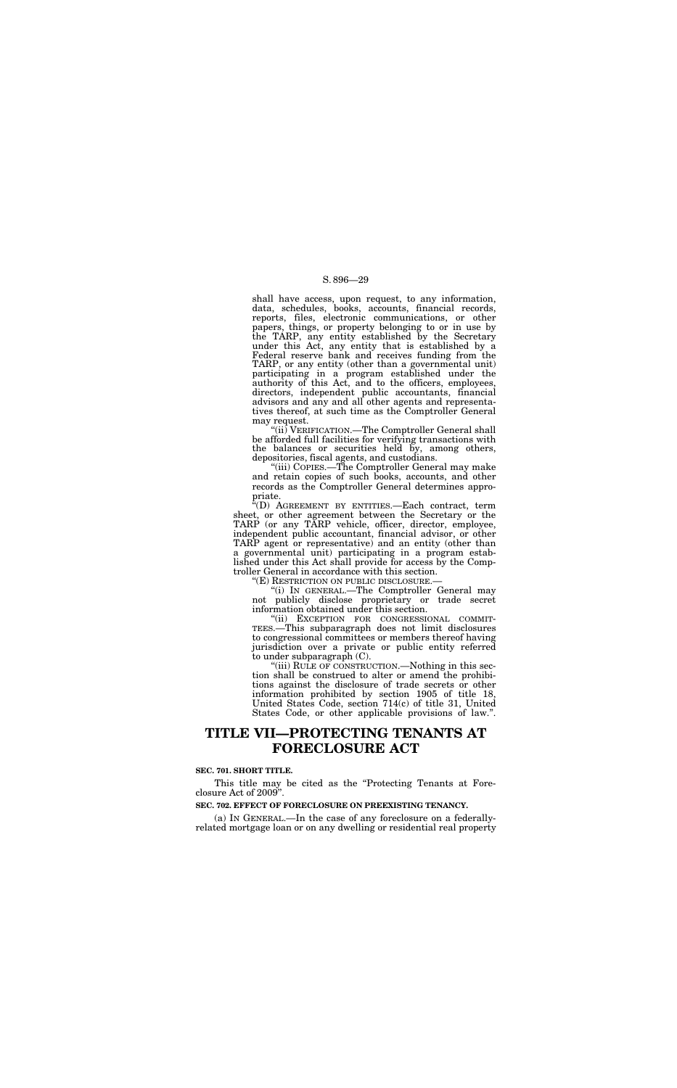shall have access, upon request, to any information, data, schedules, books, accounts, financial records, reports, files, electronic communications, or other papers, things, or property belonging to or in use by the TARP, any entity established by the Secretary under this Act, any entity that is established by a Federal reserve bank and receives funding from the TARP, or any entity (other than a governmental unit) participating in a program established under the authority of this Act, and to the officers, employees, directors, independent public accountants, financial advisors and any and all other agents and representatives thereof, at such time as the Comptroller General may request.

''(ii) VERIFICATION.—The Comptroller General shall be afforded full facilities for verifying transactions with the balances or securities held by, among others, depositories, fiscal agents, and custodians.

''(iii) COPIES.—The Comptroller General may make and retain copies of such books, accounts, and other records as the Comptroller General determines appropriate.

"(iii) RULE OF CONSTRUCTION.—Nothing in this section shall be construed to alter or amend the prohibitions against the disclosure of trade secrets or other information prohibited by section 1905 of title 18, United States Code, section 714(c) of title 31, United States Code, or other applicable provisions of law.''.

This title may be cited as the "Protecting Tenants at Foreclosure Act of 2009''.

''(D) AGREEMENT BY ENTITIES.—Each contract, term sheet, or other agreement between the Secretary or the TARP (or any TARP vehicle, officer, director, employee, independent public accountant, financial advisor, or other TARP agent or representative) and an entity (other than a governmental unit) participating in a program established under this Act shall provide for access by the Comptroller General in accordance with this section.

''(E) RESTRICTION ON PUBLIC DISCLOSURE.—

''(i) IN GENERAL.—The Comptroller General may not publicly disclose proprietary or trade secret information obtained under this section.

''(ii) EXCEPTION FOR CONGRESSIONAL COMMIT-TEES.—This subparagraph does not limit disclosures to congressional committees or members thereof having jurisdiction over a private or public entity referred to under subparagraph (C).

## **TITLE VII—PROTECTING TENANTS AT FORECLOSURE ACT**

#### **SEC. 701. SHORT TITLE.**

## **SEC. 702. EFFECT OF FORECLOSURE ON PREEXISTING TENANCY.**

(a) IN GENERAL.—In the case of any foreclosure on a federallyrelated mortgage loan or on any dwelling or residential real property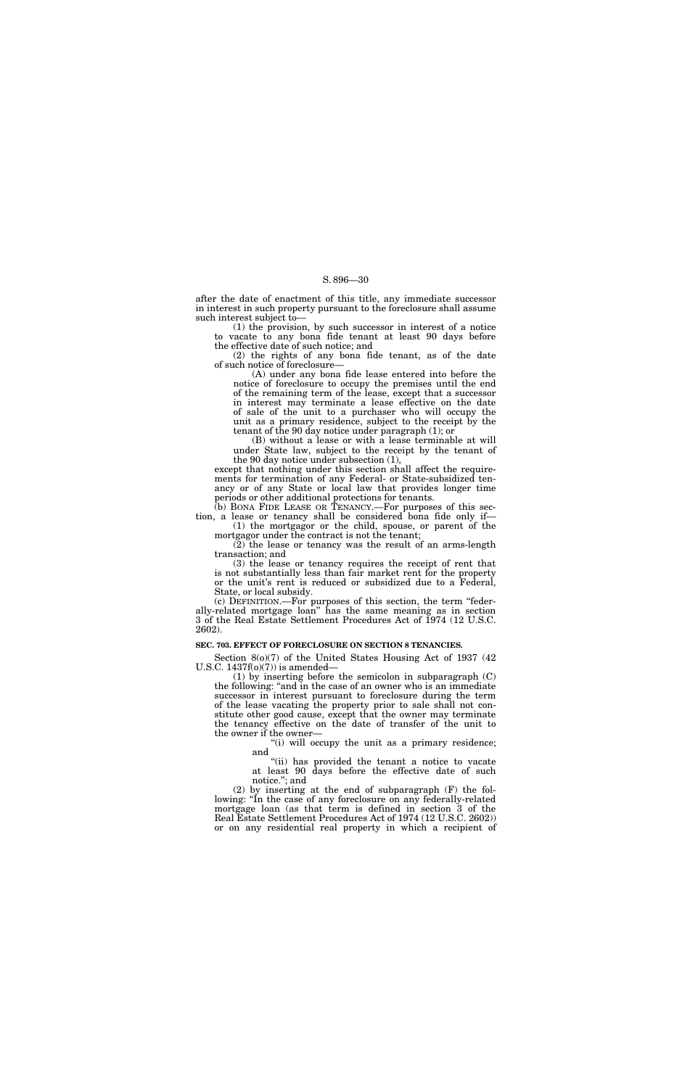after the date of enactment of this title, any immediate successor in interest in such property pursuant to the foreclosure shall assume such interest subject to—

(1) the provision, by such successor in interest of a notice to vacate to any bona fide tenant at least 90 days before the effective date of such notice; and

(2) the rights of any bona fide tenant, as of the date of such notice of foreclosure—

(A) under any bona fide lease entered into before the notice of foreclosure to occupy the premises until the end of the remaining term of the lease, except that a successor in interest may terminate a lease effective on the date of sale of the unit to a purchaser who will occupy the unit as a primary residence, subject to the receipt by the tenant of the 90 day notice under paragraph (1); or

(B) without a lease or with a lease terminable at will under State law, subject to the receipt by the tenant of the 90 day notice under subsection (1),

except that nothing under this section shall affect the requirements for termination of any Federal- or State-subsidized tenancy or of any State or local law that provides longer time periods or other additional protections for tenants.

> "(i) will occupy the unit as a primary residence; and

(b) BONA FIDE LEASE OR TENANCY.—For purposes of this section, a lease or tenancy shall be considered bona fide only if—

(1) the mortgagor or the child, spouse, or parent of the mortgagor under the contract is not the tenant;

(2) the lease or tenancy was the result of an arms-length transaction; and

(3) the lease or tenancy requires the receipt of rent that is not substantially less than fair market rent for the property or the unit's rent is reduced or subsidized due to a Federal, State, or local subsidy.

(c) DEFINITION.—For purposes of this section, the term ''federally-related mortgage loan'' has the same meaning as in section 3 of the Real Estate Settlement Procedures Act of 1974 (12 U.S.C. 2602).

#### **SEC. 703. EFFECT OF FORECLOSURE ON SECTION 8 TENANCIES.**

Section 8(0)(7) of the United States Housing Act of 1937 (42) U.S.C.  $1437f(o)(7)$  is amended–

(1) by inserting before the semicolon in subparagraph (C) the following: ''and in the case of an owner who is an immediate successor in interest pursuant to foreclosure during the term of the lease vacating the property prior to sale shall not constitute other good cause, except that the owner may terminate the tenancy effective on the date of transfer of the unit to the owner if the owner—

> ''(ii) has provided the tenant a notice to vacate at least 90 days before the effective date of such notice.''; and

(2) by inserting at the end of subparagraph (F) the following: "In the case of any foreclosure on any federally-related mortgage loan (as that term is defined in section 3 of the Real Estate Settlement Procedures Act of 1974 (12 U.S.C. 2602)) or on any residential real property in which a recipient of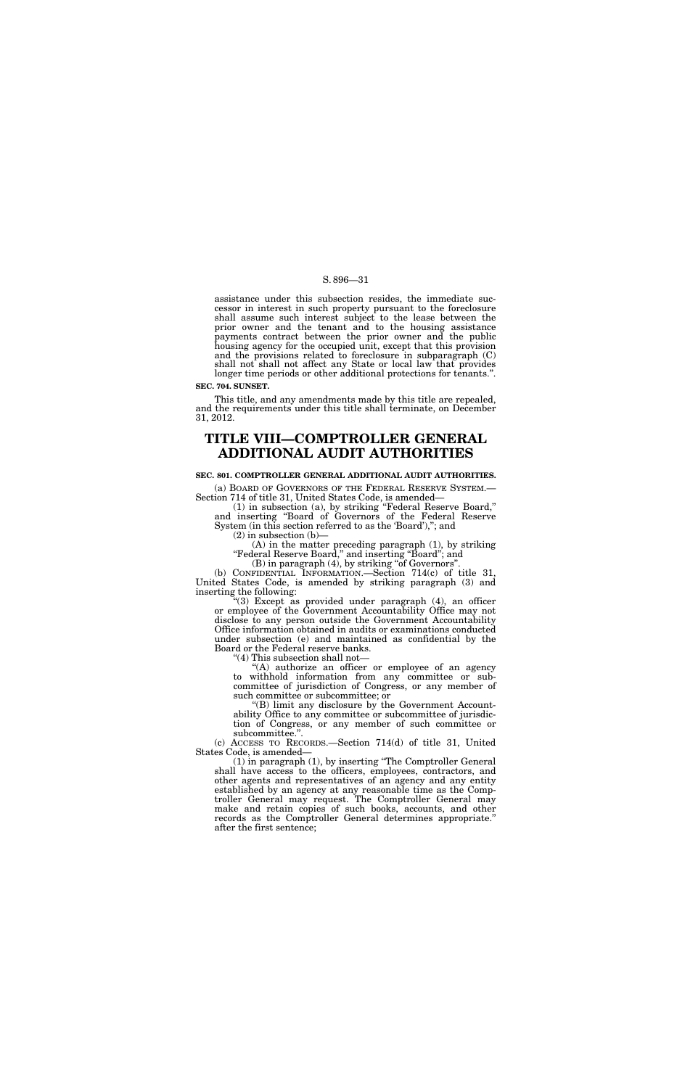assistance under this subsection resides, the immediate successor in interest in such property pursuant to the foreclosure shall assume such interest subject to the lease between the prior owner and the tenant and to the housing assistance payments contract between the prior owner and the public housing agency for the occupied unit, except that this provision and the provisions related to foreclosure in subparagraph (C) shall not shall not affect any State or local law that provides longer time periods or other additional protections for tenants.''.

(1) in subsection (a), by striking ''Federal Reserve Board,'' and inserting ''Board of Governors of the Federal Reserve System (in this section referred to as the 'Board'),"; and

 $(2)$  in subsection  $(b)$ —

## **SEC. 704. SUNSET.**

This title, and any amendments made by this title are repealed, and the requirements under this title shall terminate, on December 31, 2012.

## **TITLE VIII—COMPTROLLER GENERAL ADDITIONAL AUDIT AUTHORITIES**

#### **SEC. 801. COMPTROLLER GENERAL ADDITIONAL AUDIT AUTHORITIES.**

(a) BOARD OF GOVERNORS OF THE FEDERAL RESERVE SYSTEM.— Section 714 of title 31, United States Code, is amended—

"(A) authorize an officer or employee of an agency to withhold information from any committee or subcommittee of jurisdiction of Congress, or any member of such committee or subcommittee; or

''(B) limit any disclosure by the Government Accountability Office to any committee or subcommittee of jurisdiction of Congress, or any member of such committee or subcommittee."

(A) in the matter preceding paragraph (1), by striking ''Federal Reserve Board,'' and inserting ''Board''; and

(B) in paragraph (4), by striking ''of Governors''.

(b) CONFIDENTIAL INFORMATION.—Section 714(c) of title 31, United States Code, is amended by striking paragraph (3) and inserting the following:

''(3) Except as provided under paragraph (4), an officer or employee of the Government Accountability Office may not disclose to any person outside the Government Accountability Office information obtained in audits or examinations conducted under subsection (e) and maintained as confidential by the Board or the Federal reserve banks.

''(4) This subsection shall not—

(c) ACCESS TO RECORDS.—Section 714(d) of title 31, United States Code, is amended—

(1) in paragraph (1), by inserting ''The Comptroller General shall have access to the officers, employees, contractors, and other agents and representatives of an agency and any entity established by an agency at any reasonable time as the Comptroller General may request. The Comptroller General may make and retain copies of such books, accounts, and other records as the Comptroller General determines appropriate.'' after the first sentence;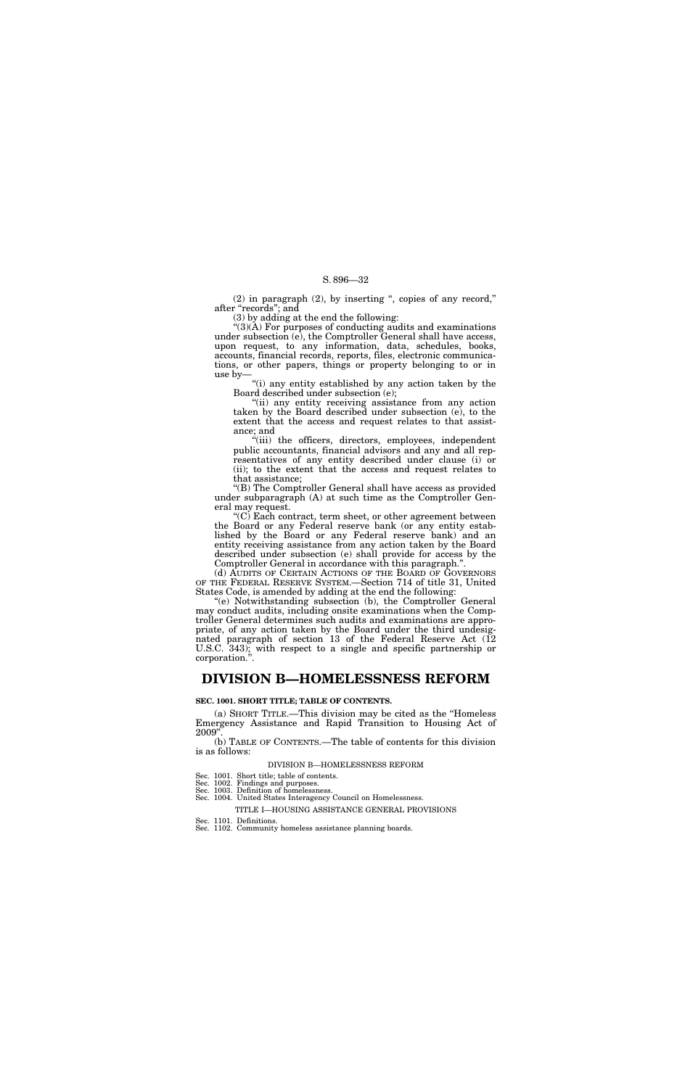(2) in paragraph (2), by inserting '', copies of any record,'' after ''records''; and

(3) by adding at the end the following:

 $\mathcal{L}(3)(\mathbf{A})$  For purposes of conducting audits and examinations under subsection (e), the Comptroller General shall have access, upon request, to any information, data, schedules, books, accounts, financial records, reports, files, electronic communications, or other papers, things or property belonging to or in use by—

"(ii) any entity receiving assistance from any action taken by the Board described under subsection (e), to the extent that the access and request relates to that assistance; and

"(iii) the officers, directors, employees, independent public accountants, financial advisors and any and all representatives of any entity described under clause (i) or (ii); to the extent that the access and request relates to that assistance;

''(i) any entity established by any action taken by the Board described under subsection (e);

 $C$ ) Each contract, term sheet, or other agreement between the Board or any Federal reserve bank (or any entity established by the Board or any Federal reserve bank) and an entity receiving assistance from any action taken by the Board described under subsection (e) shall provide for access by the Comptroller General in accordance with this paragraph.''.

''(B) The Comptroller General shall have access as provided under subparagraph (A) at such time as the Comptroller General may request.

(d) AUDITS OF CERTAIN ACTIONS OF THE BOARD OF GOVERNORS OF THE FEDERAL RESERVE SYSTEM.—Section 714 of title 31, United States Code, is amended by adding at the end the following:

''(e) Notwithstanding subsection (b), the Comptroller General may conduct audits, including onsite examinations when the Comp-<br>troller General determines such audits and examinations are approtroller General determines such audits and examinations are appropriate, of any action taken by the Board under the third undesignated paragraph of section 13 of the Federal Reserve Act (12 U.S.C. 343); with respect to a single and specific partnership or corporation.''.

## **DIVISION B—HOMELESSNESS REFORM**

#### **SEC. 1001. SHORT TITLE; TABLE OF CONTENTS.**

(a) SHORT TITLE.—This division may be cited as the ''Homeless Emergency Assistance and Rapid Transition to Housing Act of 2009''.

(b) TABLE OF CONTENTS.—The table of contents for this division is as follows:

DIVISION B—HOMELESSNESS REFORM

- Sec. 1001. Short title; table of contents.
- Sec. 1002. Findings and purposes. Sec. 1003. Definition of homelessness.
	-
	- Sec. 1004. United States Interagency Council on Homelessness.
		- TITLE I—HOUSING ASSISTANCE GENERAL PROVISIONS
	-
- Sec. 1101. Definitions. Sec. 1102. Community homeless assistance planning boards.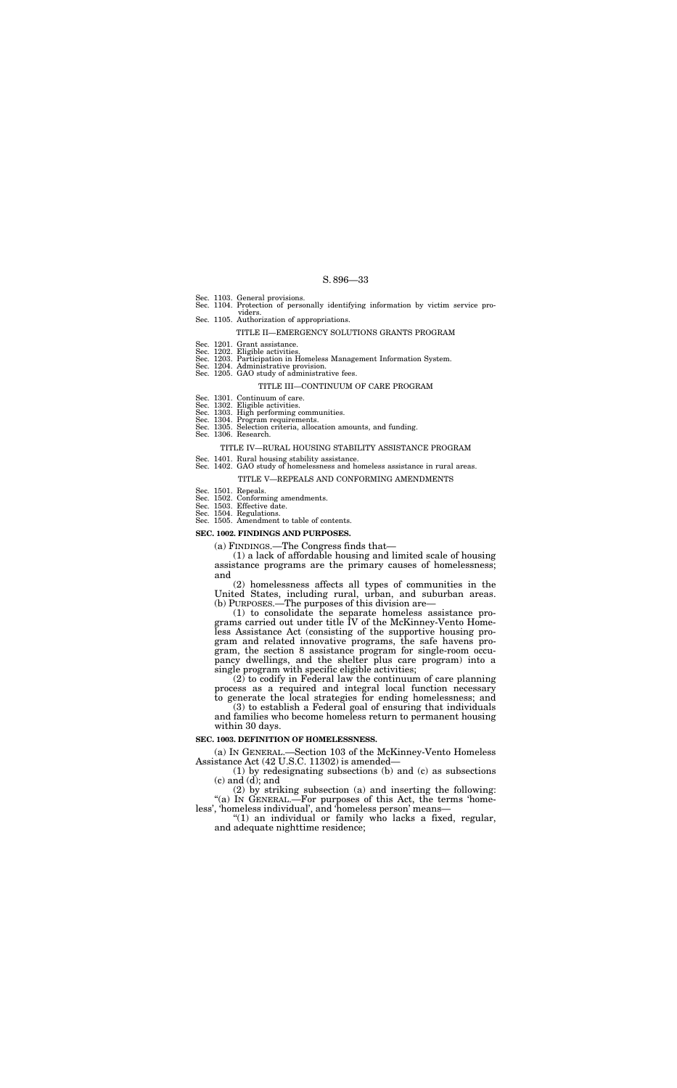- Sec. 1103. General provisions.
- Sec. 1104. Protection of personally identifying information by victim service pro-
- viders. Sec. 1105. Authorization of appropriations.

### TITLE II—EMERGENCY SOLUTIONS GRANTS PROGRAM

- 
- Sec. 1201. Grant assistance. Sec. 1202. Eligible activities. Sec. 1203. Participation in Homeless Management Information System.
- 
- Sec. 1204. Administrative provision. Sec. 1205. GAO study of administrative fees.

#### TITLE III—CONTINUUM OF CARE PROGRAM

- Sec. 1301. Continuum of care.
- Sec. 1302. Eligible activities.
- Sec. 1303. High performing communities.
- Sec. 1304. Program requirements. Sec. 1305. Selection criteria, allocation amounts, and funding.
- Sec. 1306. Research.

#### TITLE IV—RURAL HOUSING STABILITY ASSISTANCE PROGRAM

- 
- Sec. 1401. Rural housing stability assistance. Sec. 1402. GAO study of homelessness and homeless assistance in rural areas.

## TITLE V—REPEALS AND CONFORMING AMENDMENTS

- 
- Sec. 1501. Repeals. Sec. 1502. Conforming amendments.
- Sec. 1503. Effective date. Sec. 1504. Regulations.
- Sec. 1505. Amendment to table of contents.
- 

## **SEC. 1002. FINDINGS AND PURPOSES.**

(a) FINDINGS.—The Congress finds that—

(1) by redesignating subsections (b) and (c) as subsections  $(c)$  and  $(d)$ ; and

(1) a lack of affordable housing and limited scale of housing assistance programs are the primary causes of homelessness; and

" $(1)$  an individual or family who lacks a fixed, regular, and adequate nighttime residence;

(2) homelessness affects all types of communities in the United States, including rural, urban, and suburban areas. (b) PURPOSES.—The purposes of this division are—

(1) to consolidate the separate homeless assistance programs carried out under title IV of the McKinney-Vento Homeless Assistance Act (consisting of the supportive housing program and related innovative programs, the safe havens program, the section 8 assistance program for single-room occupancy dwellings, and the shelter plus care program) into a single program with specific eligible activities;

(2) to codify in Federal law the continuum of care planning process as a required and integral local function necessary to generate the local strategies for ending homelessness; and

(3) to establish a Federal goal of ensuring that individuals and families who become homeless return to permanent housing within 30 days.

#### **SEC. 1003. DEFINITION OF HOMELESSNESS.**

(a) IN GENERAL.—Section 103 of the McKinney-Vento Homeless Assistance Act (42 U.S.C. 11302) is amended—

(2) by striking subsection (a) and inserting the following: "(a) IN GENERAL.—For purposes of this Act, the terms 'homeless', 'homeless individual', and 'homeless person' means—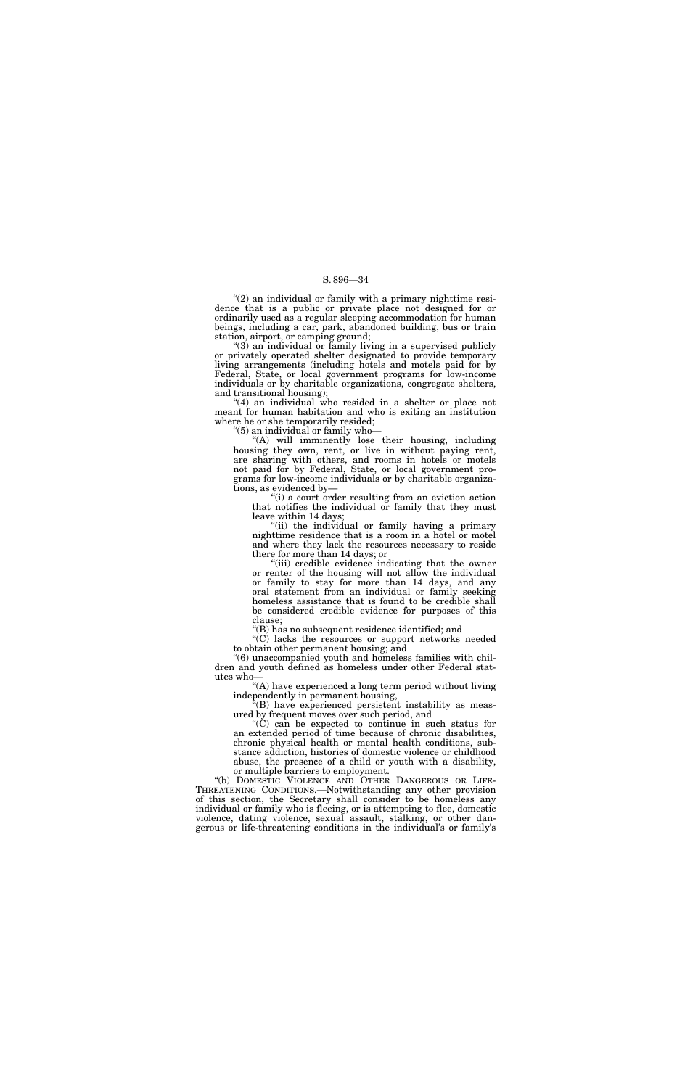$''(2)$  an individual or family with a primary nighttime residence that is a public or private place not designed for or ordinarily used as a regular sleeping accommodation for human beings, including a car, park, abandoned building, bus or train station, airport, or camping ground;

''(3) an individual or family living in a supervised publicly or privately operated shelter designated to provide temporary living arrangements (including hotels and motels paid for by Federal, State, or local government programs for low-income individuals or by charitable organizations, congregate shelters, and transitional housing);

''(4) an individual who resided in a shelter or place not meant for human habitation and who is exiting an institution where he or she temporarily resided;

''(5) an individual or family who—

 $C$ <sup>'</sup>(C) lacks the resources or support networks needed to obtain other permanent housing; and

''(A) will imminently lose their housing, including housing they own, rent, or live in without paying rent, are sharing with others, and rooms in hotels or motels not paid for by Federal, State, or local government programs for low-income individuals or by charitable organizations, as evidenced by—

 $\sqrt{H}$ (B) have experienced persistent instability as measured by frequent moves over such period, and

''(i) a court order resulting from an eviction action that notifies the individual or family that they must leave within 14 days;

''(ii) the individual or family having a primary nighttime residence that is a room in a hotel or motel and where they lack the resources necessary to reside there for more than 14 days; or

or multiple barriers to employment.<br>"(b) DOMESTIC VIOLENCE AND OTHER DANGEROUS OR LIFE-''(b) DOMESTIC VIOLENCE AND OTHER DANGEROUS OR LIFE- THREATENING CONDITIONS.—Notwithstanding any other provision of this section, the Secretary shall consider to be homeless any individual or family who is fleeing, or is attempting to flee, domestic violence, dating violence, sexual assault, stalking, or other dangerous or life-threatening conditions in the individual's or family's

''(iii) credible evidence indicating that the owner or renter of the housing will not allow the individual or family to stay for more than 14 days, and any oral statement from an individual or family seeking homeless assistance that is found to be credible shall be considered credible evidence for purposes of this clause;

''(B) has no subsequent residence identified; and

''(6) unaccompanied youth and homeless families with children and youth defined as homeless under other Federal statutes who—

''(A) have experienced a long term period without living independently in permanent housing,

''(C) can be expected to continue in such status for an extended period of time because of chronic disabilities, chronic physical health or mental health conditions, substance addiction, histories of domestic violence or childhood abuse, the presence of a child or youth with a disability,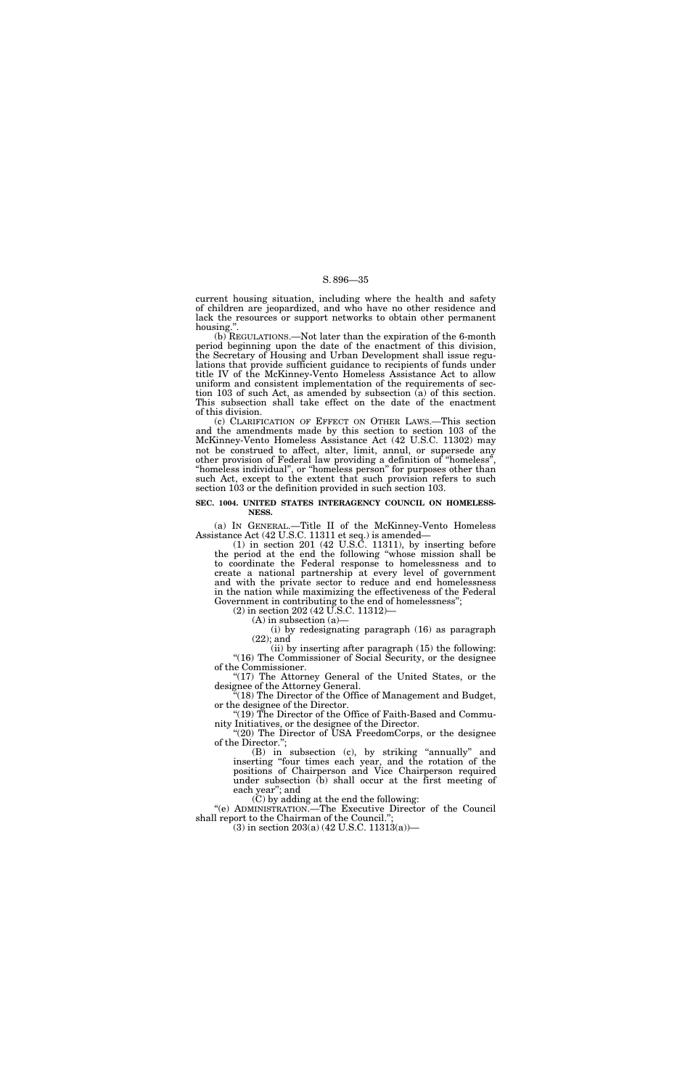current housing situation, including where the health and safety of children are jeopardized, and who have no other residence and lack the resources or support networks to obtain other permanent housing.''.

(b) REGULATIONS.—Not later than the expiration of the 6-month period beginning upon the date of the enactment of this division, the Secretary of Housing and Urban Development shall issue regulations that provide sufficient guidance to recipients of funds under title IV of the McKinney-Vento Homeless Assistance Act to allow uniform and consistent implementation of the requirements of section 103 of such Act, as amended by subsection (a) of this section. This subsection shall take effect on the date of the enactment of this division.

(c) CLARIFICATION OF EFFECT ON OTHER LAWS.—This section and the amendments made by this section to section 103 of the McKinney-Vento Homeless Assistance Act (42 U.S.C. 11302) may not be construed to affect, alter, limit, annul, or supersede any other provision of Federal law providing a definition of ''homeless'', ''homeless individual'', or ''homeless person'' for purposes other than such Act, except to the extent that such provision refers to such section 103 or the definition provided in such section 103.

"(17) The Attorney General of the United States, or the designee of the Attorney General.

"(18) The Director of the Office of Management and Budget, or the designee of the Director.

"(20) The Director of USA FreedomCorps, or the designee of the Director.'';

#### **SEC. 1004. UNITED STATES INTERAGENCY COUNCIL ON HOMELESS-NESS.**

(a) IN GENERAL.—Title II of the McKinney-Vento Homeless Assistance Act (42 U.S.C. 11311 et seq.) is amended—

(1) in section 201 (42 U.S.C. 11311), by inserting before the period at the end the following ''whose mission shall be to coordinate the Federal response to homelessness and to create a national partnership at every level of government and with the private sector to reduce and end homelessness in the nation while maximizing the effectiveness of the Federal Government in contributing to the end of homelessness'';

(2) in section 202 (42 U.S.C. 11312)—

(A) in subsection (a)—

(i) by redesignating paragraph (16) as paragraph (22); and

(ii) by inserting after paragraph (15) the following: ''(16) The Commissioner of Social Security, or the designee of the Commissioner.

''(19) The Director of the Office of Faith-Based and Community Initiatives, or the designee of the Director.

(B) in subsection (c), by striking ''annually'' and inserting ''four times each year, and the rotation of the positions of Chairperson and Vice Chairperson required under subsection (b) shall occur at the first meeting of each year''; and

(C) by adding at the end the following:

''(e) ADMINISTRATION.—The Executive Director of the Council shall report to the Chairman of the Council.'';

(3) in section 203(a) (42 U.S.C. 11313(a))—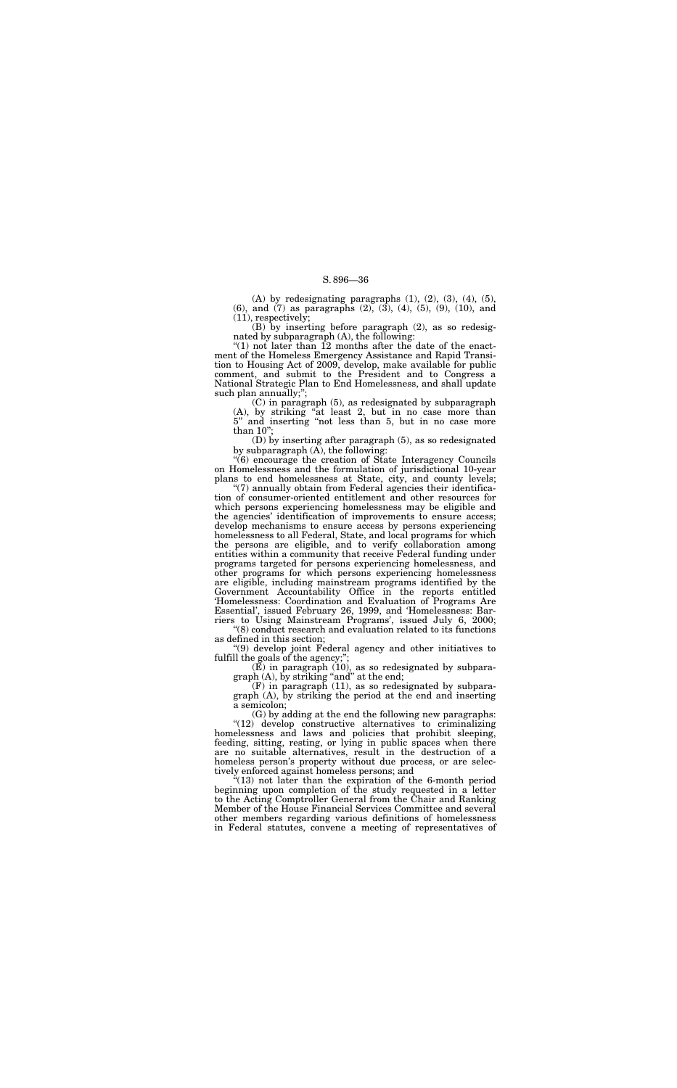(A) by redesignating paragraphs  $(1)$ ,  $(2)$ ,  $(3)$ ,  $(4)$ ,  $(5)$ , (6), and (7) as paragraphs (2), (3), (4), (5), (9), (10), and (11), respectively;

(B) by inserting before paragraph (2), as so redesignated by subparagraph (A), the following:

"(1) not later than  $12$  months after the date of the enactment of the Homeless Emergency Assistance and Rapid Transition to Housing Act of 2009, develop, make available for public comment, and submit to the President and to Congress a National Strategic Plan to End Homelessness, and shall update such plan annually;";

(D) by inserting after paragraph (5), as so redesignated by subparagraph  $(\overrightarrow{A})$ , the following:

(C) in paragraph (5), as redesignated by subparagraph (A), by striking ''at least 2, but in no case more than 5'' and inserting ''not less than 5, but in no case more than 10'';

''(6) encourage the creation of State Interagency Councils on Homelessness and the formulation of jurisdictional 10-year plans to end homelessness at State, city, and county levels;

(E) in paragraph (10), as so redesignated by subpara $graph (A)$ , by striking "and" at the end;

''(7) annually obtain from Federal agencies their identification of consumer-oriented entitlement and other resources for which persons experiencing homelessness may be eligible and the agencies' identification of improvements to ensure access; develop mechanisms to ensure access by persons experiencing homelessness to all Federal, State, and local programs for which the persons are eligible, and to verify collaboration among entities within a community that receive Federal funding under programs targeted for persons experiencing homelessness, and other programs for which persons experiencing homelessness are eligible, including mainstream programs identified by the Government Accountability Office in the reports entitled 'Homelessness: Coordination and Evaluation of Programs Are Essential', issued February 26, 1999, and 'Homelessness: Barriers to Using Mainstream Programs', issued July 6, 2000;

 $i(13)$  not later than the expiration of the 6-month period beginning upon completion of the study requested in a letter to the Acting Comptroller General from the Chair and Ranking Member of the House Financial Services Committee and several other members regarding various definitions of homelessness in Federal statutes, convene a meeting of representatives of

''(8) conduct research and evaluation related to its functions as defined in this section;

''(9) develop joint Federal agency and other initiatives to fulfill the goals of the agency;'';

(F) in paragraph (11), as so redesignated by subparagraph (A), by striking the period at the end and inserting a semicolon;

(G) by adding at the end the following new paragraphs: "(12) develop constructive alternatives to criminalizing homelessness and laws and policies that prohibit sleeping, feeding, sitting, resting, or lying in public spaces when there are no suitable alternatives, result in the destruction of a homeless person's property without due process, or are selectively enforced against homeless persons; and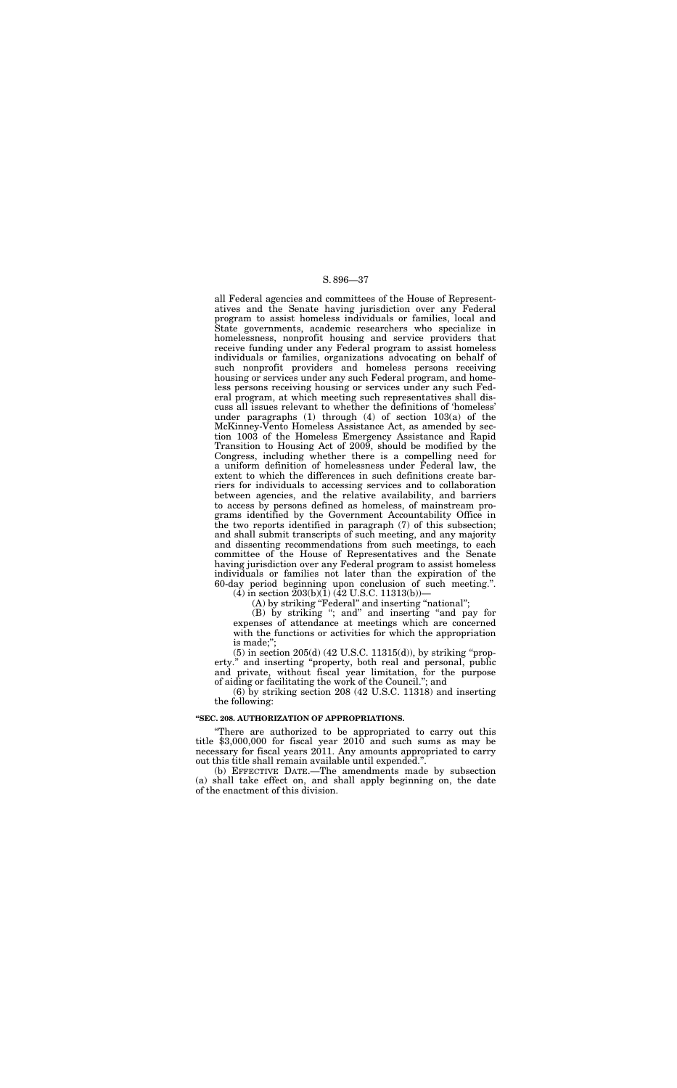all Federal agencies and committees of the House of Representatives and the Senate having jurisdiction over any Federal program to assist homeless individuals or families, local and State governments, academic researchers who specialize in homelessness, nonprofit housing and service providers that receive funding under any Federal program to assist homeless individuals or families, organizations advocating on behalf of such nonprofit providers and homeless persons receiving housing or services under any such Federal program, and homeless persons receiving housing or services under any such Federal program, at which meeting such representatives shall discuss all issues relevant to whether the definitions of 'homeless' under paragraphs  $(1)$  through  $(4)$  of section  $103(a)$  of the McKinney-Vento Homeless Assistance Act, as amended by section 1003 of the Homeless Emergency Assistance and Rapid Transition to Housing Act of 2009, should be modified by the Congress, including whether there is a compelling need for a uniform definition of homelessness under Federal law, the extent to which the differences in such definitions create barriers for individuals to accessing services and to collaboration between agencies, and the relative availability, and barriers to access by persons defined as homeless, of mainstream programs identified by the Government Accountability Office in the two reports identified in paragraph (7) of this subsection; and shall submit transcripts of such meeting, and any majority and dissenting recommendations from such meetings, to each committee of the House of Representatives and the Senate having jurisdiction over any Federal program to assist homeless individuals or families not later than the expiration of the 60-day period beginning upon conclusion of such meeting.''.

(B) by striking "; and" and inserting "and pay for expenses of attendance at meetings which are concerned with the functions or activities for which the appropriation is made;'';

 $(5)$  in section 205(d) (42 U.S.C. 11315(d)), by striking "property.'' and inserting ''property, both real and personal, public and private, without fiscal year limitation, for the purpose of aiding or facilitating the work of the Council.''; and

(4) in section 203(b)(1) (42 U.S.C. 11313(b))—

(A) by striking "Federal" and inserting "national";

(6) by striking section 208 (42 U.S.C. 11318) and inserting the following:

#### **''SEC. 208. AUTHORIZATION OF APPROPRIATIONS.**

''There are authorized to be appropriated to carry out this title \$3,000,000 for fiscal year 2010 and such sums as may be necessary for fiscal years 2011. Any amounts appropriated to carry out this title shall remain available until expended.''.

(b) EFFECTIVE DATE.—The amendments made by subsection (a) shall take effect on, and shall apply beginning on, the date of the enactment of this division.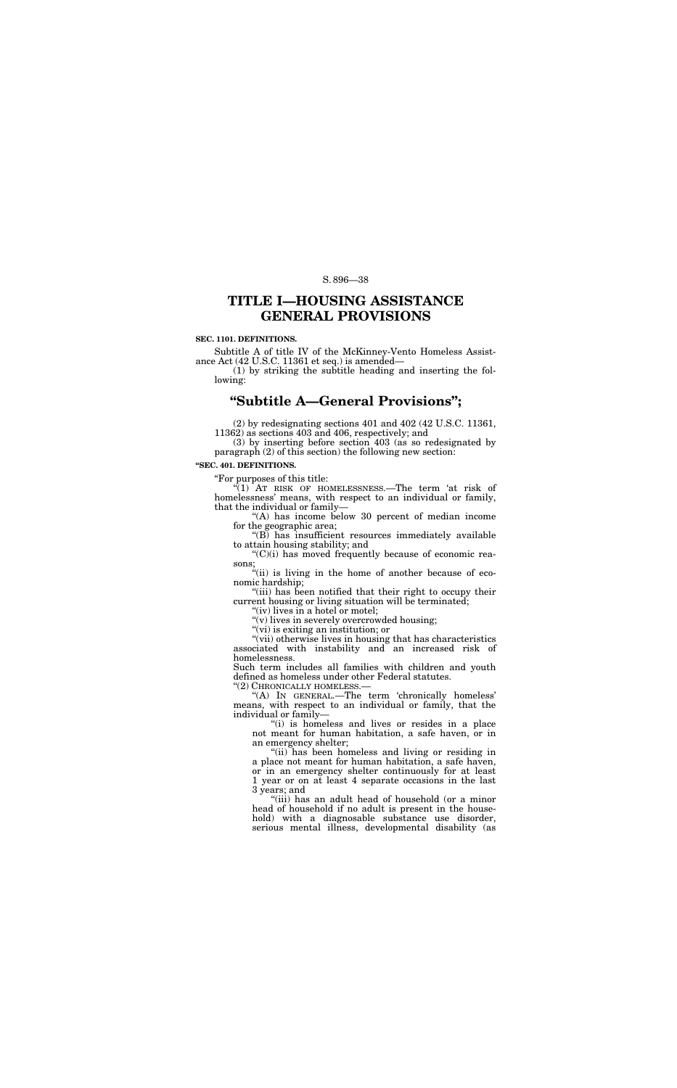## **TITLE I—HOUSING ASSISTANCE GENERAL PROVISIONS**

#### **SEC. 1101. DEFINITIONS.**

Subtitle A of title IV of the McKinney-Vento Homeless Assistance Act (42 U.S.C. 11361 et seq.) is amended—

(1) by striking the subtitle heading and inserting the following:

## **''Subtitle A—General Provisions'';**

(2) by redesignating sections 401 and 402 (42 U.S.C. 11361, 11362) as sections 403 and 406, respectively; and

 $(1)$  AT RISK OF HOMELESSNESS.—The term 'at risk of homelessness' means, with respect to an individual or family, that the individual or family—

(3) by inserting before section 403 (as so redesignated by paragraph (2) of this section) the following new section:

"(ii) is living in the home of another because of economic hardship;

## **''SEC. 401. DEFINITIONS.**

''For purposes of this title:

"(iii) has been notified that their right to occupy their current housing or living situation will be terminated;

"(iv) lives in a hotel or motel;

"(vii) otherwise lives in housing that has characteristics associated with instability and an increased risk of homelessness.

''(A) has income below 30 percent of median income for the geographic area;

''(B) has insufficient resources immediately available to attain housing stability; and

"(i) is homeless and lives or resides in a place not meant for human habitation, a safe haven, or in an emergency shelter;

''(C)(i) has moved frequently because of economic reasons;

''(v) lives in severely overcrowded housing;

''(vi) is exiting an institution; or

Such term includes all families with children and youth defined as homeless under other Federal statutes.

''(2) CHRONICALLY HOMELESS.—

''(A) IN GENERAL.—The term 'chronically homeless' means, with respect to an individual or family, that the individual or family—

''(ii) has been homeless and living or residing in a place not meant for human habitation, a safe haven, or in an emergency shelter continuously for at least 1 year or on at least 4 separate occasions in the last 3 years; and

''(iii) has an adult head of household (or a minor head of household if no adult is present in the household) with a diagnosable substance use disorder, serious mental illness, developmental disability (as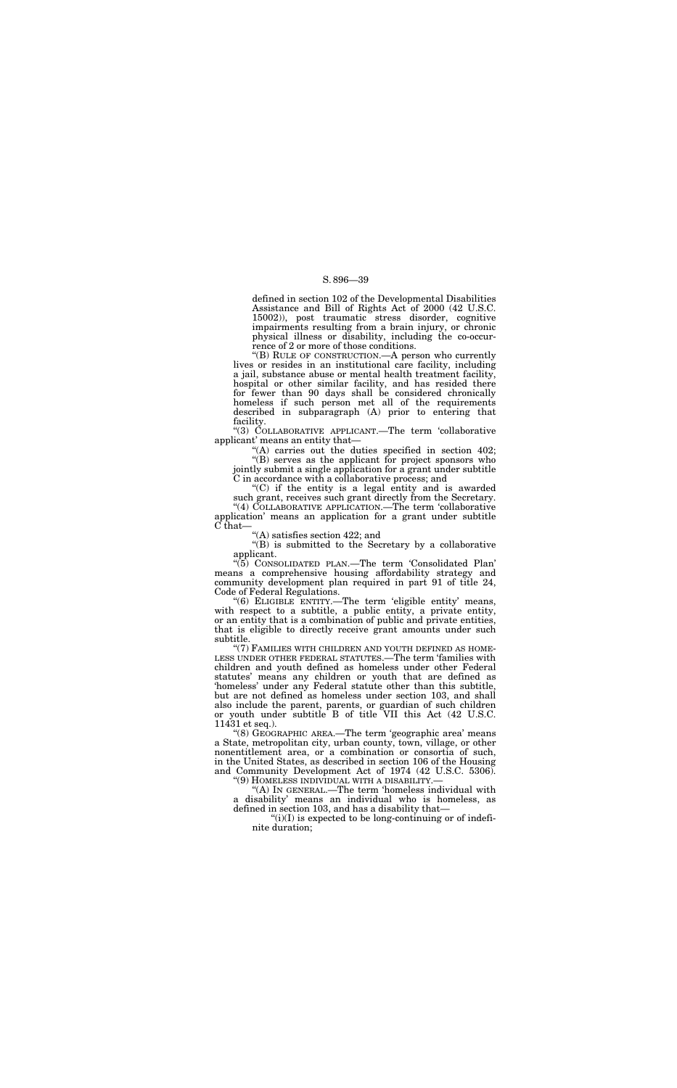defined in section 102 of the Developmental Disabilities Assistance and Bill of Rights Act of 2000 (42 U.S.C. 15002)), post traumatic stress disorder, cognitive impairments resulting from a brain injury, or chronic physical illness or disability, including the co-occurrence of 2 or more of those conditions.

"(A) carries out the duties specified in section 402; ''(B) serves as the applicant for project sponsors who jointly submit a single application for a grant under subtitle

''(B) RULE OF CONSTRUCTION.—A person who currently lives or resides in an institutional care facility, including a jail, substance abuse or mental health treatment facility, hospital or other similar facility, and has resided there for fewer than 90 days shall be considered chronically homeless if such person met all of the requirements described in subparagraph (A) prior to entering that facility.

 $f(B)$  is submitted to the Secretary by a collaborative applicant.

''(3) COLLABORATIVE APPLICANT.—The term 'collaborative applicant' means an entity that—

"(6) ELIGIBLE ENTITY.—The term 'eligible entity' means, with respect to a subtitle, a public entity, a private entity, or an entity that is a combination of public and private entities, that is eligible to directly receive grant amounts under such subtitle.

C in accordance with a collaborative process; and

''(C) if the entity is a legal entity and is awarded such grant, receives such grant directly from the Secretary.

"(7) FAMILIES WITH CHILDREN AND YOUTH DEFINED AS HOME-LESS UNDER OTHER FEDERAL STATUTES.—The term 'families with children and youth defined as homeless under other Federal statutes' means any children or youth that are defined as 'homeless' under any Federal statute other than this subtitle, but are not defined as homeless under section 103, and shall also include the parent, parents, or guardian of such children or youth under subtitle B of title VII this Act (42 U.S.C. 11431 et seq.).

''(8) GEOGRAPHIC AREA.—The term 'geographic area' means a State, metropolitan city, urban county, town, village, or other nonentitlement area, or a combination or consortia of such, in the United States, as described in section 106 of the Housing and Community Development Act of 1974 (42 U.S.C. 5306).<br>"(9) HOMELESS INDIVIDUAL WITH A DISABILITY.—

''(4) COLLABORATIVE APPLICATION.—The term 'collaborative application' means an application for a grant under subtitle C that—

''(A) satisfies section 422; and

"(A) IN GENERAL.—The term 'homeless individual with a disability' means an individual who is homeless, as defined in section 103, and has a disability that—

 $\mathcal{C}(i)(I)$  is expected to be long-continuing or of indefinite duration;

''(5) CONSOLIDATED PLAN.—The term 'Consolidated Plan' means a comprehensive housing affordability strategy and community development plan required in part 91 of title 24, Code of Federal Regulations.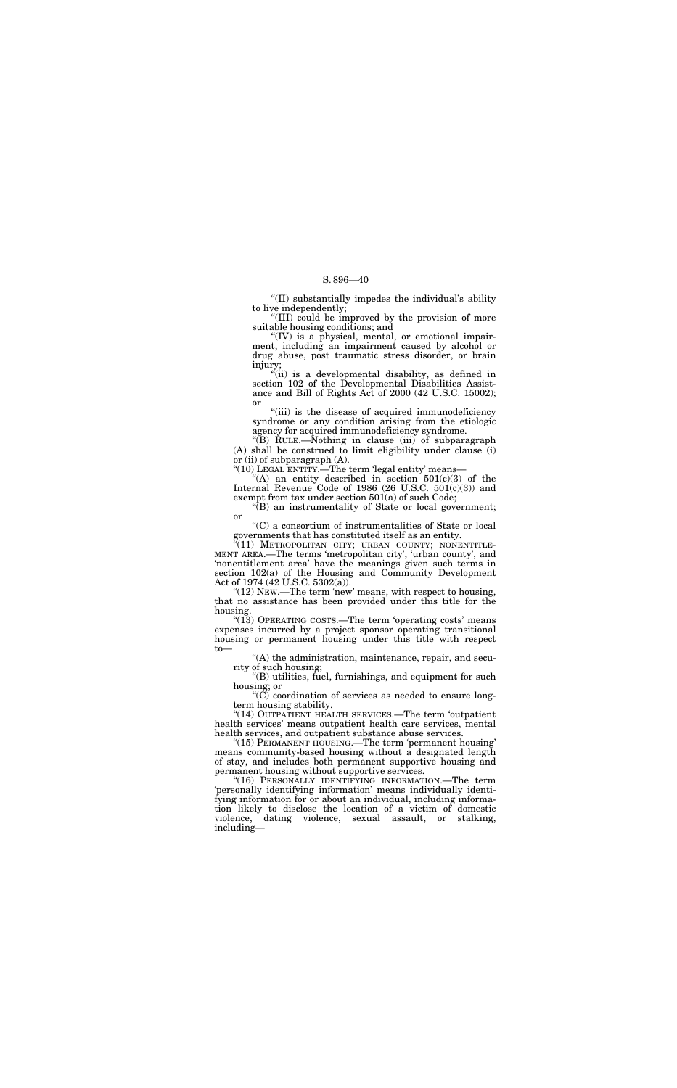"(II) substantially impedes the individual's ability to live independently;

''(III) could be improved by the provision of more suitable housing conditions; and

"(IV) is a physical, mental, or emotional impairment, including an impairment caused by alcohol or drug abuse, post traumatic stress disorder, or brain injury;

"(iii) is the disease of acquired immunodeficiency syndrome or any condition arising from the etiologic agency for acquired immunodeficiency syndrome.

''(ii) is a developmental disability, as defined in section 102 of the Developmental Disabilities Assistance and Bill of Rights Act of 2000 (42 U.S.C. 15002); or

"(A) an entity described in section  $501(c)(3)$  of the Internal Revenue Code of 1986 (26 U.S.C. 501(c)(3)) and exempt from tax under section 501(a) of such Code;

 $\sqrt{\phi(B)}$  an instrumentality of State or local government; or

''(C) a consortium of instrumentalities of State or local governments that has constituted itself as an entity.

(11) METROPOLITAN CITY; URBAN COUNTY; NONENTITLE-MENT AREA.—The terms 'metropolitan city', 'urban county', and 'nonentitlement area' have the meanings given such terms in section 102(a) of the Housing and Community Development Act of 1974 (42 U.S.C. 5302(a)).

''(B) RULE.—Nothing in clause (iii) of subparagraph (A) shall be construed to limit eligibility under clause (i) or (ii) of subparagraph (A).

''(10) LEGAL ENTITY.—The term 'legal entity' means—

"(13) OPERATING COSTS.—The term 'operating costs' means expenses incurred by a project sponsor operating transitional housing or permanent housing under this title with respect to—

" $(\check{C})$  coordination of services as needed to ensure longterm housing stability.

"(14) OUTPATIENT HEALTH SERVICES.—The term 'outpatient health services' means outpatient health care services, mental health services, and outpatient substance abuse services.

''(12) NEW.—The term 'new' means, with respect to housing, that no assistance has been provided under this title for the housing.

''(A) the administration, maintenance, repair, and security of such housing;

''(B) utilities, fuel, furnishings, and equipment for such housing; or

''(15) PERMANENT HOUSING.—The term 'permanent housing' means community-based housing without a designated length of stay, and includes both permanent supportive housing and permanent housing without supportive services.

''(16) PERSONALLY IDENTIFYING INFORMATION.—The term 'personally identifying information' means individually identifying information for or about an individual, including information likely to disclose the location of a victim of domestic violence, dating violence, sexual assault, or stalking, including—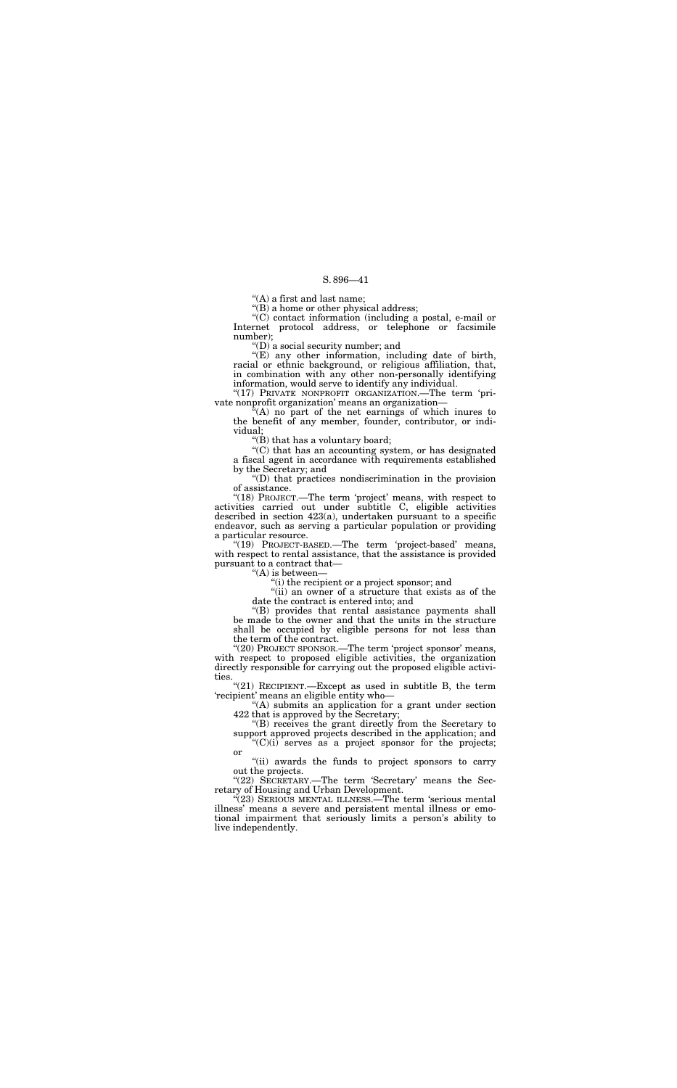''(A) a first and last name;

"(B) a home or other physical address;

''(C) contact information (including a postal, e-mail or Internet protocol address, or telephone or facsimile number);

''(D) a social security number; and

"(17) PRIVATE NONPROFIT ORGANIZATION.—The term 'private nonprofit organization' means an organization—

 $f^{n}(A)$  no part of the net earnings of which inures to the benefit of any member, founder, contributor, or individual;

" $(\hat{B})$  that has a voluntary board;

''(E) any other information, including date of birth, racial or ethnic background, or religious affiliation, that, in combination with any other non-personally identifying information, would serve to identify any individual.

"(18) PROJECT.—The term 'project' means, with respect to activities carried out under subtitle C, eligible activities described in section 423(a), undertaken pursuant to a specific endeavor, such as serving a particular population or providing a particular resource.

''(C) that has an accounting system, or has designated a fiscal agent in accordance with requirements established by the Secretary; and

''(D) that practices nondiscrimination in the provision of assistance.

"(20) PROJECT SPONSOR.—The term 'project sponsor' means, with respect to proposed eligible activities, the organization directly responsible for carrying out the proposed eligible activities.

" $(21)$  RECIPIENT.—Except as used in subtitle B, the term 'recipient' means an eligible entity who—

"(A) submits an application for a grant under section 422 that is approved by the Secretary;

''(B) receives the grant directly from the Secretary to support approved projects described in the application; and  $C'(C)(i)$  serves as a project sponsor for the projects;

"(22) SECRETARY.—The term 'Secretary' means the Secretary of Housing and Urban Development.

''(19) PROJECT-BASED.—The term 'project-based' means, with respect to rental assistance, that the assistance is provided pursuant to a contract that—

''(A) is between—

(i) the recipient or a project sponsor; and

''(ii) an owner of a structure that exists as of the date the contract is entered into; and

''(B) provides that rental assistance payments shall be made to the owner and that the units in the structure shall be occupied by eligible persons for not less than the term of the contract.

or

''(ii) awards the funds to project sponsors to carry out the projects.

''(23) SERIOUS MENTAL ILLNESS.—The term 'serious mental illness' means a severe and persistent mental illness or emotional impairment that seriously limits a person's ability to live independently.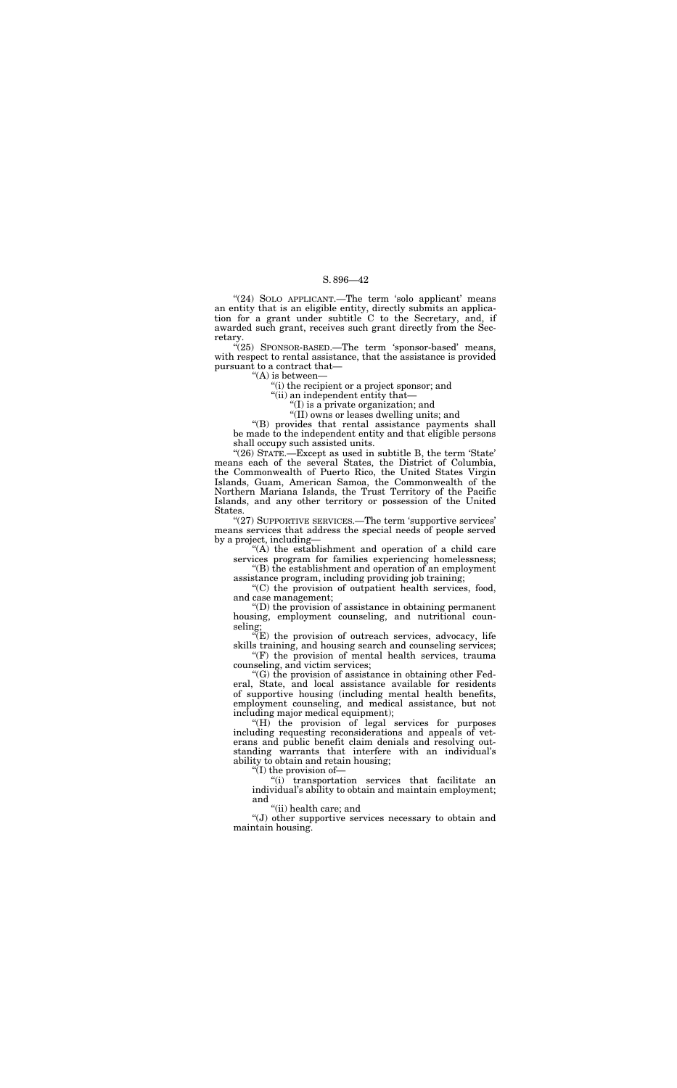"(24) SOLO APPLICANT.—The term 'solo applicant' means an entity that is an eligible entity, directly submits an application for a grant under subtitle C to the Secretary, and, if awarded such grant, receives such grant directly from the Secretary.

"(25) SPONSOR-BASED.—The term 'sponsor-based' means, with respect to rental assistance, that the assistance is provided pursuant to a contract that—

''(A) is between—

''(i) the recipient or a project sponsor; and

''(ii) an independent entity that—

''(I) is a private organization; and

"(26) STATE.—Except as used in subtitle B, the term 'State' means each of the several States, the District of Columbia, the Commonwealth of Puerto Rico, the United States Virgin Islands, Guam, American Samoa, the Commonwealth of the Northern Mariana Islands, the Trust Territory of the Pacific Islands, and any other territory or possession of the United States.

''(II) owns or leases dwelling units; and

"(27) SUPPORTIVE SERVICES.—The term 'supportive services' means services that address the special needs of people served by a project, including—

''(B) provides that rental assistance payments shall be made to the independent entity and that eligible persons shall occupy such assisted units.

"(A) the establishment and operation of a child care services program for families experiencing homelessness;

 $E(E)$  the provision of outreach services, advocacy, life skills training, and housing search and counseling services;

"(F) the provision of mental health services, trauma counseling, and victim services;

"(H) the provision of legal services for purposes" including requesting reconsiderations and appeals of veterans and public benefit claim denials and resolving outstanding warrants that interfere with an individual's ability to obtain and retain housing;

"(i) transportation services that facilitate an individual's ability to obtain and maintain employment; and

"(ii) health care; and

''(B) the establishment and operation of an employment assistance program, including providing job training;

''(C) the provision of outpatient health services, food, and case management;

''(D) the provision of assistance in obtaining permanent housing, employment counseling, and nutritional counseling;

''(G) the provision of assistance in obtaining other Federal, State, and local assistance available for residents of supportive housing (including mental health benefits, employment counseling, and medical assistance, but not including major medical equipment);

''(I) the provision of—

''(J) other supportive services necessary to obtain and maintain housing.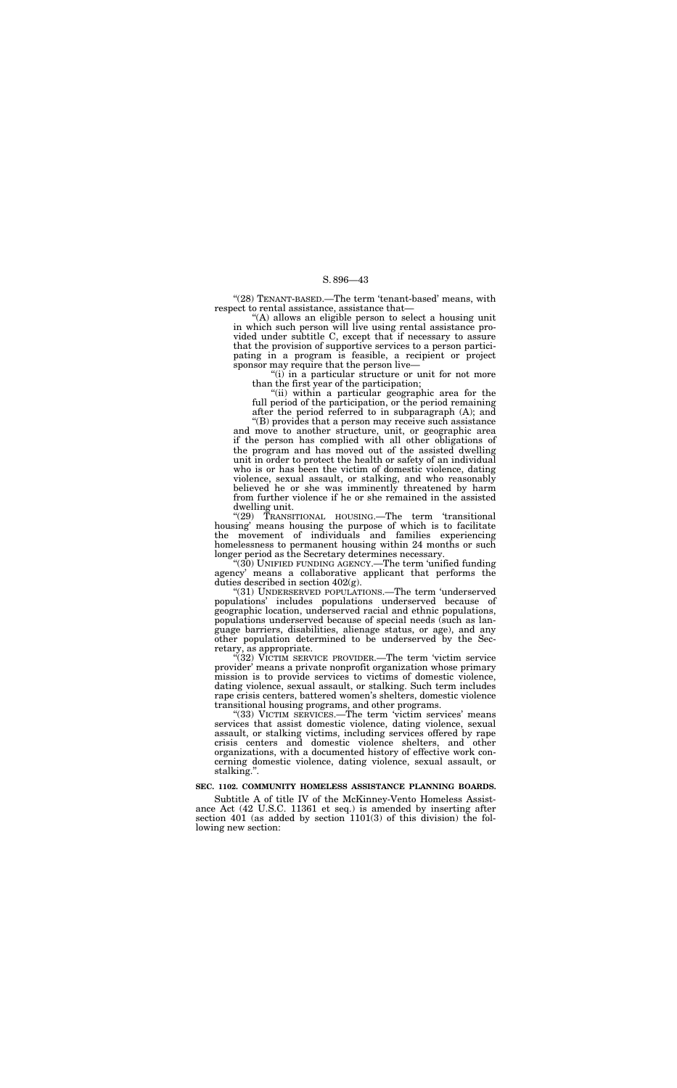"(28) TENANT-BASED.—The term 'tenant-based' means, with respect to rental assistance, assistance that—

> "(i) in a particular structure or unit for not more than the first year of the participation;

''(A) allows an eligible person to select a housing unit in which such person will live using rental assistance provided under subtitle C, except that if necessary to assure that the provision of supportive services to a person participating in a program is feasible, a recipient or project sponsor may require that the person live—

"(ii) within a particular geographic area for the full period of the participation, or the period remaining after the period referred to in subparagraph (A); and ''(B) provides that a person may receive such assistance

"(29) TRANSITIONAL HOUSING.—The term 'transitional housing' means housing the purpose of which is to facilitate the movement of individuals and families experiencing homelessness to permanent housing within 24 months or such longer period as the Secretary determines necessary.

and move to another structure, unit, or geographic area if the person has complied with all other obligations of the program and has moved out of the assisted dwelling unit in order to protect the health or safety of an individual who is or has been the victim of domestic violence, dating violence, sexual assault, or stalking, and who reasonably believed he or she was imminently threatened by harm from further violence if he or she remained in the assisted dwelling unit.

"(31) UNDERSERVED POPULATIONS.—The term 'underserved populations' includes populations underserved because of geographic location, underserved racial and ethnic populations, populations underserved because of special needs (such as language barriers, disabilities, alienage status, or age), and any other population determined to be underserved by the Secretary, as appropriate.

"(33) VICTIM SERVICES.—The term 'victim services' means services that assist domestic violence, dating violence, sexual assault, or stalking victims, including services offered by rape crisis centers and domestic violence shelters, and other organizations, with a documented history of effective work concerning domestic violence, dating violence, sexual assault, or stalking.''.

''(30) UNIFIED FUNDING AGENCY.—The term 'unified funding agency' means a collaborative applicant that performs the duties described in section 402(g).

''(32) VICTIM SERVICE PROVIDER.—The term 'victim service provider' means a private nonprofit organization whose primary mission is to provide services to victims of domestic violence, dating violence, sexual assault, or stalking. Such term includes rape crisis centers, battered women's shelters, domestic violence transitional housing programs, and other programs.

#### **SEC. 1102. COMMUNITY HOMELESS ASSISTANCE PLANNING BOARDS.**

Subtitle A of title IV of the McKinney-Vento Homeless Assistance Act (42 U.S.C. 11361 et seq.) is amended by inserting after section 401 (as added by section 1101(3) of this division) the following new section: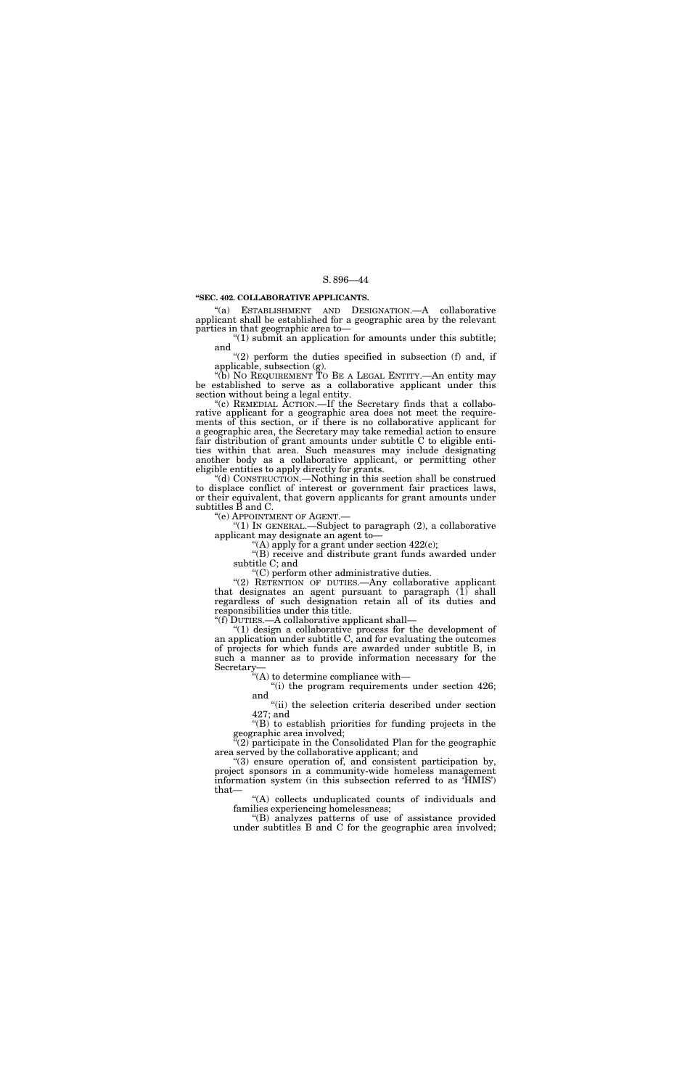#### **''SEC. 402. COLLABORATIVE APPLICANTS.**

"(a) ESTABLISHMENT AND DESIGNATION.—A collaborative applicant shall be established for a geographic area by the relevant parties in that geographic area to—

 $(1)$  submit an application for amounts under this subtitle; and

" $(2)$  perform the duties specified in subsection  $(f)$  and, if applicable, subsection (g).

''(b) NO REQUIREMENT TO BE A LEGAL ENTITY.—An entity may be established to serve as a collaborative applicant under this section without being a legal entity.

> "(B) receive and distribute grant funds awarded under subtitle C; and

''(c) REMEDIAL ACTION.—If the Secretary finds that a collaborative applicant for a geographic area does not meet the requirements of this section, or if there is no collaborative applicant for a geographic area, the Secretary may take remedial action to ensure fair distribution of grant amounts under subtitle C to eligible entities within that area. Such measures may include designating another body as a collaborative applicant, or permitting other eligible entities to apply directly for grants.

"(2) RETENTION OF DUTIES.-Any collaborative applicant that designates an agent pursuant to paragraph  $(1)$  shall regardless of such designation retain all of its duties and responsibilities under this title.

> "(i) the program requirements under section 426; and

''(B) to establish priorities for funding projects in the geographic area involved;

''(d) CONSTRUCTION.—Nothing in this section shall be construed to displace conflict of interest or government fair practices laws, or their equivalent, that govern applicants for grant amounts under subtitles B and C.

 $(2)$  participate in the Consolidated Plan for the geographic area served by the collaborative applicant; and

''(e) APPOINTMENT OF AGENT.—

''(1) IN GENERAL.—Subject to paragraph (2), a collaborative applicant may designate an agent to—

"(A) apply for a grant under section  $422(c)$ ;

''(C) perform other administrative duties.

''(f) DUTIES.—A collaborative applicant shall—

''(1) design a collaborative process for the development of an application under subtitle C, and for evaluating the outcomes of projects for which funds are awarded under subtitle B, in such a manner as to provide information necessary for the Secretary—

''(A) to determine compliance with—

''(ii) the selection criteria described under section 427; and

''(3) ensure operation of, and consistent participation by, project sponsors in a community-wide homeless management information system (in this subsection referred to as 'HMIS') that—

''(A) collects unduplicated counts of individuals and families experiencing homelessness;

''(B) analyzes patterns of use of assistance provided under subtitles B and C for the geographic area involved;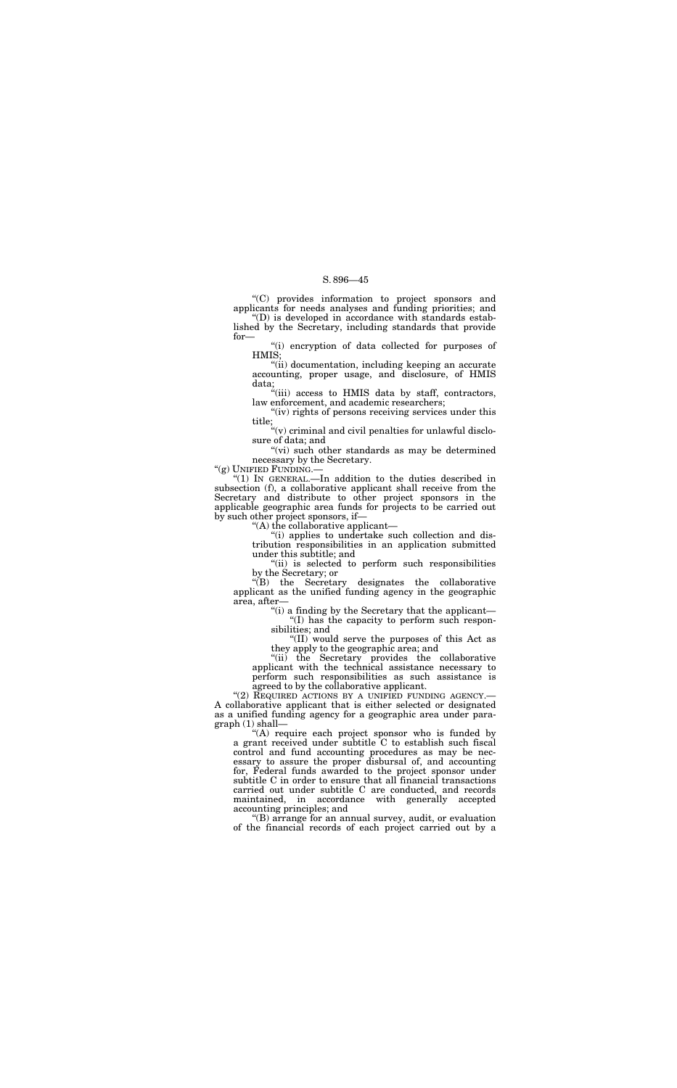''(C) provides information to project sponsors and applicants for needs analyses and funding priorities; and ''(D) is developed in accordance with standards established by the Secretary, including standards that provide

for-''(i) encryption of data collected for purposes of HMIS;

"(v) criminal and civil penalties for unlawful disclosure of data; and

''(ii) documentation, including keeping an accurate accounting, proper usage, and disclosure, of HMIS data;

"(vi) such other standards as may be determined necessary by the Secretary.

''(iii) access to HMIS data by staff, contractors, law enforcement, and academic researchers;

''(iv) rights of persons receiving services under this title;

''(g) UNIFIED FUNDING.—

''(1) IN GENERAL.—In addition to the duties described in subsection (f), a collaborative applicant shall receive from the Secretary and distribute to other project sponsors in the applicable geographic area funds for projects to be carried out by such other project sponsors, if—

"(2) REQUIRED ACTIONS BY A UNIFIED FUNDING AGENCY.— A collaborative applicant that is either selected or designated as a unified funding agency for a geographic area under paragraph (1) shall—

''(A) the collaborative applicant—

''(i) applies to undertake such collection and distribution responsibilities in an application submitted under this subtitle; and

''(ii) is selected to perform such responsibilities by the Secretary; or

''(B) the Secretary designates the collaborative applicant as the unified funding agency in the geographic area, after—

> ''(i) a finding by the Secretary that the applicant— ''(I) has the capacity to perform such respon-

sibilities; and

''(II) would serve the purposes of this Act as they apply to the geographic area; and

''(ii) the Secretary provides the collaborative applicant with the technical assistance necessary to perform such responsibilities as such assistance is agreed to by the collaborative applicant.

''(A) require each project sponsor who is funded by a grant received under subtitle C to establish such fiscal control and fund accounting procedures as may be necessary to assure the proper disbursal of, and accounting for, Federal funds awarded to the project sponsor under subtitle C in order to ensure that all financial transactions carried out under subtitle C are conducted, and records maintained, in accordance with generally accepted accounting principles; and

''(B) arrange for an annual survey, audit, or evaluation of the financial records of each project carried out by a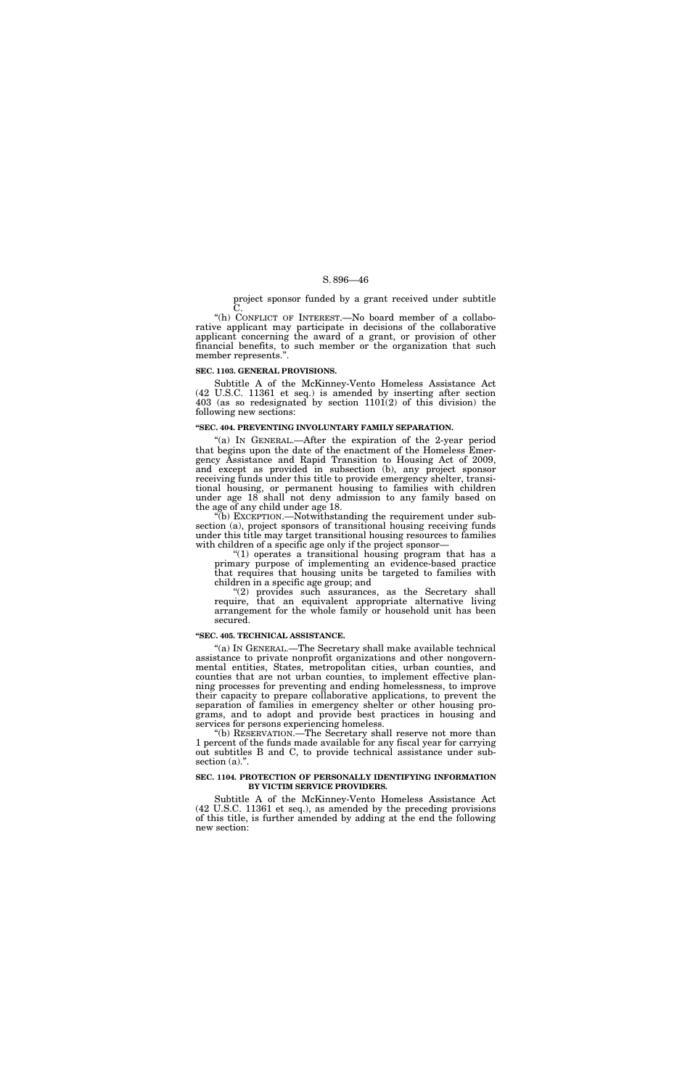project sponsor funded by a grant received under subtitle C.

''(h) CONFLICT OF INTEREST.—No board member of a collaborative applicant may participate in decisions of the collaborative applicant concerning the award of a grant, or provision of other financial benefits, to such member or the organization that such member represents.''.

## **SEC. 1103. GENERAL PROVISIONS.**

Subtitle A of the McKinney-Vento Homeless Assistance Act (42 U.S.C. 11361 et seq.) is amended by inserting after section 403 (as so redesignated by section 1101(2) of this division) the following new sections:

"(a) IN GENERAL.—After the expiration of the 2-year period that begins upon the date of the enactment of the Homeless Emergency Assistance and Rapid Transition to Housing Act of 2009, and except as provided in subsection (b), any project sponsor receiving funds under this title to provide emergency shelter, transitional housing, or permanent housing to families with children under age 18 shall not deny admission to any family based on the age of any child under age 18.

(b) EXCEPTION.—Notwithstanding the requirement under subsection (a), project sponsors of transitional housing receiving funds under this title may target transitional housing resources to families with children of a specific age only if the project sponsor-

#### **''SEC. 404. PREVENTING INVOLUNTARY FAMILY SEPARATION.**

"(2) provides such assurances, as the Secretary shall require, that an equivalent appropriate alternative living arrangement for the whole family or household unit has been secured.

"(a) IN GENERAL.—The Secretary shall make available technical assistance to private nonprofit organizations and other nongovernmental entities, States, metropolitan cities, urban counties, and counties that are not urban counties, to implement effective planning processes for preventing and ending homelessness, to improve their capacity to prepare collaborative applications, to prevent the separation of families in emergency shelter or other housing programs, and to adopt and provide best practices in housing and services for persons experiencing homeless.

''(b) RESERVATION.—The Secretary shall reserve not more than 1 percent of the funds made available for any fiscal year for carrying out subtitles B and C, to provide technical assistance under subsection  $(a)$ .".

''(1) operates a transitional housing program that has a primary purpose of implementing an evidence-based practice that requires that housing units be targeted to families with children in a specific age group; and

## **''SEC. 405. TECHNICAL ASSISTANCE.**

#### **SEC. 1104. PROTECTION OF PERSONALLY IDENTIFYING INFORMATION BY VICTIM SERVICE PROVIDERS.**

Subtitle A of the McKinney-Vento Homeless Assistance Act (42 U.S.C. 11361 et seq.), as amended by the preceding provisions of this title, is further amended by adding at the end the following new section: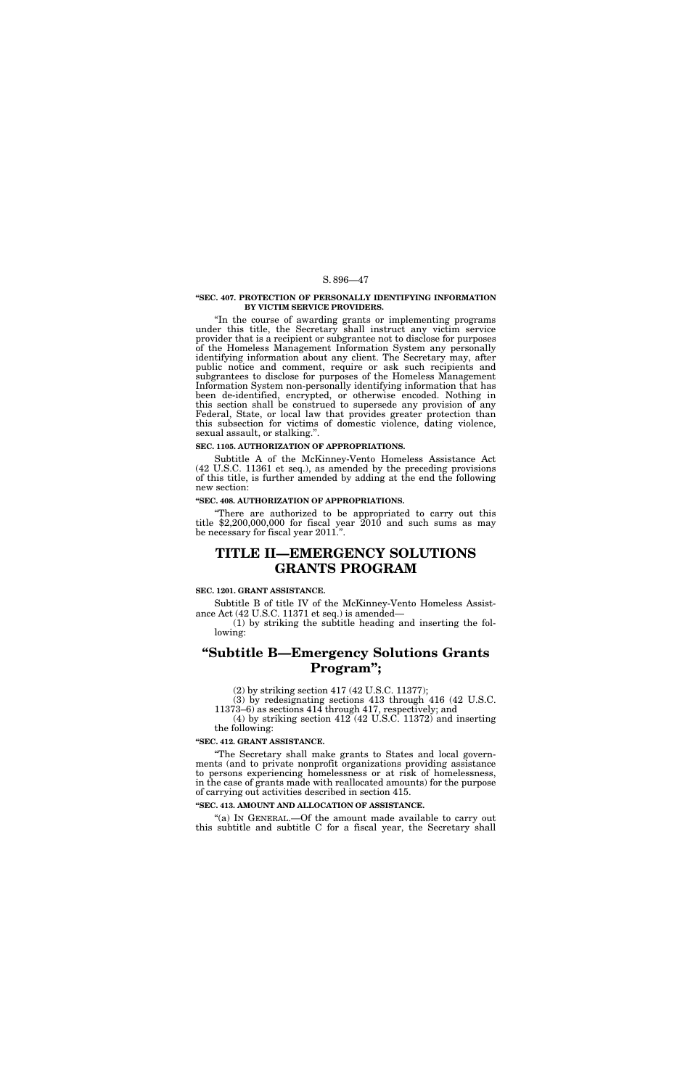#### **''SEC. 407. PROTECTION OF PERSONALLY IDENTIFYING INFORMATION BY VICTIM SERVICE PROVIDERS.**

''In the course of awarding grants or implementing programs under this title, the Secretary shall instruct any victim service provider that is a recipient or subgrantee not to disclose for purposes of the Homeless Management Information System any personally identifying information about any client. The Secretary may, after public notice and comment, require or ask such recipients and subgrantees to disclose for purposes of the Homeless Management Information System non-personally identifying information that has been de-identified, encrypted, or otherwise encoded. Nothing in this section shall be construed to supersede any provision of any Federal, State, or local law that provides greater protection than this subsection for victims of domestic violence, dating violence, sexual assault, or stalking.''.

## **SEC. 1105. AUTHORIZATION OF APPROPRIATIONS.**

Subtitle A of the McKinney-Vento Homeless Assistance Act (42 U.S.C. 11361 et seq.), as amended by the preceding provisions of this title, is further amended by adding at the end the following new section:

#### **''SEC. 408. AUTHORIZATION OF APPROPRIATIONS.**

"(a) In GENERAL.—Of the amount made available to carry out this subtitle and subtitle C for a fiscal year, the Secretary shall

''There are authorized to be appropriated to carry out this title \$2,200,000,000 for fiscal year 2010 and such sums as may be necessary for fiscal year 2011.''.

# **TITLE II—EMERGENCY SOLUTIONS GRANTS PROGRAM**

#### **SEC. 1201. GRANT ASSISTANCE.**

Subtitle B of title IV of the McKinney-Vento Homeless Assistance Act (42 U.S.C. 11371 et seq.) is amended—

(1) by striking the subtitle heading and inserting the following:

## **''Subtitle B—Emergency Solutions Grants Program'';**

(2) by striking section 417 (42 U.S.C. 11377);

(3) by redesignating sections 413 through 416 (42 U.S.C. 11373–6) as sections 414 through 417, respectively; and

(4) by striking section 412 (42 U.S.C. 11372) and inserting the following:

#### **''SEC. 412. GRANT ASSISTANCE.**

''The Secretary shall make grants to States and local governments (and to private nonprofit organizations providing assistance to persons experiencing homelessness or at risk of homelessness, in the case of grants made with reallocated amounts) for the purpose of carrying out activities described in section 415.

#### **''SEC. 413. AMOUNT AND ALLOCATION OF ASSISTANCE.**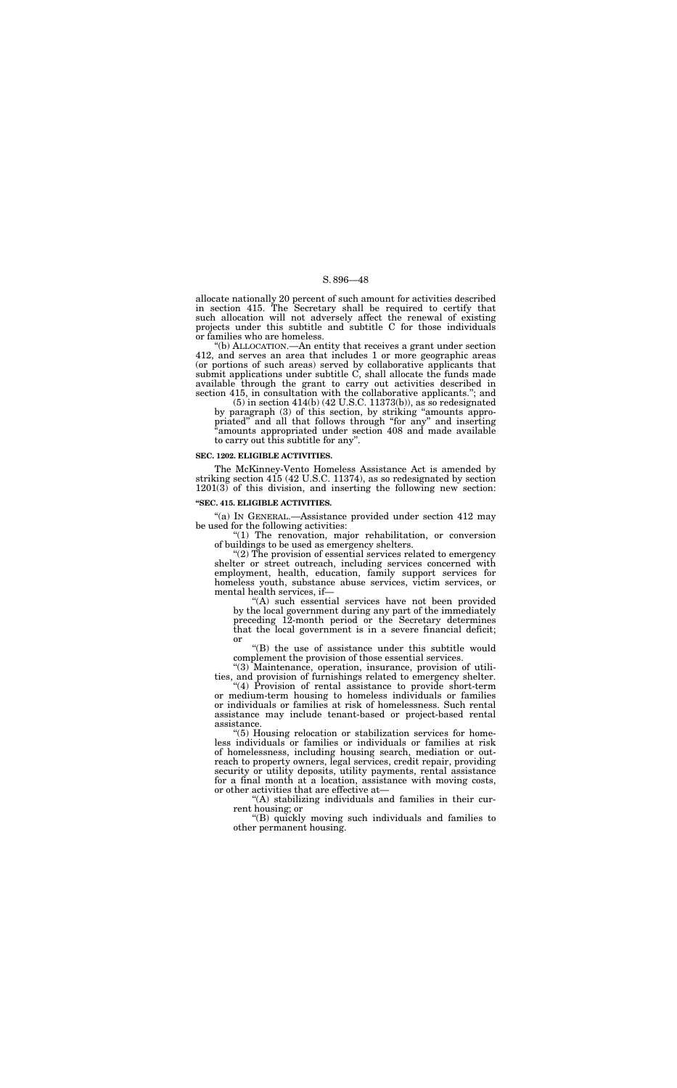allocate nationally 20 percent of such amount for activities described in section 415. The Secretary shall be required to certify that such allocation will not adversely affect the renewal of existing projects under this subtitle and subtitle C for those individuals or families who are homeless.

 $(5)$  in section  $414(b)$   $(42$  U.S.C.  $11373(b)$ , as so redesignated by paragraph (3) of this section, by striking ''amounts appropriated" and all that follows through "for any" and inserting ''amounts appropriated under section 408 and made available to carry out this subtitle for any''.

''(b) ALLOCATION.—An entity that receives a grant under section 412, and serves an area that includes 1 or more geographic areas (or portions of such areas) served by collaborative applicants that submit applications under subtitle C, shall allocate the funds made available through the grant to carry out activities described in section 415, in consultation with the collaborative applicants.''; and

The McKinney-Vento Homeless Assistance Act is amended by striking section 415 (42 U.S.C. 11374), as so redesignated by section  $1201(3)$  of this division, and inserting the following new section:

"(1) The renovation, major rehabilitation, or conversion of buildings to be used as emergency shelters.

"(2) The provision of essential services related to emergency shelter or street outreach, including services concerned with employment, health, education, family support services for homeless youth, substance abuse services, victim services, or mental health services, if—

#### **SEC. 1202. ELIGIBLE ACTIVITIES.**

#### **''SEC. 415. ELIGIBLE ACTIVITIES.**

''(a) IN GENERAL.—Assistance provided under section 412 may be used for the following activities:

> ''(A) such essential services have not been provided by the local government during any part of the immediately preceding 12-month period or the Secretary determines that the local government is in a severe financial deficit; or

> ''(B) the use of assistance under this subtitle would complement the provision of those essential services.

''(3) Maintenance, operation, insurance, provision of utilities, and provision of furnishings related to emergency shelter.

''(4) Provision of rental assistance to provide short-term or medium-term housing to homeless individuals or families or individuals or families at risk of homelessness. Such rental assistance may include tenant-based or project-based rental assistance.

''(5) Housing relocation or stabilization services for homeless individuals or families or individuals or families at risk of homelessness, including housing search, mediation or outreach to property owners, legal services, credit repair, providing security or utility deposits, utility payments, rental assistance for a final month at a location, assistance with moving costs, or other activities that are effective at—

''(A) stabilizing individuals and families in their current housing; or

''(B) quickly moving such individuals and families to other permanent housing.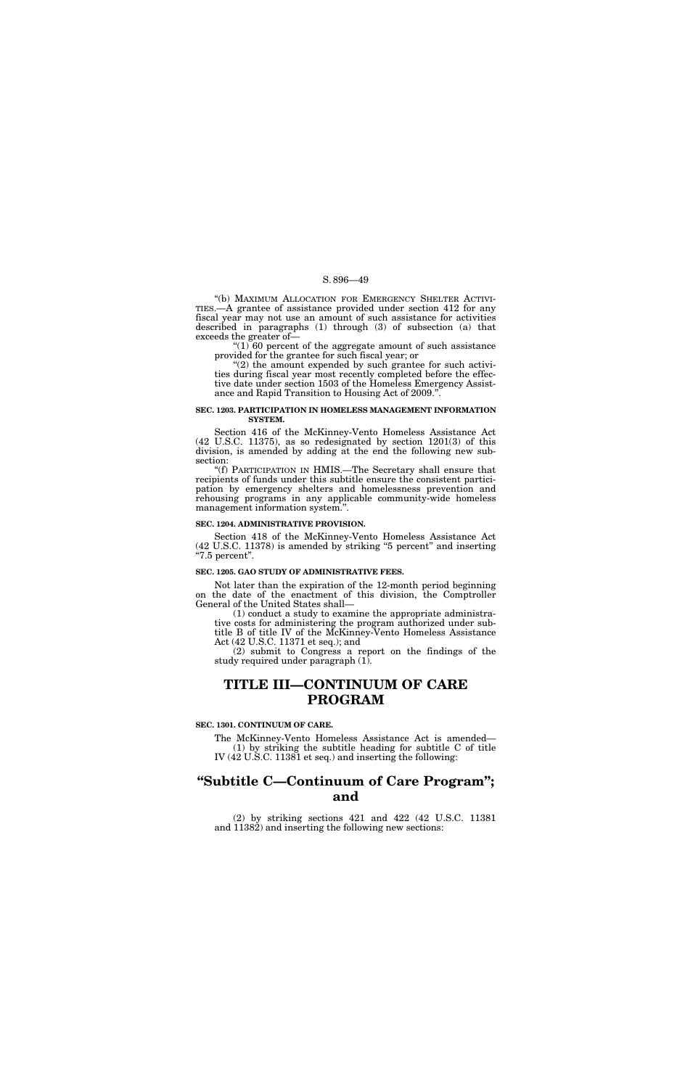''(b) MAXIMUM ALLOCATION FOR EMERGENCY SHELTER ACTIVI- TIES.—A grantee of assistance provided under section 412 for any fiscal year may not use an amount of such assistance for activities described in paragraphs (1) through (3) of subsection (a) that exceeds the greater of—

" $(1)$  60 percent of the aggregate amount of such assistance provided for the grantee for such fiscal year; or

 $''(2)$  the amount expended by such grantee for such activities during fiscal year most recently completed before the effective date under section 1503 of the Homeless Emergency Assistance and Rapid Transition to Housing Act of 2009.''.

Section 418 of the McKinney-Vento Homeless Assistance Act (42 U.S.C. 11378) is amended by striking ''5 percent'' and inserting  $\cdot$ "7.5 percent".

#### **SEC. 1203. PARTICIPATION IN HOMELESS MANAGEMENT INFORMATION SYSTEM.**

Section 416 of the McKinney-Vento Homeless Assistance Act (42 U.S.C. 11375), as so redesignated by section 1201(3) of this division, is amended by adding at the end the following new subsection:

''(f) PARTICIPATION IN HMIS.—The Secretary shall ensure that recipients of funds under this subtitle ensure the consistent participation by emergency shelters and homelessness prevention and rehousing programs in any applicable community-wide homeless management information system.''.

#### **SEC. 1204. ADMINISTRATIVE PROVISION.**

#### **SEC. 1205. GAO STUDY OF ADMINISTRATIVE FEES.**

Not later than the expiration of the 12-month period beginning on the date of the enactment of this division, the Comptroller General of the United States shall—

(1) conduct a study to examine the appropriate administrative costs for administering the program authorized under subtitle B of title IV of the McKinney-Vento Homeless Assistance Act (42 U.S.C. 11371 et seq.); and

(2) submit to Congress a report on the findings of the study required under paragraph (1).

# **TITLE III—CONTINUUM OF CARE PROGRAM**

## **SEC. 1301. CONTINUUM OF CARE.**

The McKinney-Vento Homeless Assistance Act is amended— (1) by striking the subtitle heading for subtitle C of title IV (42 U.S.C. 11381 et seq.) and inserting the following:

## **''Subtitle C—Continuum of Care Program''; and**

(2) by striking sections 421 and 422 (42 U.S.C. 11381 and 11382) and inserting the following new sections: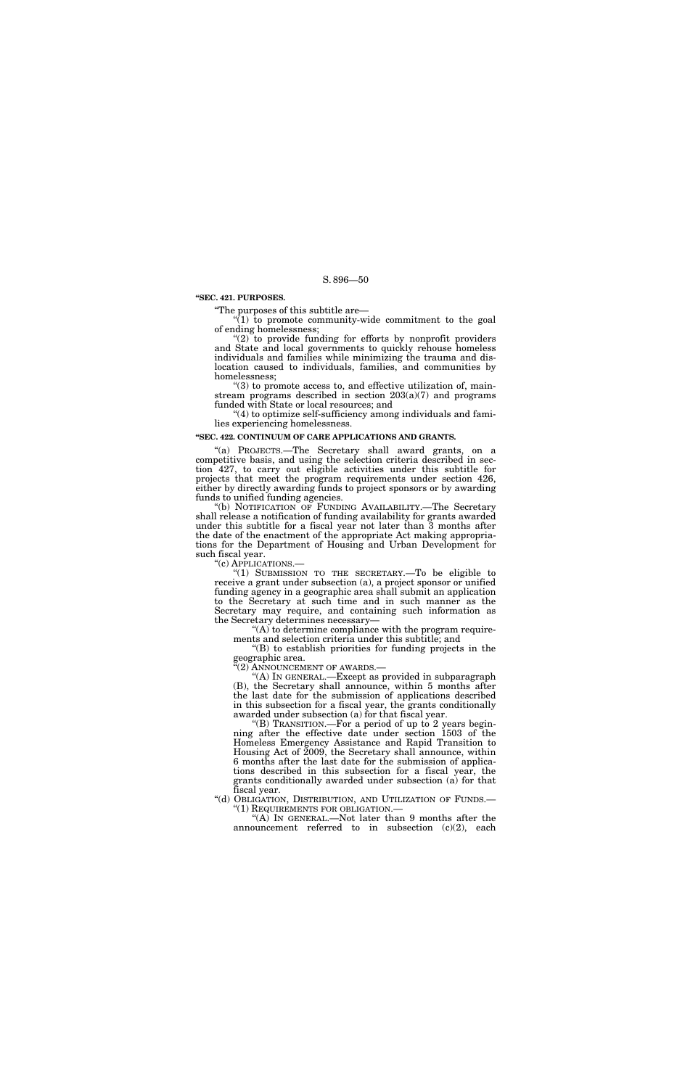#### **''SEC. 421. PURPOSES.**

''The purposes of this subtitle are—

 $\sqrt[n]{(1)}$  to promote community-wide commitment to the goal of ending homelessness;

"(2) to provide funding for efforts by nonprofit providers and State and local governments to quickly rehouse homeless individuals and families while minimizing the trauma and dislocation caused to individuals, families, and communities by homelessness;

 $(3)$  to promote access to, and effective utilization of, mainstream programs described in section 203(a)(7) and programs funded with State or local resources; and

''(4) to optimize self-sufficiency among individuals and families experiencing homelessness.

#### **''SEC. 422. CONTINUUM OF CARE APPLICATIONS AND GRANTS.**

''(a) PROJECTS.—The Secretary shall award grants, on a competitive basis, and using the selection criteria described in section 427, to carry out eligible activities under this subtitle for projects that meet the program requirements under section 426, either by directly awarding funds to project sponsors or by awarding funds to unified funding agencies.

> $(A)$  to determine compliance with the program requirements and selection criteria under this subtitle; and

''(b) NOTIFICATION OF FUNDING AVAILABILITY.—The Secretary shall release a notification of funding availability for grants awarded under this subtitle for a fiscal year not later than 3 months after the date of the enactment of the appropriate Act making appropriations for the Department of Housing and Urban Development for such fiscal year.

''(c) APPLICATIONS.—

''(1) SUBMISSION TO THE SECRETARY.—To be eligible to receive a grant under subsection (a), a project sponsor or unified funding agency in a geographic area shall submit an application to the Secretary at such time and in such manner as the Secretary may require, and containing such information as the Secretary determines necessary—

''(B) to establish priorities for funding projects in the geographic area.

"(2) ANNOUNCEMENT OF AWARDS.—

''(A) IN GENERAL.—Except as provided in subparagraph (B), the Secretary shall announce, within 5 months after the last date for the submission of applications described in this subsection for a fiscal year, the grants conditionally awarded under subsection (a) for that fiscal year.

''(B) TRANSITION.—For a period of up to 2 years beginning after the effective date under section 1503 of the Homeless Emergency Assistance and Rapid Transition to Housing Act of 2009, the Secretary shall announce, within 6 months after the last date for the submission of applications described in this subsection for a fiscal year, the grants conditionally awarded under subsection (a) for that fiscal year.

''(d) OBLIGATION, DISTRIBUTION, AND UTILIZATION OF FUNDS.— ''(1) REQUIREMENTS FOR OBLIGATION.—

''(A) IN GENERAL.—Not later than 9 months after the announcement referred to in subsection (c)(2), each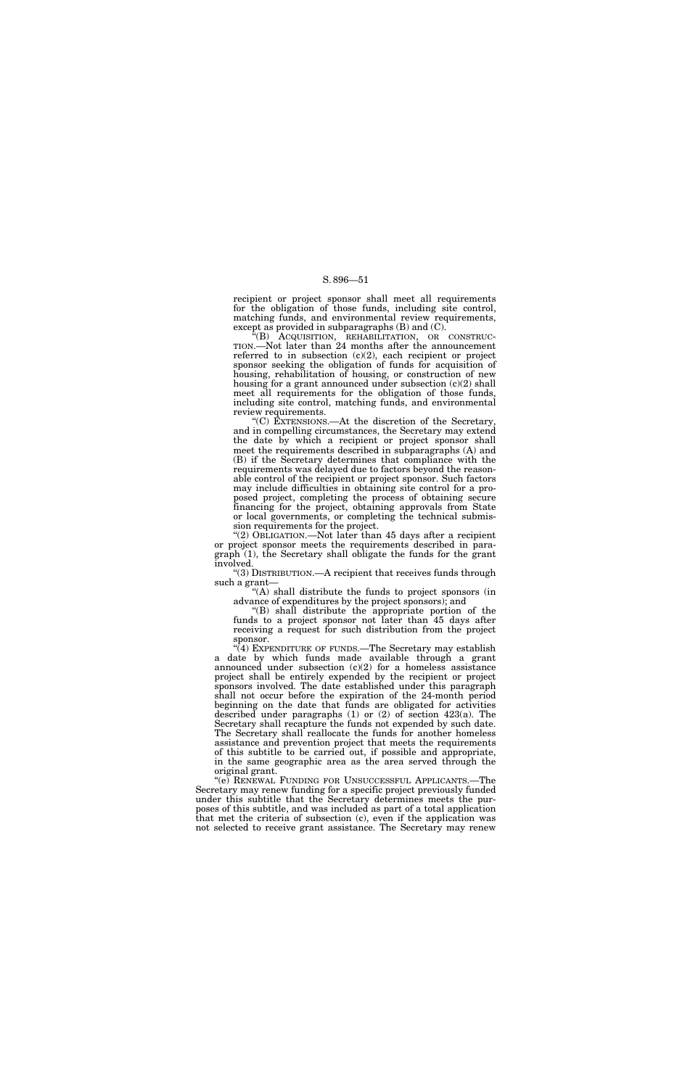recipient or project sponsor shall meet all requirements for the obligation of those funds, including site control, matching funds, and environmental review requirements, except as provided in subparagraphs (B) and (C).

''(B) ACQUISITION, REHABILITATION, OR CONSTRUC-TION.—Not later than 24 months after the announcement referred to in subsection  $(c)(2)$ , each recipient or project sponsor seeking the obligation of funds for acquisition of housing, rehabilitation of housing, or construction of new housing for a grant announced under subsection (c)(2) shall meet all requirements for the obligation of those funds, including site control, matching funds, and environmental review requirements.

"(2) OBLIGATION.—Not later than 45 days after a recipient or project sponsor meets the requirements described in paragraph (1), the Secretary shall obligate the funds for the grant involved.

''(C) EXTENSIONS.—At the discretion of the Secretary, and in compelling circumstances, the Secretary may extend the date by which a recipient or project sponsor shall meet the requirements described in subparagraphs (A) and (B) if the Secretary determines that compliance with the requirements was delayed due to factors beyond the reasonable control of the recipient or project sponsor. Such factors may include difficulties in obtaining site control for a proposed project, completing the process of obtaining secure financing for the project, obtaining approvals from State or local governments, or completing the technical submission requirements for the project.

"(4) EXPENDITURE OF FUNDS.—The Secretary may establish a date by which funds made available through a grant announced under subsection  $(c)(2)$  for a homeless assistance project shall be entirely expended by the recipient or project sponsors involved. The date established under this paragraph shall not occur before the expiration of the 24-month period beginning on the date that funds are obligated for activities described under paragraphs (1) or (2) of section 423(a). The Secretary shall recapture the funds not expended by such date. The Secretary shall reallocate the funds for another homeless assistance and prevention project that meets the requirements of this subtitle to be carried out, if possible and appropriate, in the same geographic area as the area served through the original grant.

''(3) DISTRIBUTION.—A recipient that receives funds through such a grant—

''(A) shall distribute the funds to project sponsors (in advance of expenditures by the project sponsors); and

''(B) shall distribute the appropriate portion of the funds to a project sponsor not later than 45 days after receiving a request for such distribution from the project sponsor.

''(e) RENEWAL FUNDING FOR UNSUCCESSFUL APPLICANTS.—The Secretary may renew funding for a specific project previously funded under this subtitle that the Secretary determines meets the purposes of this subtitle, and was included as part of a total application that met the criteria of subsection (c), even if the application was not selected to receive grant assistance. The Secretary may renew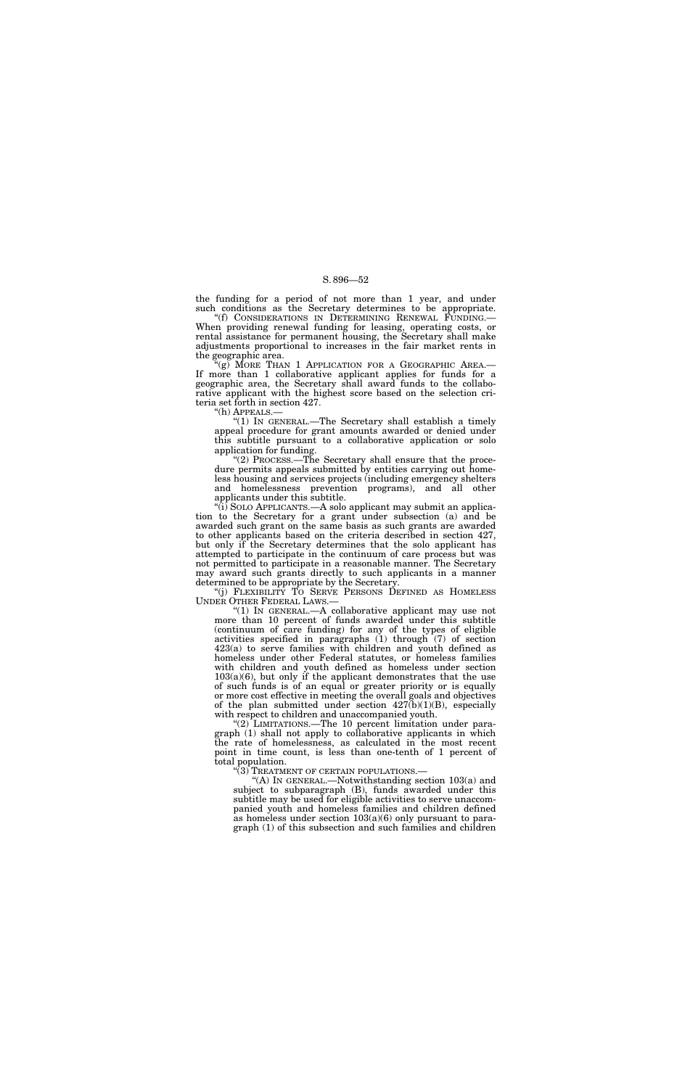the funding for a period of not more than 1 year, and under such conditions as the Secretary determines to be appropriate.

''(f) CONSIDERATIONS IN DETERMINING RENEWAL FUNDING.— When providing renewal funding for leasing, operating costs, or rental assistance for permanent housing, the Secretary shall make adjustments proportional to increases in the fair market rents in the geographic area.

"(g) MORE THAN 1 APPLICATION FOR A GEOGRAPHIC AREA. If more than 1 collaborative applicant applies for funds for a geographic area, the Secretary shall award funds to the collaborative applicant with the highest score based on the selection criteria set forth in section 427.

"(2) PROCESS.—The Secretary shall ensure that the procedure permits appeals submitted by entities carrying out homeless housing and services projects (including emergency shelters and homelessness prevention programs), and all other applicants under this subtitle.

''(h) APPEALS.—

''(1) IN GENERAL.—The Secretary shall establish a timely appeal procedure for grant amounts awarded or denied under this subtitle pursuant to a collaborative application or solo application for funding.

" $(i)$  SOLO APPLICANTS.—A solo applicant may submit an application to the Secretary for a grant under subsection (a) and be awarded such grant on the same basis as such grants are awarded to other applicants based on the criteria described in section 427, but only if the Secretary determines that the solo applicant has attempted to participate in the continuum of care process but was not permitted to participate in a reasonable manner. The Secretary may award such grants directly to such applicants in a manner determined to be appropriate by the Secretary.

"(1) In GENERAL.—A collaborative applicant may use not more than 10 percent of funds awarded under this subtitle (continuum of care funding) for any of the types of eligible activities specified in paragraphs (1) through (7) of section 423(a) to serve families with children and youth defined as homeless under other Federal statutes, or homeless families with children and youth defined as homeless under section  $103(a)(6)$ , but only if the applicant demonstrates that the use of such funds is of an equal or greater priority or is equally or more cost effective in meeting the overall goals and objectives of the plan submitted under section  $427(b)(1)(B)$ , especially with respect to children and unaccompanied youth.

''(2) LIMITATIONS.—The 10 percent limitation under paragraph (1) shall not apply to collaborative applicants in which the rate of homelessness, as calculated in the most recent point in time count, is less than one-tenth of 1 percent of total population.<br>"(3) TREATMENT OF CERTAIN POPULATIONS.-

"(A) IN GENERAL.—Notwithstanding section  $103(a)$  and subject to subparagraph (B), funds awarded under this subtitle may be used for eligible activities to serve unaccompanied youth and homeless families and children defined as homeless under section 103(a)(6) only pursuant to paragraph (1) of this subsection and such families and children

''(j) FLEXIBILITY TO SERVE PERSONS DEFINED AS HOMELESS UNDER OTHER FEDERAL LAWS.—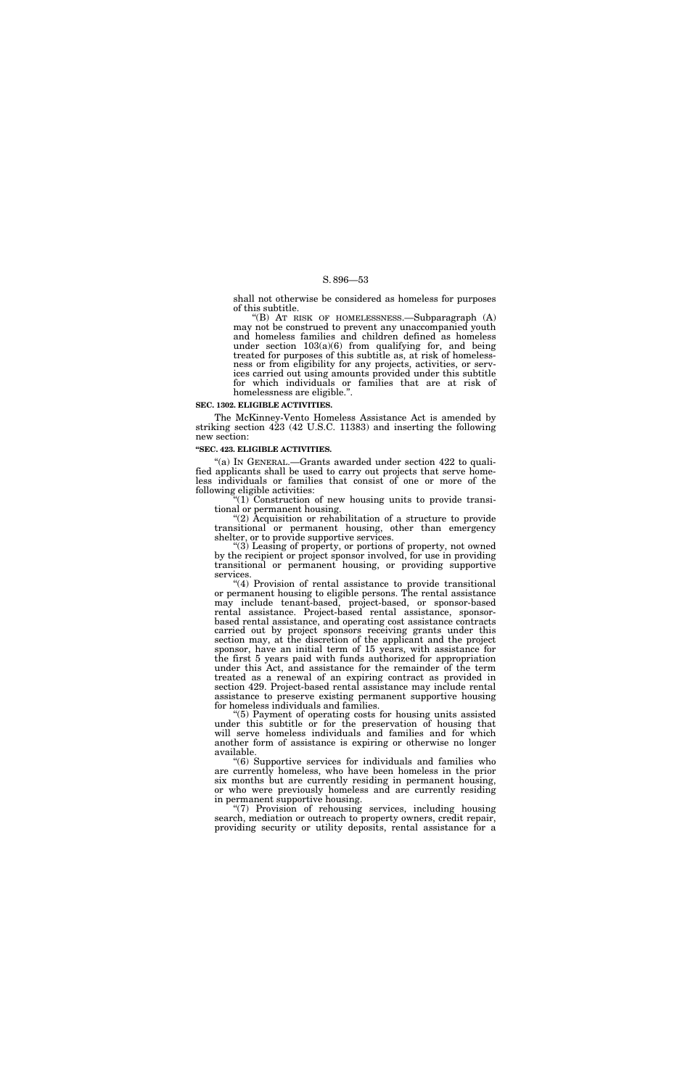shall not otherwise be considered as homeless for purposes of this subtitle.

''(B) AT RISK OF HOMELESSNESS.—Subparagraph (A) may not be construed to prevent any unaccompanied youth and homeless families and children defined as homeless under section 103(a)(6) from qualifying for, and being treated for purposes of this subtitle as, at risk of homelessness or from eligibility for any projects, activities, or services carried out using amounts provided under this subtitle for which individuals or families that are at risk of homelessness are eligible.''.

 $(1)$  Construction of new housing units to provide transitional or permanent housing.

### **SEC. 1302. ELIGIBLE ACTIVITIES.**

The McKinney-Vento Homeless Assistance Act is amended by striking section 423 (42 U.S.C. 11383) and inserting the following new section:

#### **''SEC. 423. ELIGIBLE ACTIVITIES.**

''(a) IN GENERAL.—Grants awarded under section 422 to qualified applicants shall be used to carry out projects that serve homeless individuals or families that consist of one or more of the following eligible activities:

''(2) Acquisition or rehabilitation of a structure to provide transitional or permanent housing, other than emergency shelter, or to provide supportive services.

''(3) Leasing of property, or portions of property, not owned by the recipient or project sponsor involved, for use in providing transitional or permanent housing, or providing supportive services.

''(4) Provision of rental assistance to provide transitional or permanent housing to eligible persons. The rental assistance may include tenant-based, project-based, or sponsor-based rental assistance. Project-based rental assistance, sponsorbased rental assistance, and operating cost assistance contracts carried out by project sponsors receiving grants under this section may, at the discretion of the applicant and the project sponsor, have an initial term of 15 years, with assistance for the first 5 years paid with funds authorized for appropriation under this Act, and assistance for the remainder of the term treated as a renewal of an expiring contract as provided in section 429. Project-based rental assistance may include rental assistance to preserve existing permanent supportive housing for homeless individuals and families.

''(5) Payment of operating costs for housing units assisted under this subtitle or for the preservation of housing that will serve homeless individuals and families and for which another form of assistance is expiring or otherwise no longer available.

''(6) Supportive services for individuals and families who are currently homeless, who have been homeless in the prior six months but are currently residing in permanent housing, or who were previously homeless and are currently residing in permanent supportive housing.

''(7) Provision of rehousing services, including housing search, mediation or outreach to property owners, credit repair, providing security or utility deposits, rental assistance for a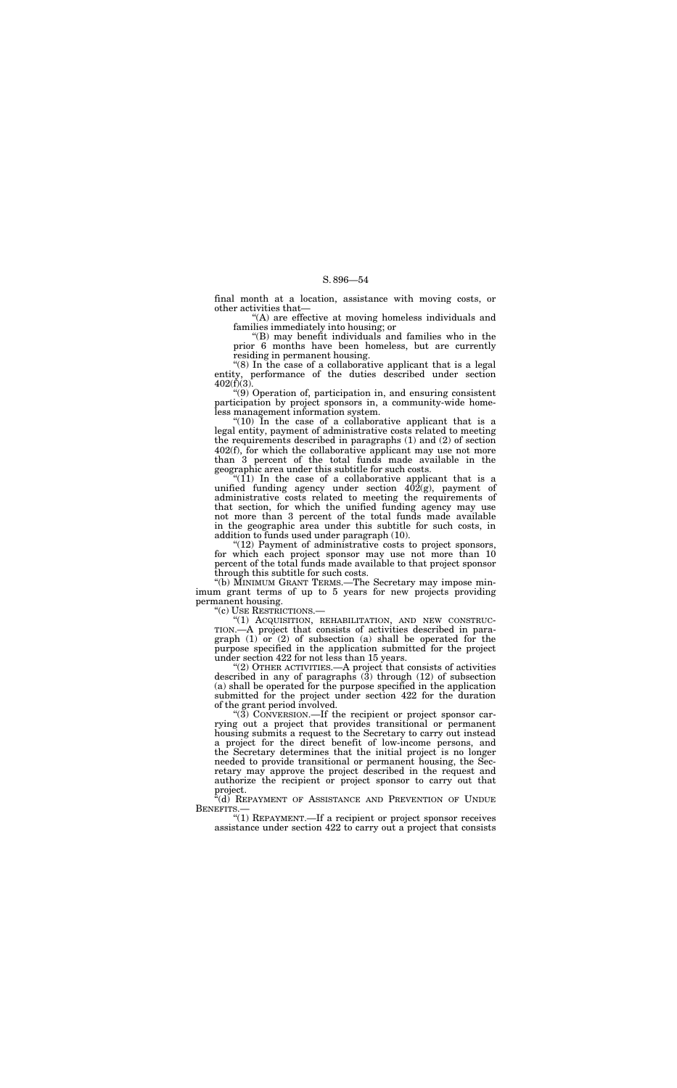final month at a location, assistance with moving costs, or other activities that—

''(A) are effective at moving homeless individuals and families immediately into housing; or

''(B) may benefit individuals and families who in the prior 6 months have been homeless, but are currently residing in permanent housing.

"(8) In the case of a collaborative applicant that is a legal entity, performance of the duties described under section  $402(f)(3)$ .

"(10) In the case of a collaborative applicant that is a legal entity, payment of administrative costs related to meeting the requirements described in paragraphs (1) and (2) of section 402(f), for which the collaborative applicant may use not more than 3 percent of the total funds made available in the geographic area under this subtitle for such costs.

''(9) Operation of, participation in, and ensuring consistent participation by project sponsors in, a community-wide homeless management information system.

"(11) In the case of a collaborative applicant that is a unified funding agency under section 402(g), payment of administrative costs related to meeting the requirements of that section, for which the unified funding agency may use not more than 3 percent of the total funds made available in the geographic area under this subtitle for such costs, in addition to funds used under paragraph (10).

 $\degree$ (12) Payment of administrative costs to project sponsors, for which each project sponsor may use not more than 10 percent of the total funds made available to that project sponsor through this subtitle for such costs.

" $(3)$  CONVERSION.—If the recipient or project sponsor carrying out a project that provides transitional or permanent housing submits a request to the Secretary to carry out instead a project for the direct benefit of low-income persons, and the Secretary determines that the initial project is no longer needed to provide transitional or permanent housing, the Secretary may approve the project described in the request and authorize the recipient or project sponsor to carry out that project.

"(d) REPAYMENT OF ASSISTANCE AND PREVENTION OF UNDUE BENEFITS.—

''(b) MINIMUM GRANT TERMS.—The Secretary may impose minimum grant terms of up to 5 years for new projects providing permanent housing.

''(c) USE RESTRICTIONS.—

''(1) ACQUISITION, REHABILITATION, AND NEW CONSTRUC-TION.—A project that consists of activities described in paragraph (1) or (2) of subsection (a) shall be operated for the purpose specified in the application submitted for the project under section 422 for not less than 15 years.

''(2) OTHER ACTIVITIES.—A project that consists of activities described in any of paragraphs (3) through (12) of subsection (a) shall be operated for the purpose specified in the application submitted for the project under section 422 for the duration of the grant period involved.

''(1) REPAYMENT.—If a recipient or project sponsor receives assistance under section 422 to carry out a project that consists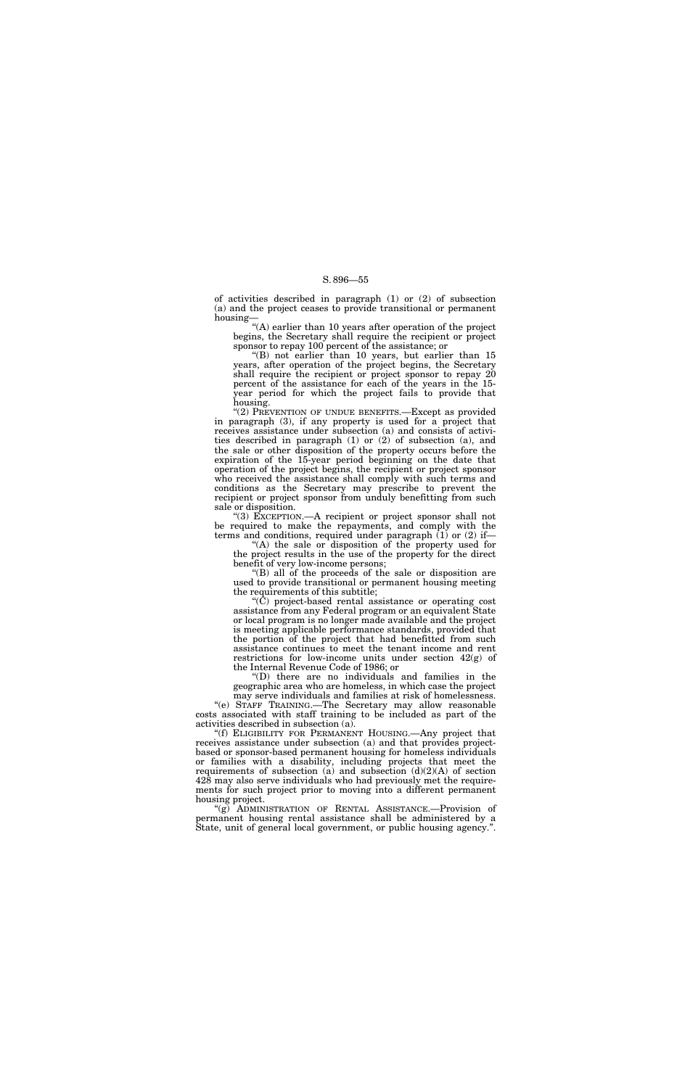of activities described in paragraph (1) or (2) of subsection (a) and the project ceases to provide transitional or permanent housing—

''(A) earlier than 10 years after operation of the project begins, the Secretary shall require the recipient or project sponsor to repay 100 percent of the assistance; or

''(B) not earlier than 10 years, but earlier than 15 years, after operation of the project begins, the Secretary shall require the recipient or project sponsor to repay 20 percent of the assistance for each of the years in the 15 year period for which the project fails to provide that housing.

"(2) PREVENTION OF UNDUE BENEFITS.—Except as provided in paragraph (3), if any property is used for a project that receives assistance under subsection (a) and consists of activities described in paragraph (1) or (2) of subsection (a), and the sale or other disposition of the property occurs before the expiration of the 15-year period beginning on the date that operation of the project begins, the recipient or project sponsor who received the assistance shall comply with such terms and conditions as the Secretary may prescribe to prevent the recipient or project sponsor from unduly benefitting from such sale or disposition.

''(3) EXCEPTION.—A recipient or project sponsor shall not be required to make the repayments, and comply with the terms and conditions, required under paragraph  $(1)$  or  $(2)$  if-

 $\mathrm{``}(\tilde{C})$  project-based rental assistance or operating cost assistance from any Federal program or an equivalent State or local program is no longer made available and the project is meeting applicable performance standards, provided that the portion of the project that had benefitted from such assistance continues to meet the tenant income and rent restrictions for low-income units under section  $42(g)$  of the Internal Revenue Code of 1986; or

''(A) the sale or disposition of the property used for the project results in the use of the property for the direct benefit of very low-income persons;

''(B) all of the proceeds of the sale or disposition are used to provide transitional or permanent housing meeting the requirements of this subtitle;

''(D) there are no individuals and families in the geographic area who are homeless, in which case the project

may serve individuals and families at risk of homelessness. ''(e) STAFF TRAINING.—The Secretary may allow reasonable costs associated with staff training to be included as part of the activities described in subsection (a).

''(f) ELIGIBILITY FOR PERMANENT HOUSING.—Any project that receives assistance under subsection (a) and that provides projectbased or sponsor-based permanent housing for homeless individuals or families with a disability, including projects that meet the requirements of subsection  $(a)$  and subsection  $(d)(2)(A)$  of section 428 may also serve individuals who had previously met the requirements for such project prior to moving into a different permanent housing project.

''(g) ADMINISTRATION OF RENTAL ASSISTANCE.—Provision of permanent housing rental assistance shall be administered by a State, unit of general local government, or public housing agency.''.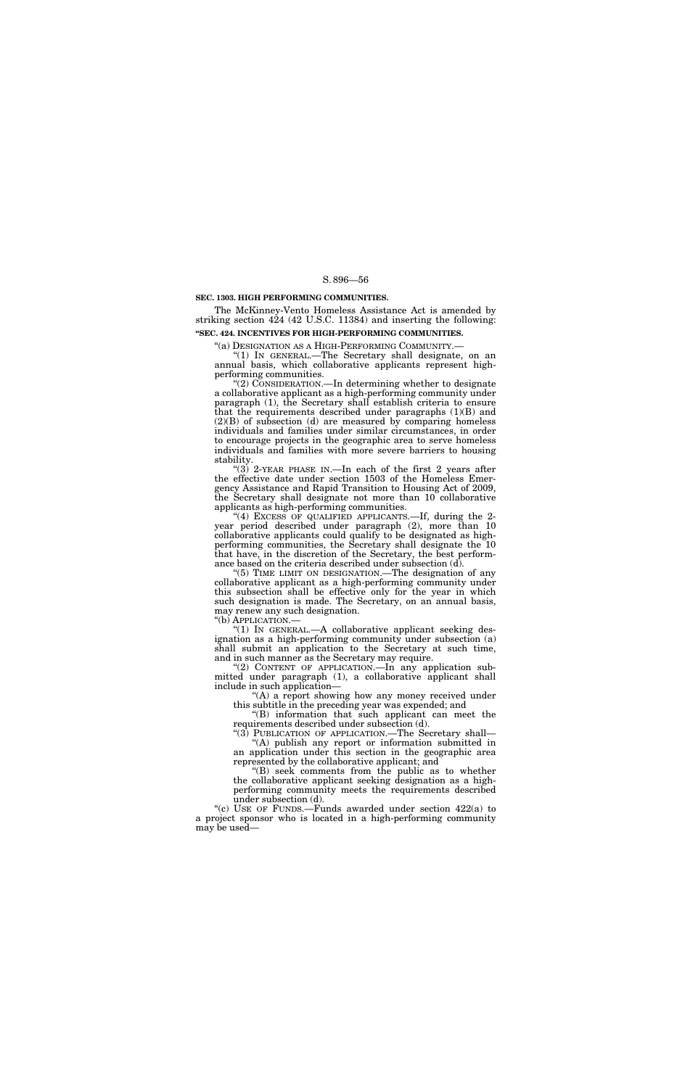#### **SEC. 1303. HIGH PERFORMING COMMUNITIES.**

The McKinney-Vento Homeless Assistance Act is amended by striking section 424 (42 U.S.C. 11384) and inserting the following:

## **''SEC. 424. INCENTIVES FOR HIGH-PERFORMING COMMUNITIES.**

''(a) DESIGNATION AS A HIGH-PERFORMING COMMUNITY.—

''(1) IN GENERAL.—The Secretary shall designate, on an annual basis, which collaborative applicants represent highperforming communities.

"(3) 2-YEAR PHASE IN.—In each of the first 2 years after the effective date under section 1503 of the Homeless Emergency Assistance and Rapid Transition to Housing Act of 2009, the Secretary shall designate not more than 10 collaborative applicants as high-performing communities.

''(2) CONSIDERATION.—In determining whether to designate a collaborative applicant as a high-performing community under paragraph (1), the Secretary shall establish criteria to ensure that the requirements described under paragraphs  $(1)(B)$  and (2)(B) of subsection (d) are measured by comparing homeless individuals and families under similar circumstances, in order to encourage projects in the geographic area to serve homeless individuals and families with more severe barriers to housing stability.

"(4) EXCESS OF QUALIFIED APPLICANTS.—If, during the 2year period described under paragraph (2), more than 10 collaborative applicants could qualify to be designated as highperforming communities, the Secretary shall designate the 10 that have, in the discretion of the Secretary, the best performance based on the criteria described under subsection (d).

 $f(1)$  In GENERAL.—A collaborative applicant seeking designation as a high-performing community under subsection (a) shall submit an application to the Secretary at such time, and in such manner as the Secretary may require.

"(2) CONTENT OF APPLICATION.—In any application submitted under paragraph (1), a collaborative applicant shall include in such application—

"(A) a report showing how any money received under this subtitle in the preceding year was expended; and

"(3) PUBLICATION OF APPLICATION.—The Secretary shall— ''(A) publish any report or information submitted in

''(5) TIME LIMIT ON DESIGNATION.—The designation of any collaborative applicant as a high-performing community under this subsection shall be effective only for the year in which such designation is made. The Secretary, on an annual basis, may renew any such designation.

"(b) APPLICATION.-

''(B) information that such applicant can meet the requirements described under subsection (d).

an application under this section in the geographic area represented by the collaborative applicant; and

''(B) seek comments from the public as to whether the collaborative applicant seeking designation as a highperforming community meets the requirements described under subsection (d).

''(c) USE OF FUNDS.—Funds awarded under section 422(a) to a project sponsor who is located in a high-performing community may be used—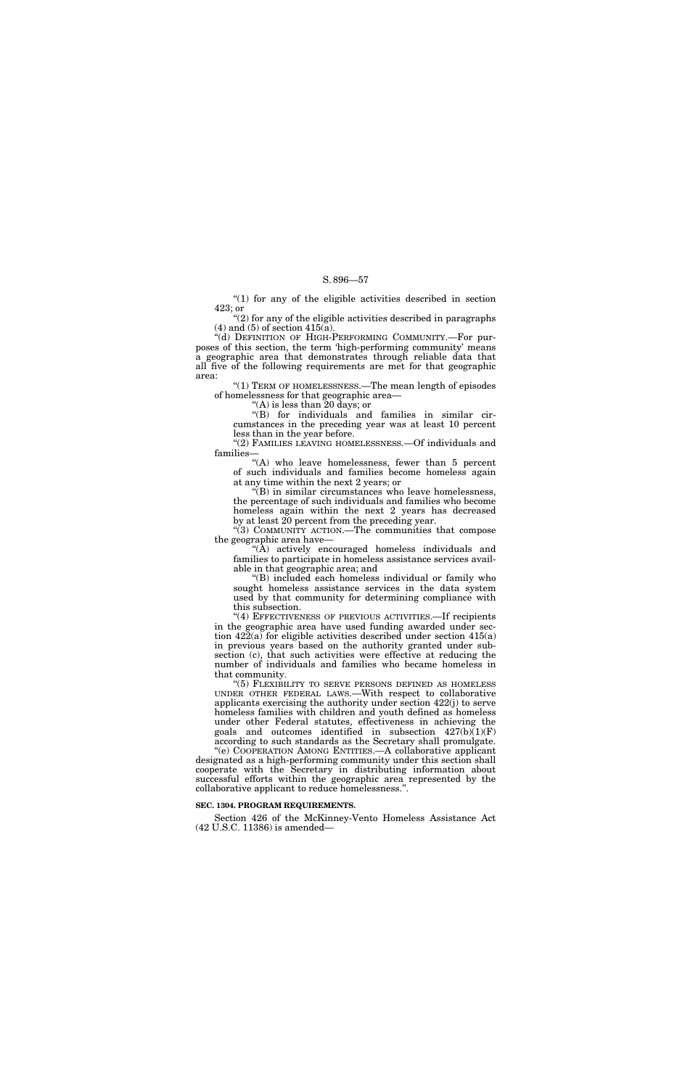"(1) for any of the eligible activities described in section 423; or

''(2) for any of the eligible activities described in paragraphs (4) and (5) of section 415(a).

''(d) DEFINITION OF HIGH-PERFORMING COMMUNITY.—For purposes of this section, the term 'high-performing community' means a geographic area that demonstrates through reliable data that all five of the following requirements are met for that geographic area:

"(2) FAMILIES LEAVING HOMELESSNESS.—Of individuals and families—

"(A) who leave homelessness, fewer than 5 percent of such individuals and families become homeless again at any time within the next 2 years; or

''(1) TERM OF HOMELESSNESS.—The mean length of episodes of homelessness for that geographic area—

''(A) is less than 20 days; or

"(3) COMMUNITY ACTION.—The communities that compose the geographic area have—

''(B) for individuals and families in similar circumstances in the preceding year was at least 10 percent less than in the year before.

"(4) EFFECTIVENESS OF PREVIOUS ACTIVITIES.—If recipients in the geographic area have used funding awarded under section 422(a) for eligible activities described under section 415(a) in previous years based on the authority granted under subsection (c), that such activities were effective at reducing the number of individuals and families who became homeless in that community.

''(B) in similar circumstances who leave homelessness, the percentage of such individuals and families who become homeless again within the next 2 years has decreased by at least 20 percent from the preceding year.

''(A) actively encouraged homeless individuals and families to participate in homeless assistance services available in that geographic area; and

''(B) included each homeless individual or family who sought homeless assistance services in the data system used by that community for determining compliance with this subsection.

''(5) FLEXIBILITY TO SERVE PERSONS DEFINED AS HOMELESS UNDER OTHER FEDERAL LAWS.—With respect to collaborative applicants exercising the authority under section 422(j) to serve homeless families with children and youth defined as homeless under other Federal statutes, effectiveness in achieving the goals and outcomes identified in subsection  $427(b)(1)(F)$ according to such standards as the Secretary shall promulgate.

''(e) COOPERATION AMONG ENTITIES.—A collaborative applicant designated as a high-performing community under this section shall cooperate with the Secretary in distributing information about successful efforts within the geographic area represented by the collaborative applicant to reduce homelessness.''.

#### **SEC. 1304. PROGRAM REQUIREMENTS.**

Section 426 of the McKinney-Vento Homeless Assistance Act (42 U.S.C. 11386) is amended—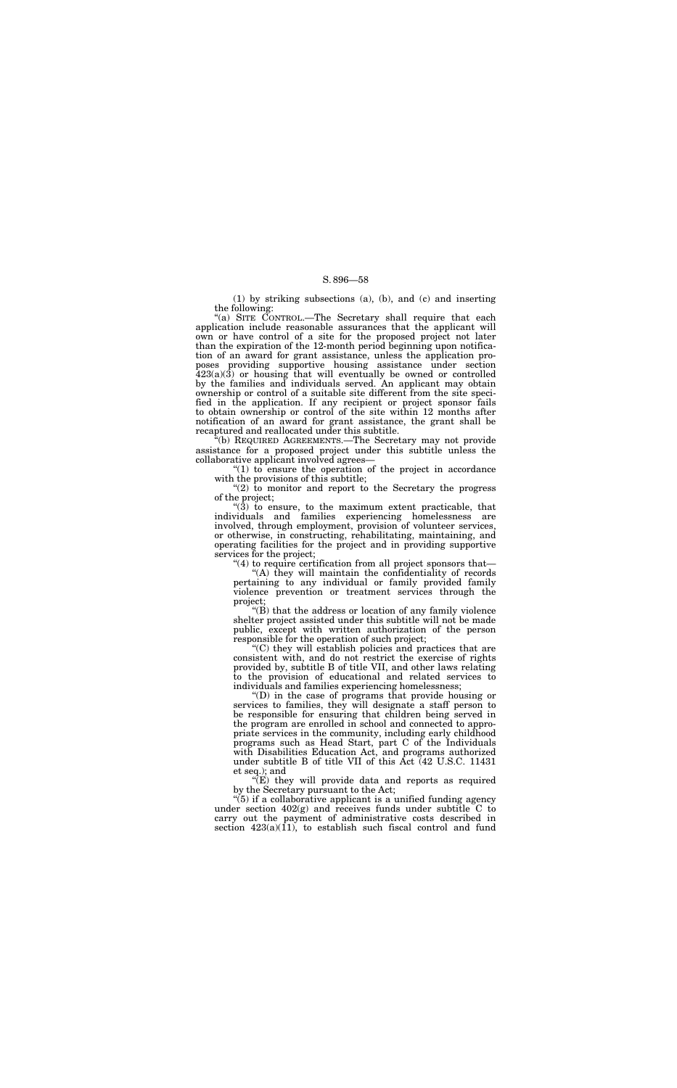(1) by striking subsections (a), (b), and (c) and inserting the following:

"(a) SITE CONTROL.—The Secretary shall require that each application include reasonable assurances that the applicant will own or have control of a site for the proposed project not later than the expiration of the 12-month period beginning upon notification of an award for grant assistance, unless the application proposes providing supportive housing assistance under section  $423(a)(3)$  or housing that will eventually be owned or controlled by the families and individuals served. An applicant may obtain ownership or control of a suitable site different from the site specified in the application. If any recipient or project sponsor fails to obtain ownership or control of the site within 12 months after notification of an award for grant assistance, the grant shall be recaptured and reallocated under this subtitle.

" $(2)$  to monitor and report to the Secretary the progress of the project;

''(b) REQUIRED AGREEMENTS.—The Secretary may not provide assistance for a proposed project under this subtitle unless the collaborative applicant involved agrees—

" $(1)$  to ensure the operation of the project in accordance with the provisions of this subtitle;

" $(B)$  that the address or location of any family violence shelter project assisted under this subtitle will not be made public, except with written authorization of the person responsible for the operation of such project;

''(3) to ensure, to the maximum extent practicable, that individuals and families experiencing homelessness are involved, through employment, provision of volunteer services, or otherwise, in constructing, rehabilitating, maintaining, and operating facilities for the project and in providing supportive services for the project;

" $(4)$  to require certification from all project sponsors that-

 $(E)$  they will provide data and reports as required by the Secretary pursuant to the Act;

 $(5)$  if a collaborative applicant is a unified funding agency under section 402(g) and receives funds under subtitle C to carry out the payment of administrative costs described in section  $423(a)(11)$ , to establish such fiscal control and fund

''(A) they will maintain the confidentiality of records pertaining to any individual or family provided family violence prevention or treatment services through the project;

''(C) they will establish policies and practices that are consistent with, and do not restrict the exercise of rights provided by, subtitle B of title VII, and other laws relating to the provision of educational and related services to individuals and families experiencing homelessness;

''(D) in the case of programs that provide housing or services to families, they will designate a staff person to be responsible for ensuring that children being served in the program are enrolled in school and connected to appropriate services in the community, including early childhood programs such as Head Start, part C of the Individuals with Disabilities Education Act, and programs authorized under subtitle B of title VII of this Act (42 U.S.C. 11431 et seq.); and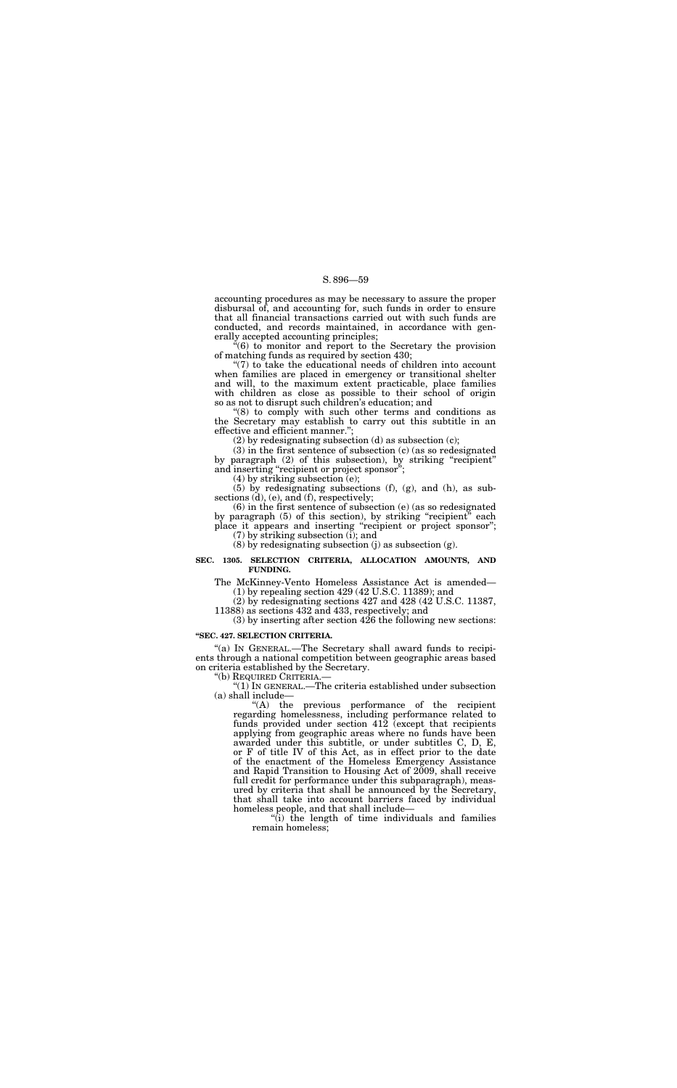accounting procedures as may be necessary to assure the proper disbursal of, and accounting for, such funds in order to ensure that all financial transactions carried out with such funds are conducted, and records maintained, in accordance with generally accepted accounting principles;

"(7) to take the educational needs of children into account when families are placed in emergency or transitional shelter and will, to the maximum extent practicable, place families with children as close as possible to their school of origin so as not to disrupt such children's education; and

''(6) to monitor and report to the Secretary the provision of matching funds as required by section 430;

(3) in the first sentence of subsection (c) (as so redesignated by paragraph (2) of this subsection), by striking "recipient" and inserting "recipient or project sponsor";

 $(4)$  by striking subsection  $(e)$ ;

(7) by striking subsection (i); and  $(8)$  by redesignating subsection (j) as subsection (g).

''(8) to comply with such other terms and conditions as the Secretary may establish to carry out this subtitle in an effective and efficient manner.'';

(2) by redesignating subsection (d) as subsection (c);

"(a) IN GENERAL.—The Secretary shall award funds to recipients through a national competition between geographic areas based on criteria established by the Secretary.

" $(1)$  In GENERAL.—The criteria established under subsection (a) shall include—

(5) by redesignating subsections (f), (g), and (h), as subsections (d), (e), and (f), respectively;

(6) in the first sentence of subsection (e) (as so redesignated by paragraph  $(5)$  of this section), by striking "recipient" each place it appears and inserting ''recipient or project sponsor'';

#### **SEC. 1305. SELECTION CRITERIA, ALLOCATION AMOUNTS, AND FUNDING.**

The McKinney-Vento Homeless Assistance Act is amended— (1) by repealing section 429 (42 U.S.C. 11389); and

(2) by redesignating sections 427 and 428 (42 U.S.C. 11387, 11388) as sections 432 and 433, respectively; and

(3) by inserting after section 426 the following new sections:

## **''SEC. 427. SELECTION CRITERIA.**

''(b) REQUIRED CRITERIA.—

''(A) the previous performance of the recipient regarding homelessness, including performance related to funds provided under section 412 (except that recipients applying from geographic areas where no funds have been awarded under this subtitle, or under subtitles C, D, E, or F of title IV of this Act, as in effect prior to the date of the enactment of the Homeless Emergency Assistance and Rapid Transition to Housing Act of 2009, shall receive full credit for performance under this subparagraph), measured by criteria that shall be announced by the Secretary, that shall take into account barriers faced by individual homeless people, and that shall include—

''(i) the length of time individuals and families remain homeless;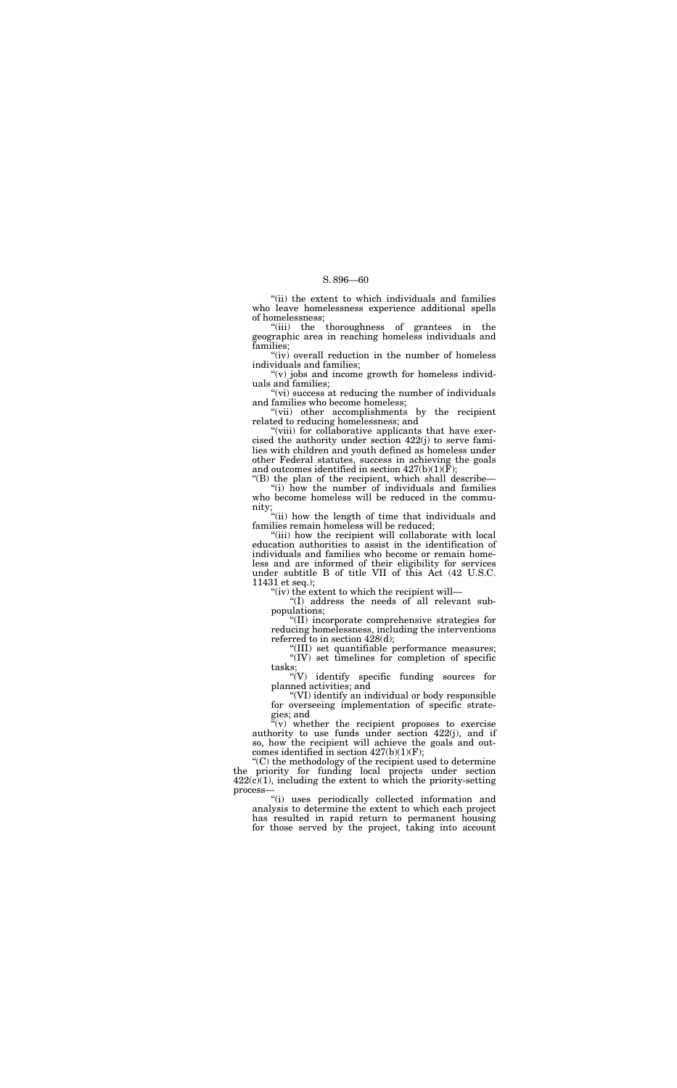"(ii) the extent to which individuals and families who leave homelessness experience additional spells of homelessness;

" $(iv)$  overall reduction in the number of homeless individuals and families;

''(iii) the thoroughness of grantees in the geographic area in reaching homeless individuals and families;

 $''(v)$  jobs and income growth for homeless individuals and families;

"(vi) success at reducing the number of individuals and families who become homeless;

''(vii) other accomplishments by the recipient related to reducing homelessness; and

"(viii) for collaborative applicants that have exercised the authority under section 422(j) to serve families with children and youth defined as homeless under other Federal statutes, success in achieving the goals and outcomes identified in section  $427(b)(1)(F);$ 

"(ii) how the length of time that individuals and families remain homeless will be reduced;

"(iii) how the recipient will collaborate with local education authorities to assist in the identification of individuals and families who become or remain homeless and are informed of their eligibility for services under subtitle B of title VII of this Act (42 U.S.C. 11431 et seq.);

''(B) the plan of the recipient, which shall describe—

''(i) how the number of individuals and families who become homeless will be reduced in the community;

''(iv) the extent to which the recipient will—

''(I) address the needs of all relevant subpopulations;

''(II) incorporate comprehensive strategies for reducing homelessness, including the interventions referred to in section 428(d);

''(III) set quantifiable performance measures; ''(IV) set timelines for completion of specific tasks;

''(V) identify specific funding sources for planned activities; and

''(VI) identify an individual or body responsible for overseeing implementation of specific strategies; and

 $(v)$  whether the recipient proposes to exercise authority to use funds under section 422(j), and if so, how the recipient will achieve the goals and outcomes identified in section  $427(b)(1)(F)$ ;

''(C) the methodology of the recipient used to determine the priority for funding local projects under section  $422(c)(1)$ , including the extent to which the priority-setting process—

''(i) uses periodically collected information and analysis to determine the extent to which each project has resulted in rapid return to permanent housing for those served by the project, taking into account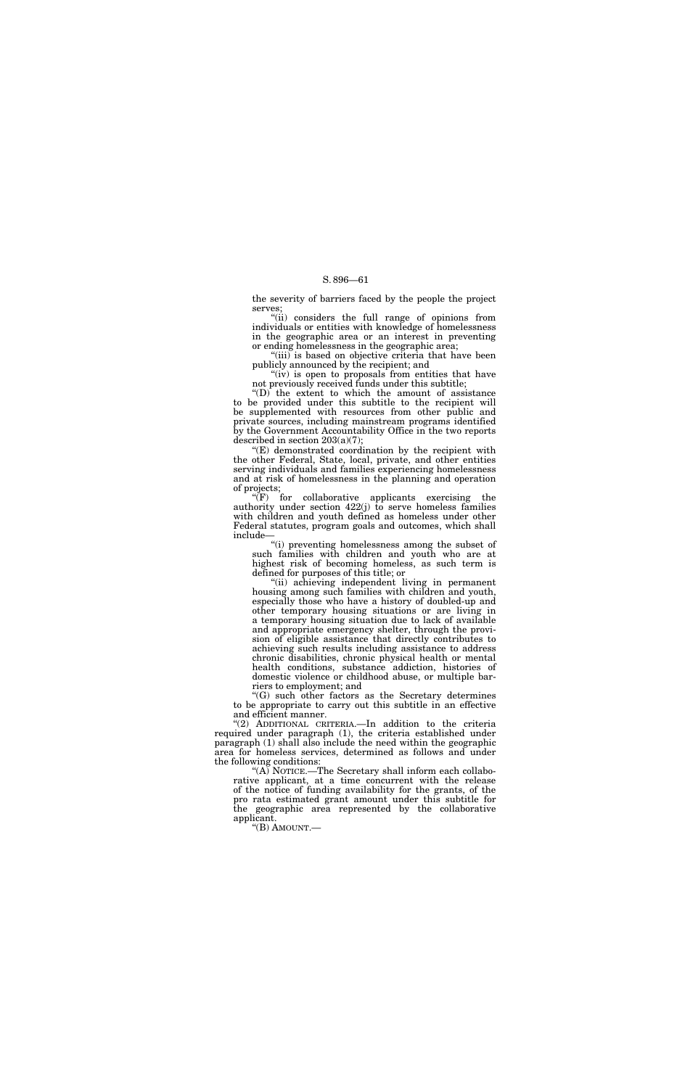the severity of barriers faced by the people the project serves;

"(ii) considers the full range of opinions from individuals or entities with knowledge of homelessness in the geographic area or an interest in preventing or ending homelessness in the geographic area;

"(iii) is based on objective criteria that have been publicly announced by the recipient; and

" $(iv)$  is open to proposals from entities that have not previously received funds under this subtitle;

 $\mathrm{``(D)}$  the extent to which the amount of assistance to be provided under this subtitle to the recipient will be supplemented with resources from other public and private sources, including mainstream programs identified by the Government Accountability Office in the two reports described in section 203(a)(7);

 $f(F)$  for collaborative applicants exercising the authority under section 422(j) to serve homeless families with children and youth defined as homeless under other Federal statutes, program goals and outcomes, which shall include—

''(E) demonstrated coordination by the recipient with the other Federal, State, local, private, and other entities serving individuals and families experiencing homelessness and at risk of homelessness in the planning and operation of projects;

''(i) preventing homelessness among the subset of such families with children and youth who are at highest risk of becoming homeless, as such term is defined for purposes of this title; or

"(A) NOTICE.—The Secretary shall inform each collaborative applicant, at a time concurrent with the release of the notice of funding availability for the grants, of the pro rata estimated grant amount under this subtitle for the geographic area represented by the collaborative applicant.

''(ii) achieving independent living in permanent housing among such families with children and youth, especially those who have a history of doubled-up and other temporary housing situations or are living in a temporary housing situation due to lack of available and appropriate emergency shelter, through the provision of eligible assistance that directly contributes to achieving such results including assistance to address chronic disabilities, chronic physical health or mental health conditions, substance addiction, histories of domestic violence or childhood abuse, or multiple barriers to employment; and

''(G) such other factors as the Secretary determines to be appropriate to carry out this subtitle in an effective and efficient manner.

''(2) ADDITIONAL CRITERIA.—In addition to the criteria required under paragraph (1), the criteria established under paragraph (1) shall also include the need within the geographic area for homeless services, determined as follows and under the following conditions:

''(B) AMOUNT.—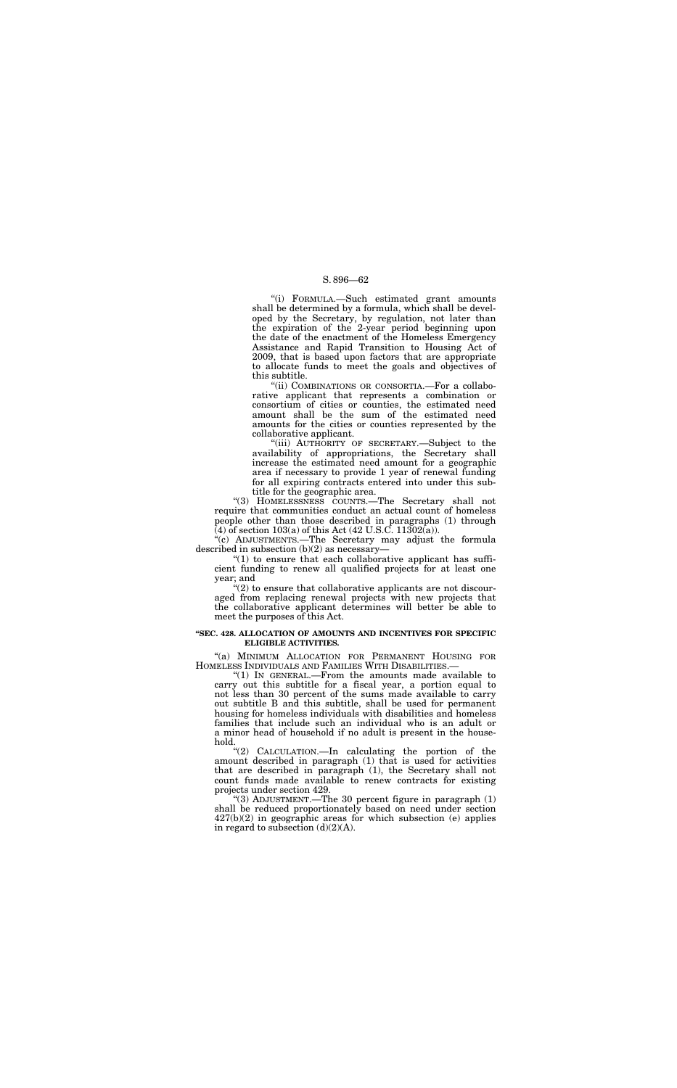''(i) FORMULA.—Such estimated grant amounts shall be determined by a formula, which shall be developed by the Secretary, by regulation, not later than the expiration of the 2-year period beginning upon the date of the enactment of the Homeless Emergency Assistance and Rapid Transition to Housing Act of 2009, that is based upon factors that are appropriate to allocate funds to meet the goals and objectives of this subtitle.

''(3) HOMELESSNESS COUNTS.—The Secretary shall not require that communities conduct an actual count of homeless people other than those described in paragraphs (1) through  $(4)$  of section 103(a) of this Act (42 U.S.C. 11302(a)).

''(ii) COMBINATIONS OR CONSORTIA.—For a collaborative applicant that represents a combination or consortium of cities or counties, the estimated need amount shall be the sum of the estimated need amounts for the cities or counties represented by the collaborative applicant.

"(1) to ensure that each collaborative applicant has sufficient funding to renew all qualified projects for at least one year; and

 $\mathcal{H}(2)$  to ensure that collaborative applicants are not discouraged from replacing renewal projects with new projects that the collaborative applicant determines will better be able to meet the purposes of this Act.

''(iii) AUTHORITY OF SECRETARY.—Subject to the availability of appropriations, the Secretary shall increase the estimated need amount for a geographic area if necessary to provide 1 year of renewal funding for all expiring contracts entered into under this subtitle for the geographic area.

''(c) ADJUSTMENTS.—The Secretary may adjust the formula described in subsection (b)(2) as necessary—

#### **''SEC. 428. ALLOCATION OF AMOUNTS AND INCENTIVES FOR SPECIFIC ELIGIBLE ACTIVITIES.**

''(a) MINIMUM ALLOCATION FOR PERMANENT HOUSING FOR HOMELESS INDIVIDUALS AND FAMILIES WITH DISABILITIES.—

''(1) IN GENERAL.—From the amounts made available to carry out this subtitle for a fiscal year, a portion equal to not less than 30 percent of the sums made available to carry out subtitle B and this subtitle, shall be used for permanent housing for homeless individuals with disabilities and homeless families that include such an individual who is an adult or a minor head of household if no adult is present in the household.

''(2) CALCULATION.—In calculating the portion of the amount described in paragraph (1) that is used for activities that are described in paragraph (1), the Secretary shall not count funds made available to renew contracts for existing projects under section 429.

 $(3)$  ADJUSTMENT.—The 30 percent figure in paragraph  $(1)$ shall be reduced proportionately based on need under section  $427(b)(2)$  in geographic areas for which subsection (e) applies in regard to subsection  $(d)(2)(A)$ .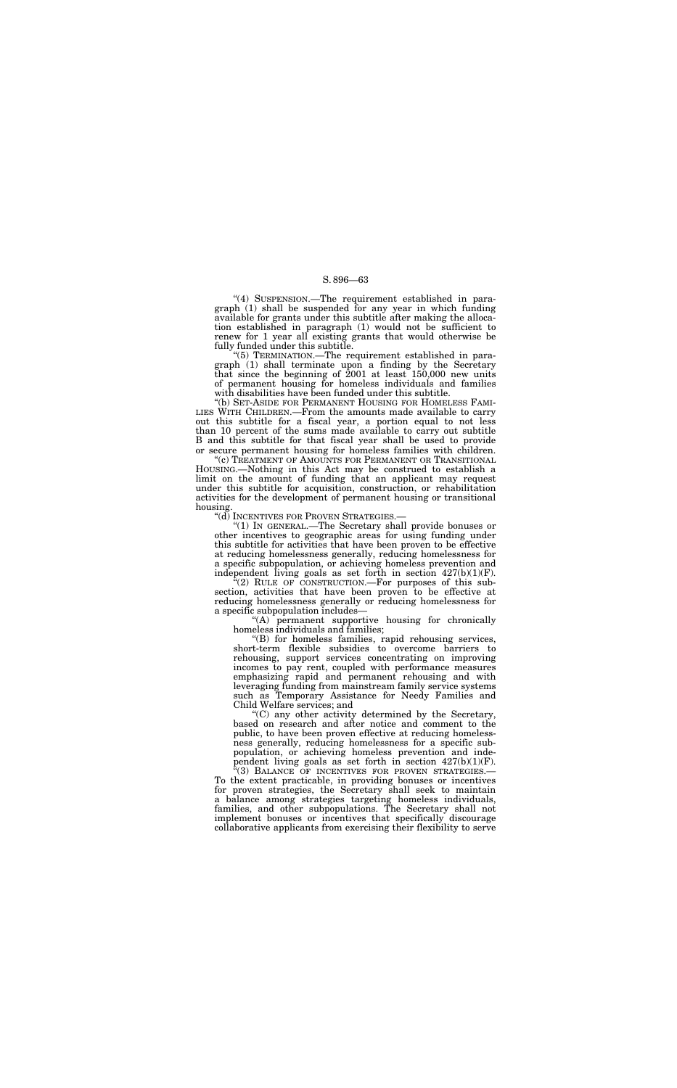"(4) SUSPENSION.—The requirement established in paragraph (1) shall be suspended for any year in which funding available for grants under this subtitle after making the allocation established in paragraph (1) would not be sufficient to renew for 1 year all existing grants that would otherwise be fully funded under this subtitle.

''(5) TERMINATION.—The requirement established in paragraph (1) shall terminate upon a finding by the Secretary that since the beginning of 2001 at least 150,000 new units of permanent housing for homeless individuals and families with disabilities have been funded under this subtitle.

''(1) IN GENERAL.—The Secretary shall provide bonuses or other incentives to geographic areas for using funding under this subtitle for activities that have been proven to be effective at reducing homelessness generally, reducing homelessness for a specific subpopulation, or achieving homeless prevention and independent living goals as set forth in section  $427(b)(1)(F)$ .

''(b) SET-ASIDE FOR PERMANENT HOUSING FOR HOMELESS FAMI-LIES WITH CHILDREN.—From the amounts made available to carry out this subtitle for a fiscal year, a portion equal to not less than 10 percent of the sums made available to carry out subtitle B and this subtitle for that fiscal year shall be used to provide or secure permanent housing for homeless families with children.

"(2) RULE OF CONSTRUCTION.—For purposes of this subsection, activities that have been proven to be effective at reducing homelessness generally or reducing homelessness for a specific subpopulation includes—

''(c) TREATMENT OF AMOUNTS FOR PERMANENT OR TRANSITIONAL HOUSING.—Nothing in this Act may be construed to establish a limit on the amount of funding that an applicant may request under this subtitle for acquisition, construction, or rehabilitation activities for the development of permanent housing or transitional housing.

> ''(C) any other activity determined by the Secretary, based on research and after notice and comment to the public, to have been proven effective at reducing homelessness generally, reducing homelessness for a specific subpopulation, or achieving homeless prevention and independent living goals as set forth in section  $427(b)(1)(F)$ .<br>
> "(3) BALANCE OF INCENTIVES FOR PROVEN STRATEGIES.—

''(d) INCENTIVES FOR PROVEN STRATEGIES.—

To the extent practicable, in providing bonuses or incentives. for proven strategies, the Secretary shall seek to maintain a balance among strategies targeting homeless individuals, families, and other subpopulations. The Secretary shall not implement bonuses or incentives that specifically discourage collaborative applicants from exercising their flexibility to serve

''(A) permanent supportive housing for chronically homeless individuals and families;

''(B) for homeless families, rapid rehousing services, short-term flexible subsidies to overcome barriers to rehousing, support services concentrating on improving incomes to pay rent, coupled with performance measures emphasizing rapid and permanent rehousing and with leveraging funding from mainstream family service systems such as Temporary Assistance for Needy Families and Child Welfare services; and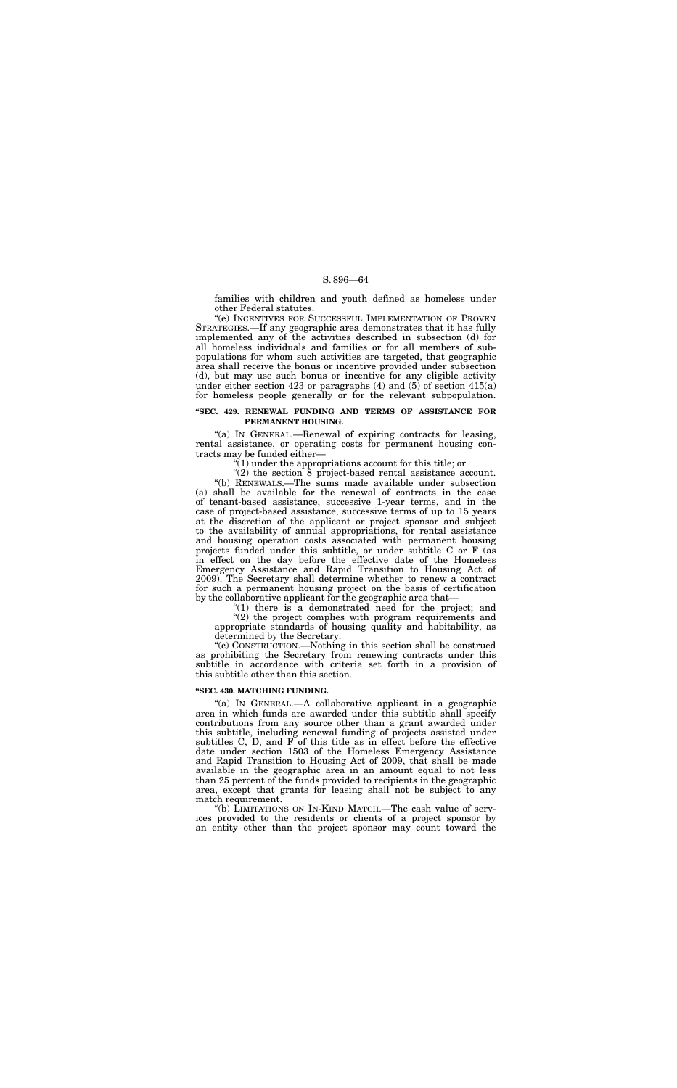families with children and youth defined as homeless under other Federal statutes.

''(e) INCENTIVES FOR SUCCESSFUL IMPLEMENTATION OF PROVEN STRATEGIES.—If any geographic area demonstrates that it has fully implemented any of the activities described in subsection (d) for all homeless individuals and families or for all members of subpopulations for whom such activities are targeted, that geographic area shall receive the bonus or incentive provided under subsection (d), but may use such bonus or incentive for any eligible activity under either section 423 or paragraphs  $(4)$  and  $(5)$  of section  $415(a)$ for homeless people generally or for the relevant subpopulation.

"(a) IN GENERAL.—Renewal of expiring contracts for leasing, rental assistance, or operating costs for permanent housing contracts may be funded either—

#### **''SEC. 429. RENEWAL FUNDING AND TERMS OF ASSISTANCE FOR PERMANENT HOUSING.**

 $''(2)$  the section  $\hat{8}$  project-based rental assistance account. ''(b) RENEWALS.—The sums made available under subsection (a) shall be available for the renewal of contracts in the case of tenant-based assistance, successive 1-year terms, and in the case of project-based assistance, successive terms of up to 15 years at the discretion of the applicant or project sponsor and subject to the availability of annual appropriations, for rental assistance and housing operation costs associated with permanent housing projects funded under this subtitle, or under subtitle C or F (as in effect on the day before the effective date of the Homeless Emergency Assistance and Rapid Transition to Housing Act of 2009). The Secretary shall determine whether to renew a contract for such a permanent housing project on the basis of certification by the collaborative applicant for the geographic area that—

"(1) there is a demonstrated need for the project; and

''(1) under the appropriations account for this title; or

 $(2)$  the project complies with program requirements and appropriate standards of housing quality and habitability, as determined by the Secretary.

"(a) IN GENERAL.—A collaborative applicant in a geographic area in which funds are awarded under this subtitle shall specify contributions from any source other than a grant awarded under this subtitle, including renewal funding of projects assisted under subtitles C, D, and F of this title as in effect before the effective date under section 1503 of the Homeless Emergency Assistance and Rapid Transition to Housing Act of 2009, that shall be made available in the geographic area in an amount equal to not less than 25 percent of the funds provided to recipients in the geographic area, except that grants for leasing shall not be subject to any match requirement.

''(c) CONSTRUCTION.—Nothing in this section shall be construed as prohibiting the Secretary from renewing contracts under this subtitle in accordance with criteria set forth in a provision of this subtitle other than this section.

#### **''SEC. 430. MATCHING FUNDING.**

''(b) LIMITATIONS ON IN-KIND MATCH.—The cash value of services provided to the residents or clients of a project sponsor by an entity other than the project sponsor may count toward the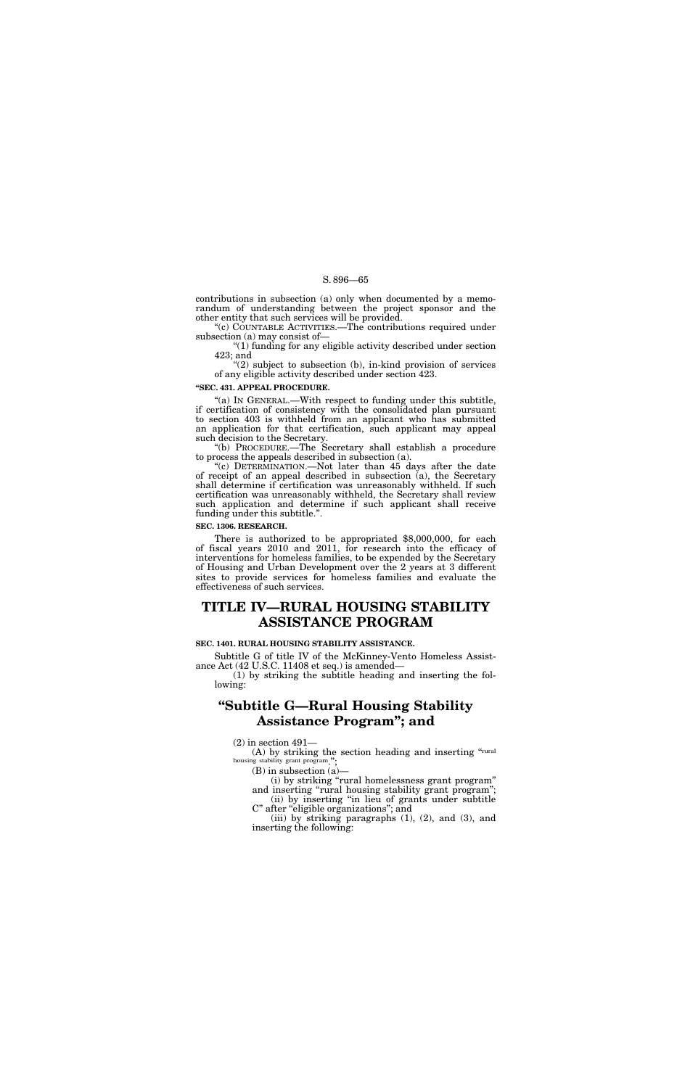contributions in subsection (a) only when documented by a memorandum of understanding between the project sponsor and the other entity that such services will be provided.

"(c) COUNTABLE ACTIVITIES.—The contributions required under subsection (a) may consist of—

"(2) subject to subsection (b), in-kind provision of services of any eligible activity described under section 423.

''(1) funding for any eligible activity described under section 423; and

"(a) In GENERAL.—With respect to funding under this subtitle, if certification of consistency with the consolidated plan pursuant to section 403 is withheld from an applicant who has submitted an application for that certification, such applicant may appeal such decision to the Secretary.

#### **''SEC. 431. APPEAL PROCEDURE.**

"(c) DETERMINATION.—Not later than 45 days after the date of receipt of an appeal described in subsection  $(a)$ , the Secretary shall determine if certification was unreasonably withheld. If such certification was unreasonably withheld, the Secretary shall review such application and determine if such applicant shall receive funding under this subtitle.''.

''(b) PROCEDURE.—The Secretary shall establish a procedure to process the appeals described in subsection (a).

## **SEC. 1306. RESEARCH.**

There is authorized to be appropriated \$8,000,000, for each of fiscal years 2010 and 2011, for research into the efficacy of interventions for homeless families, to be expended by the Secretary of Housing and Urban Development over the 2 years at 3 different sites to provide services for homeless families and evaluate the effectiveness of such services.

## **TITLE IV—RURAL HOUSING STABILITY ASSISTANCE PROGRAM**

#### **SEC. 1401. RURAL HOUSING STABILITY ASSISTANCE.**

Subtitle G of title IV of the McKinney-Vento Homeless Assistance Act (42 U.S.C. 11408 et seq.) is amended—

(1) by striking the subtitle heading and inserting the following:

# **''Subtitle G—Rural Housing Stability Assistance Program''; and**

(2) in section 491—

(A) by striking the section heading and inserting "rural housing stability grant program.'

(B) in subsection  $(a)$ —

(i) by striking ''rural homelessness grant program'' and inserting "rural housing stability grant program"; (ii) by inserting ''in lieu of grants under subtitle

C'' after ''eligible organizations''; and (iii) by striking paragraphs (1), (2), and (3), and

inserting the following: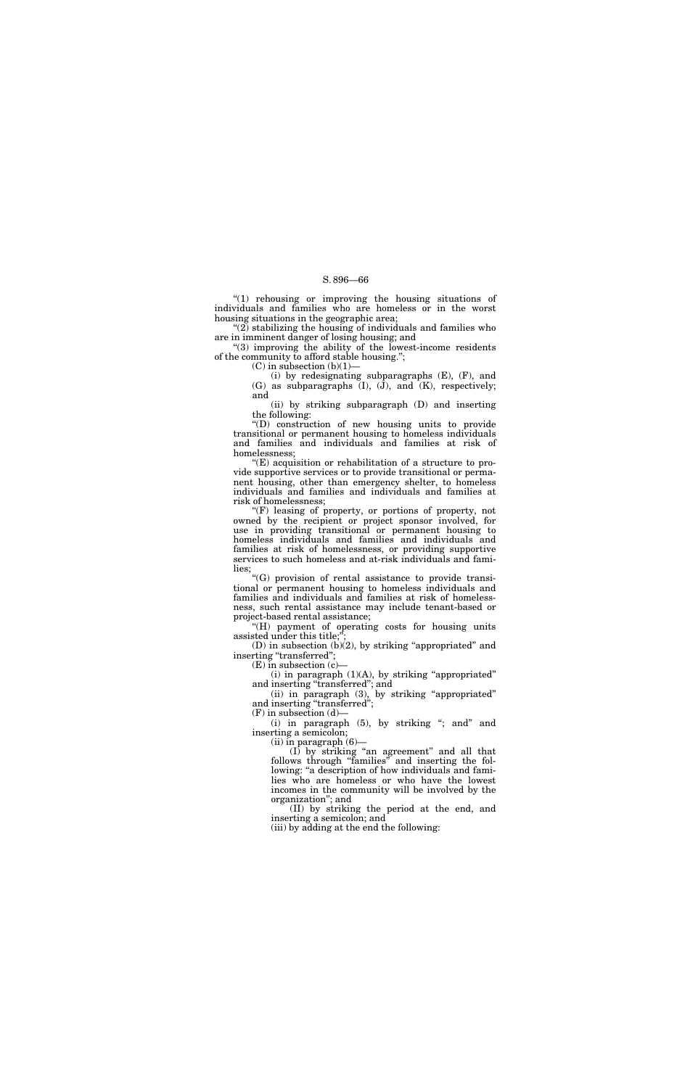''(1) rehousing or improving the housing situations of individuals and families who are homeless or in the worst housing situations in the geographic area;

"(2) stabilizing the housing of individuals and families who are in imminent danger of losing housing; and

''(3) improving the ability of the lowest-income residents of the community to afford stable housing.'';

(C) in subsection (b)(1)—

(i) by redesignating subparagraphs (E), (F), and  $(G)$  as subparagraphs  $(I)$ ,  $(J)$ , and  $(K)$ , respectively; and

(ii) by striking subparagraph (D) and inserting the following:

''(D) construction of new housing units to provide transitional or permanent housing to homeless individuals and families and individuals and families at risk of homelessness;

''(H) payment of operating costs for housing units assisted under this title;

(D) in subsection  $(b)(2)$ , by striking "appropriated" and inserting "transferred";

 $(E)$  in subsection  $(c)$ –

''(E) acquisition or rehabilitation of a structure to provide supportive services or to provide transitional or permanent housing, other than emergency shelter, to homeless individuals and families and individuals and families at risk of homelessness;

(i) in paragraph  $(1)(A)$ , by striking "appropriated" and inserting ''transferred''; and

(ii) in paragraph (3), by striking ''appropriated'' and inserting "transferred";

 $(F)$  in subsection  $(d)$ 

(i) in paragraph  $(5)$ , by striking "; and" and inserting a semicolon;

''(F) leasing of property, or portions of property, not owned by the recipient or project sponsor involved, for use in providing transitional or permanent housing to homeless individuals and families and individuals and families at risk of homelessness, or providing supportive services to such homeless and at-risk individuals and families;

''(G) provision of rental assistance to provide transitional or permanent housing to homeless individuals and families and individuals and families at risk of homelessness, such rental assistance may include tenant-based or project-based rental assistance;

(ii) in paragraph (6)—

(I) by striking ''an agreement'' and all that follows through "families" and inserting the following: "a description of how individuals and families who are homeless or who have the lowest incomes in the community will be involved by the organization''; and

(II) by striking the period at the end, and inserting a semicolon; and

(iii) by adding at the end the following: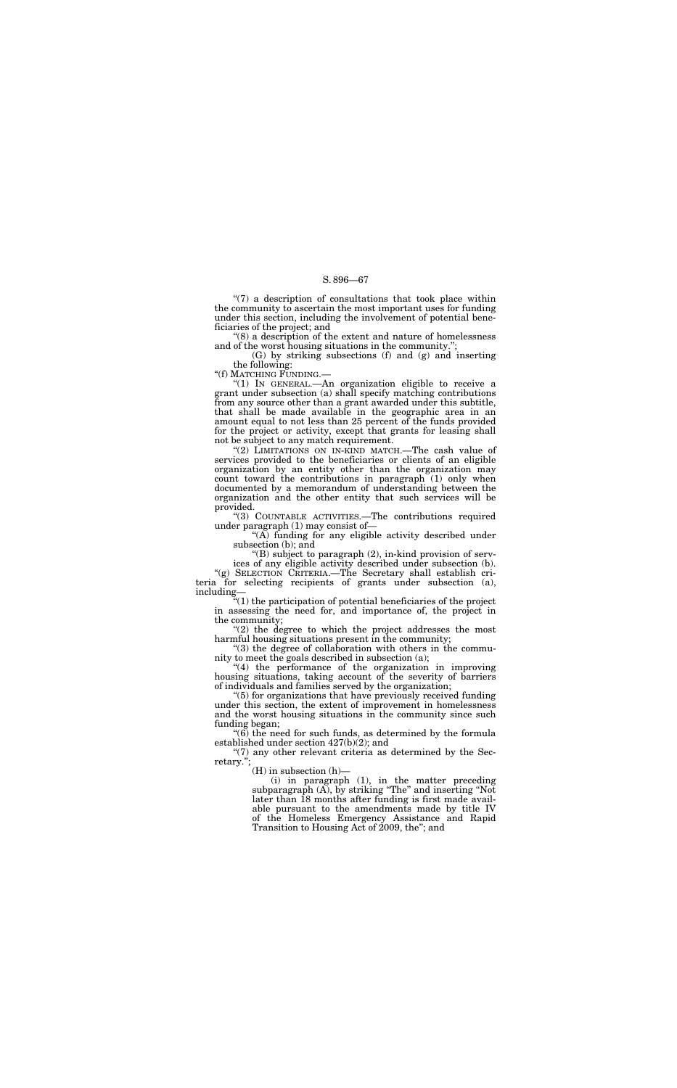''(8) a description of the extent and nature of homelessness and of the worst housing situations in the community."

''(7) a description of consultations that took place within the community to ascertain the most important uses for funding under this section, including the involvement of potential beneficiaries of the project; and

(G) by striking subsections (f) and (g) and inserting the following:

"(1) IN GENERAL.—An organization eligible to receive a grant under subsection (a) shall specify matching contributions from any source other than a grant awarded under this subtitle, that shall be made available in the geographic area in an amount equal to not less than 25 percent of the funds provided for the project or activity, except that grants for leasing shall not be subject to any match requirement.

''(f) MATCHING FUNDING.—

"(2) LIMITATIONS ON IN-KIND MATCH.—The cash value of services provided to the beneficiaries or clients of an eligible organization by an entity other than the organization may count toward the contributions in paragraph (1) only when documented by a memorandum of understanding between the organization and the other entity that such services will be provided.

"(2) the degree to which the project addresses the most harmful housing situations present in the community;

''(3) COUNTABLE ACTIVITIES.—The contributions required under paragraph (1) may consist of—

''(A) funding for any eligible activity described under subsection (b); and

''(B) subject to paragraph (2), in-kind provision of services of any eligible activity described under subsection (b).

''(g) SELECTION CRITERIA.—The Secretary shall establish criteria for selecting recipients of grants under subsection (a), including—

 $\mathbf{f}'(1)$  the participation of potential beneficiaries of the project in assessing the need for, and importance of, the project in in assessing the need for, and importance of, the project in the community;

''(3) the degree of collaboration with others in the community to meet the goals described in subsection (a);

''(4) the performance of the organization in improving housing situations, taking account of the severity of barriers of individuals and families served by the organization;

''(5) for organizations that have previously received funding under this section, the extent of improvement in homelessness and the worst housing situations in the community since such funding began;

''(6) the need for such funds, as determined by the formula established under section 427(b)(2); and

 $\degree$ (7) any other relevant criteria as determined by the Secretary."

(H) in subsection (h)—

(i) in paragraph (1), in the matter preceding subparagraph (A), by striking ''The'' and inserting ''Not later than 18 months after funding is first made available pursuant to the amendments made by title IV of the Homeless Emergency Assistance and Rapid Transition to Housing Act of 2009, the''; and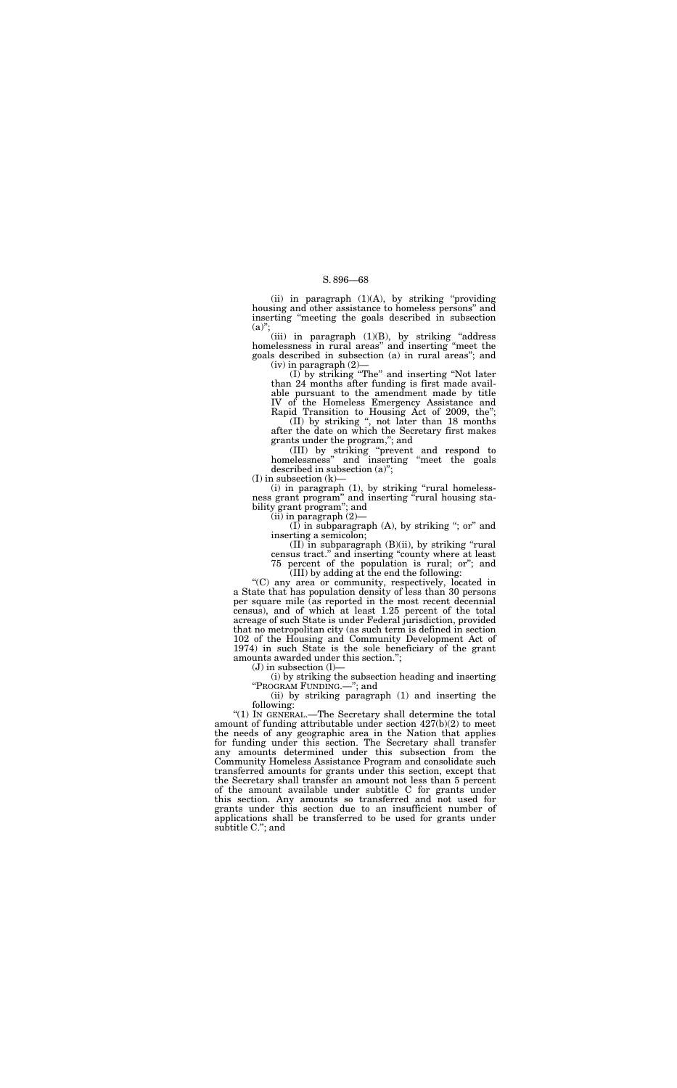(ii) in paragraph  $(1)(A)$ , by striking "providing housing and other assistance to homeless persons'' and inserting ''meeting the goals described in subsection  $(a)$ ";

(iii) in paragraph  $(1)(B)$ , by striking "address" homelessness in rural areas'' and inserting ''meet the goals described in subsection (a) in rural areas''; and (iv) in paragraph (2)—

(I) by striking ''The'' and inserting ''Not later than 24 months after funding is first made available pursuant to the amendment made by title IV of the Homeless Emergency Assistance and Rapid Transition to Housing Act of 2009, the'';

 $(I)$  in subparagraph  $(A)$ , by striking "; or" and inserting a semicolon;

 $(II)$  in subparagraph  $(B)(ii)$ , by striking "rural census tract.'' and inserting ''county where at least 75 percent of the population is rural; or''; and (III) by adding at the end the following:

(II) by striking '', not later than 18 months after the date on which the Secretary first makes grants under the program,''; and

(III) by striking ''prevent and respond to homelessness'' and inserting ''meet the goals described in subsection (a)'';

(I) in subsection (k)—

(i) by striking the subsection heading and inserting "PROGRAM FUNDING.-"; and

(i) in paragraph (1), by striking ''rural homelessness grant program'' and inserting ''rural housing stability grant program''; and

''(1) IN GENERAL.—The Secretary shall determine the total amount of funding attributable under section 427(b)(2) to meet the needs of any geographic area in the Nation that applies for funding under this section. The Secretary shall transfer any amounts determined under this subsection from the Community Homeless Assistance Program and consolidate such transferred amounts for grants under this section, except that the Secretary shall transfer an amount not less than 5 percent of the amount available under subtitle C for grants under this section. Any amounts so transferred and not used for grants under this section due to an insufficient number of applications shall be transferred to be used for grants under subtitle C."; and

(ii) in paragraph (2)—

''(C) any area or community, respectively, located in a State that has population density of less than 30 persons per square mile (as reported in the most recent decennial census), and of which at least 1.25 percent of the total acreage of such State is under Federal jurisdiction, provided that no metropolitan city (as such term is defined in section 102 of the Housing and Community Development Act of 1974) in such State is the sole beneficiary of the grant amounts awarded under this section.'';

 $(J)$  in subsection  $(l)$ 

(ii) by striking paragraph (1) and inserting the following: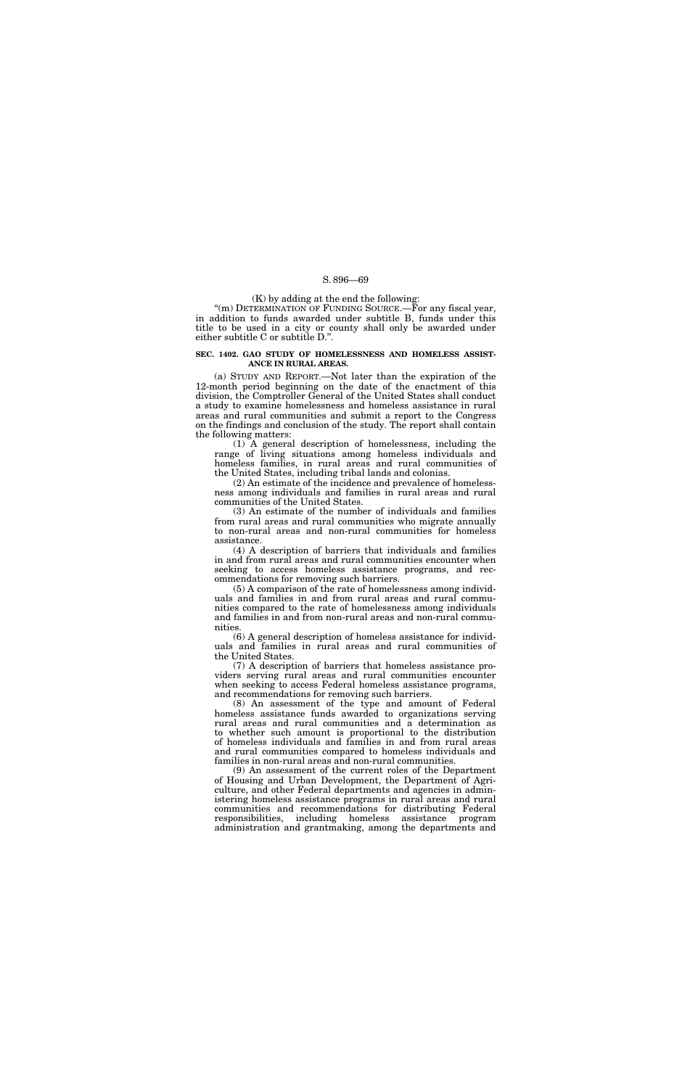(K) by adding at the end the following:

"(m) DETERMINATION OF FUNDING SOURCE.—For any fiscal year, in addition to funds awarded under subtitle B, funds under this title to be used in a city or county shall only be awarded under either subtitle C or subtitle D.''.

#### **SEC. 1402. GAO STUDY OF HOMELESSNESS AND HOMELESS ASSIST-ANCE IN RURAL AREAS.**

(a) STUDY AND REPORT.—Not later than the expiration of the 12-month period beginning on the date of the enactment of this division, the Comptroller General of the United States shall conduct a study to examine homelessness and homeless assistance in rural areas and rural communities and submit a report to the Congress on the findings and conclusion of the study. The report shall contain the following matters:

(1) A general description of homelessness, including the range of living situations among homeless individuals and homeless families, in rural areas and rural communities of the United States, including tribal lands and colonias.

(2) An estimate of the incidence and prevalence of homelessness among individuals and families in rural areas and rural communities of the United States.

(3) An estimate of the number of individuals and families from rural areas and rural communities who migrate annually to non-rural areas and non-rural communities for homeless assistance.

(4) A description of barriers that individuals and families in and from rural areas and rural communities encounter when seeking to access homeless assistance programs, and recommendations for removing such barriers.

(5) A comparison of the rate of homelessness among individuals and families in and from rural areas and rural communities compared to the rate of homelessness among individuals and families in and from non-rural areas and non-rural communities.

(6) A general description of homeless assistance for individuals and families in rural areas and rural communities of the United States.

(7) A description of barriers that homeless assistance providers serving rural areas and rural communities encounter when seeking to access Federal homeless assistance programs, and recommendations for removing such barriers.

(8) An assessment of the type and amount of Federal homeless assistance funds awarded to organizations serving rural areas and rural communities and a determination as to whether such amount is proportional to the distribution of homeless individuals and families in and from rural areas and rural communities compared to homeless individuals and families in non-rural areas and non-rural communities.

(9) An assessment of the current roles of the Department of Housing and Urban Development, the Department of Agriculture, and other Federal departments and agencies in administering homeless assistance programs in rural areas and rural communities and recommendations for distributing Federal responsibilities, including homeless assistance program administration and grantmaking, among the departments and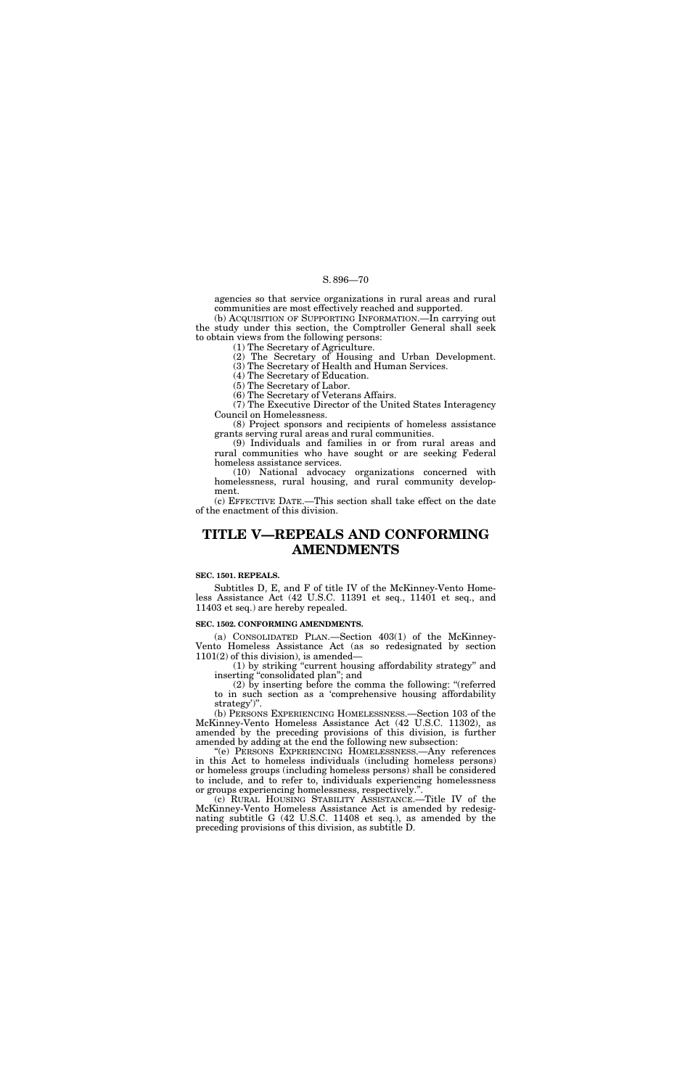agencies so that service organizations in rural areas and rural communities are most effectively reached and supported.

(b) ACQUISITION OF SUPPORTING INFORMATION.—In carrying out the study under this section, the Comptroller General shall seek to obtain views from the following persons:

(1) The Secretary of Agriculture.

(2) The Secretary of Housing and Urban Development.

(3) The Secretary of Health and Human Services.

(4) The Secretary of Education.

(5) The Secretary of Labor.

(6) The Secretary of Veterans Affairs.

(7) The Executive Director of the United States Interagency Council on Homelessness.

(8) Project sponsors and recipients of homeless assistance grants serving rural areas and rural communities.

(9) Individuals and families in or from rural areas and rural communities who have sought or are seeking Federal homeless assistance services.

(10) National advocacy organizations concerned with homelessness, rural housing, and rural community development.

(c) EFFECTIVE DATE.—This section shall take effect on the date of the enactment of this division.

# **TITLE V—REPEALS AND CONFORMING AMENDMENTS**

#### **SEC. 1501. REPEALS.**

Subtitles D, E, and F of title IV of the McKinney-Vento Homeless Assistance Act (42 U.S.C. 11391 et seq., 11401 et seq., and 11403 et seq.) are hereby repealed.

#### **SEC. 1502. CONFORMING AMENDMENTS.**

(a) CONSOLIDATED PLAN.—Section 403(1) of the McKinney-Vento Homeless Assistance Act (as so redesignated by section 1101(2) of this division), is amended—

(1) by striking ''current housing affordability strategy'' and inserting ''consolidated plan''; and

(2) by inserting before the comma the following: ''(referred to in such section as a 'comprehensive housing affordability strategy')''.

(b) PERSONS EXPERIENCING HOMELESSNESS.—Section 103 of the McKinney-Vento Homeless Assistance Act (42 U.S.C. 11302), as amended by the preceding provisions of this division, is further amended by adding at the end the following new subsection:

''(e) PERSONS EXPERIENCING HOMELESSNESS.—Any references in this Act to homeless individuals (including homeless persons) or homeless groups (including homeless persons) shall be considered to include, and to refer to, individuals experiencing homelessness or groups experiencing homelessness, respectively.''.

(c) RURAL HOUSING STABILITY ASSISTANCE.—Title IV of the McKinney-Vento Homeless Assistance Act is amended by redesignating subtitle G (42 U.S.C. 11408 et seq.), as amended by the preceding provisions of this division, as subtitle D.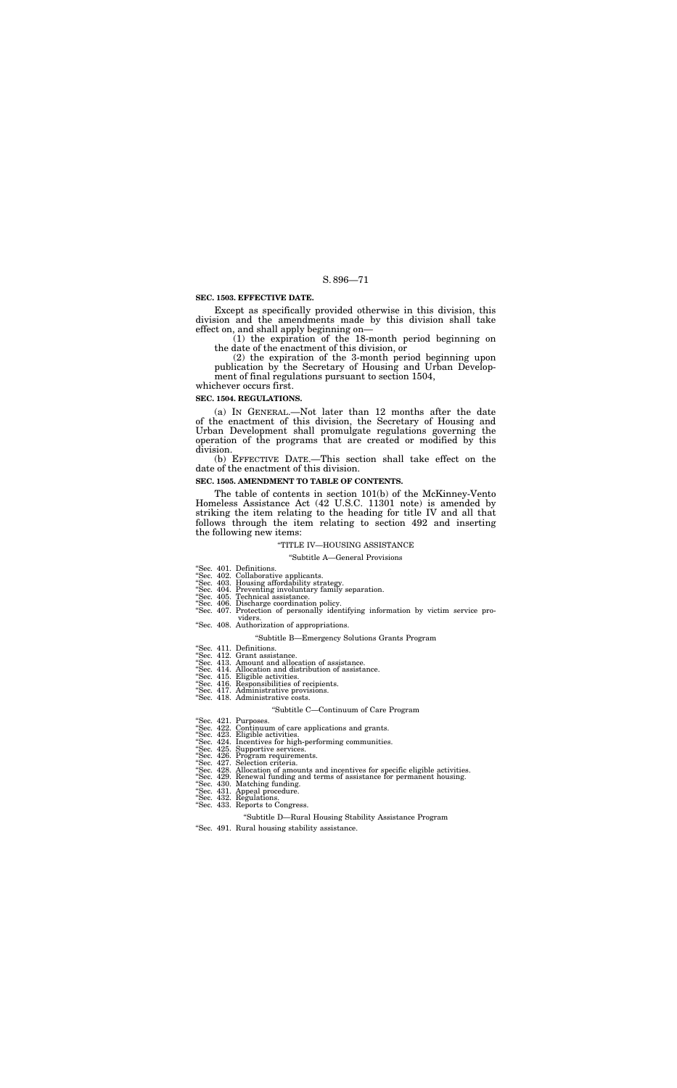## **SEC. 1503. EFFECTIVE DATE.**

Except as specifically provided otherwise in this division, this division and the amendments made by this division shall take effect on, and shall apply beginning on—

 $(1)$  the expiration of the 18-month period beginning on the date of the enactment of this division, or

(2) the expiration of the 3-month period beginning upon publication by the Secretary of Housing and Urban Development of final regulations pursuant to section 1504,

whichever occurs first.

#### **SEC. 1504. REGULATIONS.**

(a) IN GENERAL.—Not later than 12 months after the date of the enactment of this division, the Secretary of Housing and Urban Development shall promulgate regulations governing the operation of the programs that are created or modified by this division.

- 
- 
- 
- 
- 
- "Sec. 401. Definitions.<br>"Sec. 402. Collaborative applicants.<br>"Sec. 403. Housing affordability strategy.<br>"Sec. 404. Preventing involuntary family separation.<br>"Sec. 406. Discharge coordination policy.<br>"Sec. 406. Discharge co
- viders. ''Sec. 408. Authorization of appropriations.

(b) EFFECTIVE DATE.—This section shall take effect on the date of the enactment of this division.

#### **SEC. 1505. AMENDMENT TO TABLE OF CONTENTS.**

The table of contents in section 101(b) of the McKinney-Vento Homeless Assistance Act (42 U.S.C. 11301 note) is amended by striking the item relating to the heading for title IV and all that follows through the item relating to section 492 and inserting the following new items:

#### ''TITLE IV—HOUSING ASSISTANCE

''Subtitle A—General Provisions

#### ''Subtitle B—Emergency Solutions Grants Program

- 
- 
- "Sec. 411. Definitions.<br>"Sec. 412. Grant assistance.<br>"Sec. 413. Amount and allocation of assistance.<br>"Sec. 414. Allocation and distribution of assistance.<br>"Sec. 415. Eligible activities.<br>"Sec. 416. Responsibilities of reci
- 
- 
- 
- 
- 

#### ''Subtitle C—Continuum of Care Program

- 
- 
- 
- 
- 
- 
- "Sec. 421. Purposes.<br>
"Sec. 422. Continuum of care applications and grants.<br>
"Sec. 423. Eligible activities.<br>
"Sec. 424. Incentives for high-performing communities.<br>"Sec. 424. Delection criteria.<br>"Sec. 426. Program require
- 
- 
- 
- 
- 

#### ''Subtitle D—Rural Housing Stability Assistance Program

''Sec. 491. Rural housing stability assistance.